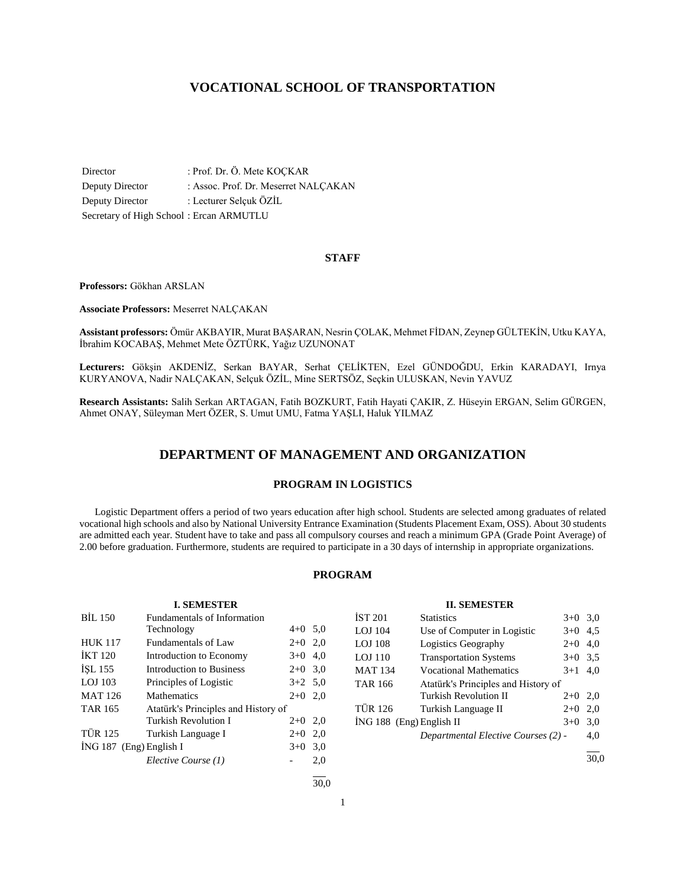# **VOCATIONAL SCHOOL OF TRANSPORTATION**

Director : Prof. Dr. Ö. Mete KOÇKAR Deputy Director : Assoc. Prof. Dr. Meserret NALÇAKAN Deputy Director : Lecturer Selçuk ÖZİL Secretary of High School : Ercan ARMUTLU

# **STAFF**

**Professors:** Gökhan ARSLAN

**Associate Professors:** Meserret NALÇAKAN

**Assistant professors:** Ömür AKBAYIR, Murat BAŞARAN, Nesrin ÇOLAK, Mehmet FİDAN, Zeynep GÜLTEKİN, Utku KAYA, İbrahim KOCABAŞ, Mehmet Mete ÖZTÜRK, Yağız UZUNONAT

**Lecturers:** Gökşin AKDENİZ, Serkan BAYAR, Serhat ÇELİKTEN, Ezel GÜNDOĞDU, Erkin KARADAYI, Irnya KURYANOVA, Nadir NALÇAKAN, Selçuk ÖZİL, Mine SERTSÖZ, Seçkin ULUSKAN, Nevin YAVUZ

**Research Assistants:** Salih Serkan ARTAGAN, Fatih BOZKURT, Fatih Hayati ÇAKIR, Z. Hüseyin ERGAN, Selim GÜRGEN, Ahmet ONAY, Süleyman Mert ÖZER, S. Umut UMU, Fatma YAŞLI, Haluk YILMAZ

# **DEPARTMENT OF MANAGEMENT AND ORGANIZATION**

# **PROGRAM IN LOGISTICS**

 Logistic Department offers a period of two years education after high school. Students are selected among graduates of related vocational high schools and also by National University Entrance Examination (Students Placement Exam, OSS). About 30 students are admitted each year. Student have to take and pass all compulsory courses and reach a minimum GPA (Grade Point Average) of 2.00 before graduation. Furthermore, students are required to participate in a 30 days of internship in appropriate organizations.

# **PROGRAM**

# **I. SEMESTER**

| <b>BIL 150</b><br><b>Fundamentals of Information</b> |                                              |                                                                    |  |
|------------------------------------------------------|----------------------------------------------|--------------------------------------------------------------------|--|
| Technology                                           | $4+0$ 5.0                                    |                                                                    |  |
| Fundamentals of Law                                  | $2+0$                                        | 2,0                                                                |  |
| Introduction to Economy                              | $3+0$                                        | 4,0                                                                |  |
| Introduction to Business                             | $2+0$ 3.0                                    |                                                                    |  |
|                                                      |                                              |                                                                    |  |
|                                                      |                                              | 2,0                                                                |  |
|                                                      |                                              |                                                                    |  |
| Turkish Revolution I                                 | $2+0$ 2,0                                    |                                                                    |  |
| Turkish Language I                                   | $2+0$                                        | 2,0                                                                |  |
| $ING 187$ (Eng) English I                            |                                              |                                                                    |  |
| Elective Course (1)                                  |                                              | 2,0                                                                |  |
|                                                      | Principles of Logistic<br><b>Mathematics</b> | $3+2$ 5.0<br>$2+0$<br>Atatürk's Principles and History of<br>$3+0$ |  |

# **II. SEMESTER**

| İST 201                  | <b>Statistics</b>                   | $3+0$ 3.0 |     |
|--------------------------|-------------------------------------|-----------|-----|
| LOJ 104                  | Use of Computer in Logistic         | $3+0$     | 4,5 |
| LOJ 108                  | Logistics Geography                 | $2+0$     | 4,0 |
| LOJ 110                  | <b>Transportation Systems</b>       | $3+0$ 3.5 |     |
| MAT 134                  | <b>Vocational Mathematics</b>       | $3+1$ 4.0 |     |
| TAR 166                  | Atatürk's Principles and History of |           |     |
|                          | <b>Turkish Revolution II</b>        | $2+0$ 2,0 |     |
| TÜR 126                  | Turkish Language II                 | $2+0$     | 2,0 |
| İNG 188 (Eng) English II |                                     | $3+0$     | 3,0 |
|                          | Departmental Elective Courses (2) - |           | 4,0 |
|                          |                                     |           |     |

30,0

l  $\frac{1}{30.0}$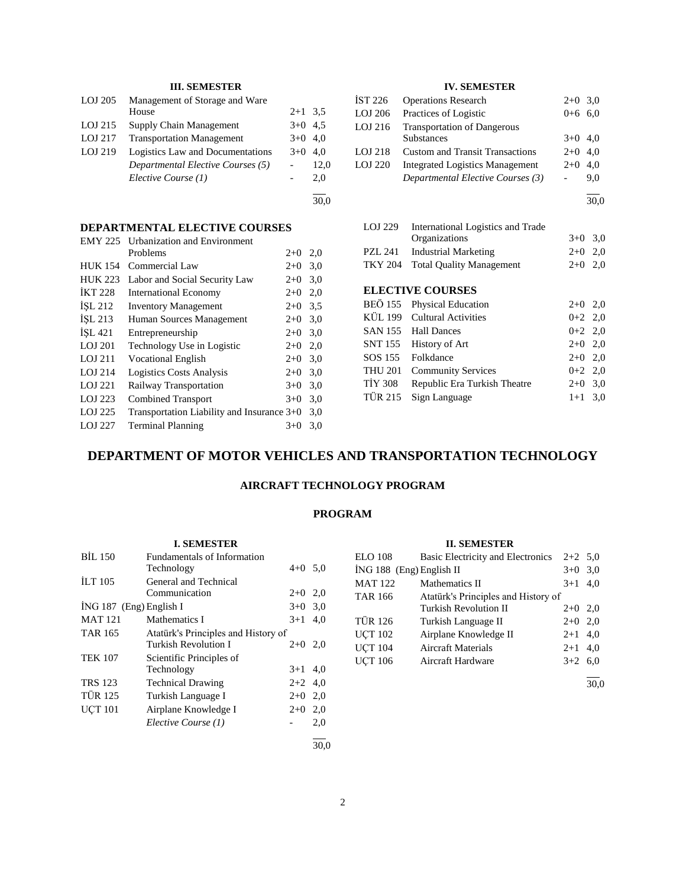# **III. SEMESTER**

| LOJ 205 | Management of Storage and Ware    |           |      |
|---------|-----------------------------------|-----------|------|
|         | House                             | $2+1$ 3.5 |      |
| LOJ 215 | Supply Chain Management           | $3+0$ 4.5 |      |
| LOJ 217 | <b>Transportation Management</b>  | $3+0$ 4.0 |      |
| LOJ 219 | Logistics Law and Documentations  | $3+0$ 4.0 |      |
|         | Departmental Elective Courses (5) |           | 12,0 |
|         | Elective Course (1)               |           | 2.0  |
|         |                                   |           |      |

30,0

# **DEPARTMENTAL ELECTIVE COURSES**<br>FMY 225 IIrbanization and Environment

| <b>EMY 225</b> | <b>Urbanization and Environment</b>          |           |     |
|----------------|----------------------------------------------|-----------|-----|
|                | Problems                                     | $2+0$ 2,0 |     |
| <b>HUK 154</b> | Commercial Law                               | $2+0$     | 3,0 |
| <b>HUK 223</b> | Labor and Social Security Law                | $2+0$     | 3,0 |
| <b>İKT 228</b> | <b>International Economy</b>                 | $2+0$     | 2,0 |
| ISL 212        | <b>Inventory Management</b>                  | $2+0$ 3.5 |     |
| ISL 213        | Human Sources Management                     | $2+0$     | 3,0 |
| ISL 421        | Entrepreneurship                             | $2+0$ 3.0 |     |
| LOJ 201        | Technology Use in Logistic                   | $2+0$     | 2,0 |
| LOJ 211        | <b>Vocational English</b>                    | $2+0$     | 3,0 |
| LOJ 214        | <b>Logistics Costs Analysis</b>              | $2+0$     | 3,0 |
| LOJ 221        | Railway Transportation                       | $3+0$     | 3,0 |
| LOJ 223        | <b>Combined Transport</b>                    | $3+0$     | 3,0 |
| LOJ 225        | Transportation Liability and Insurance $3+0$ |           | 3,0 |
| LOJ 227        | <b>Terminal Planning</b>                     | $3+0$     | 3,0 |

# **IV. SEMESTER**

| İST 226 | <b>Operations Research</b>             | $2+0$ 3.0 |     |
|---------|----------------------------------------|-----------|-----|
| LOJ 206 | Practices of Logistic                  | $0+6$ 6,0 |     |
| LOJ 216 | <b>Transportation of Dangerous</b>     |           |     |
|         | <b>Substances</b>                      | $3+0$ 4,0 |     |
| LOJ 218 | <b>Custom and Transit Transactions</b> | $2+0$ 4.0 |     |
| LOJ 220 | <b>Integrated Logistics Management</b> | $2+0$     | 4.0 |
|         | Departmental Elective Courses (3)      |           | 9.0 |
|         |                                        |           |     |

l 30,0

| LOJ 229        | International Logistics and Trade<br>Organizations | $3+0$     | 3,0 |
|----------------|----------------------------------------------------|-----------|-----|
| PZL 241        | <b>Industrial Marketing</b>                        | $2+0$     | 2,0 |
|                |                                                    |           |     |
| <b>TKY 204</b> | <b>Total Ouality Management</b>                    | $2+0$     | 2,0 |
|                |                                                    |           |     |
|                | <b>ELECTIVE COURSES</b>                            |           |     |
| BEÖ 155        | Physical Education                                 | $2+0$ 2,0 |     |
| KÜL 199        | <b>Cultural Activities</b>                         | $0+2$ 2,0 |     |
|                | SAN 155 Hall Dances                                | $0+2$ 2,0 |     |
| SNT 155        | History of Art                                     | $2+0$ 2,0 |     |
| SOS 155        | Folkdance                                          | $2+0$ 2,0 |     |
| <b>THU 201</b> | <b>Community Services</b>                          | $0+2$ 2,0 |     |
| <b>TIY 308</b> | Republic Era Turkish Theatre                       | $2+0$     | 3,0 |
| <b>TÜR 215</b> | Sign Language                                      | $1+1$     | 3,0 |
|                |                                                    |           |     |

# **DEPARTMENT OF MOTOR VEHICLES AND TRANSPORTATION TECHNOLOGY**

# **AIRCRAFT TECHNOLOGY PROGRAM**

# **PROGRAM**

| <b>I. SEMESTER</b>        |                                     |         |     |  |  |
|---------------------------|-------------------------------------|---------|-----|--|--|
| <b>BIL 150</b>            | <b>Fundamentals of Information</b>  |         |     |  |  |
|                           | Technology                          | $4 + 0$ | 5,0 |  |  |
| <b>ILT 105</b>            | General and Technical               |         |     |  |  |
|                           | Communication                       | $2+0$   | 2,0 |  |  |
| $ING 187$ (Eng) English I |                                     | $3+0$   | 3,0 |  |  |
| <b>MAT 121</b>            | Mathematics I                       | $3+1$   | 4.0 |  |  |
| TAR 165                   | Atatürk's Principles and History of |         |     |  |  |
|                           | Turkish Revolution I                | $2+0$   | 2,0 |  |  |
| <b>TEK 107</b>            | Scientific Principles of            |         |     |  |  |
|                           | Technology                          | $3+1$   | 4,0 |  |  |
| <b>TRS 123</b>            | <b>Technical Drawing</b>            | $2+2$   | 4,0 |  |  |
| <b>TÜR 125</b>            | Turkish Language I                  | $2+0$   | 2,0 |  |  |
| <b>UCT 101</b>            | Airplane Knowledge I                | $2+0$   | 2,0 |  |  |
|                           | Elective Course (1)                 |         | 2,0 |  |  |
|                           |                                     |         |     |  |  |

# **II. SEMESTER**

| <b>ELO</b> 108             | Basic Electricity and Electronics   | $2+2$ 5.0 |     |
|----------------------------|-------------------------------------|-----------|-----|
| $ING 188$ (Eng) English II |                                     | $3+0$     | 3,0 |
| <b>MAT 122</b>             | Mathematics II                      | $3+1$     | 4.0 |
| <b>TAR 166</b>             | Atatürk's Principles and History of |           |     |
|                            | Turkish Revolution II               | $2+0$     | 2,0 |
| <b>TÜR 126</b>             | Turkish Language II                 | $2+0$     | 2,0 |
| <b>UCT 102</b>             | Airplane Knowledge II               | $2+1$     | 4,0 |
| <b>UCT 104</b>             | <b>Aircraft Materials</b>           | $2 + 1$   | 4,0 |
| <b>UCT 106</b>             | Aircraft Hardware                   | $3+2$     | 6,0 |
|                            |                                     |           |     |

30,0

30,0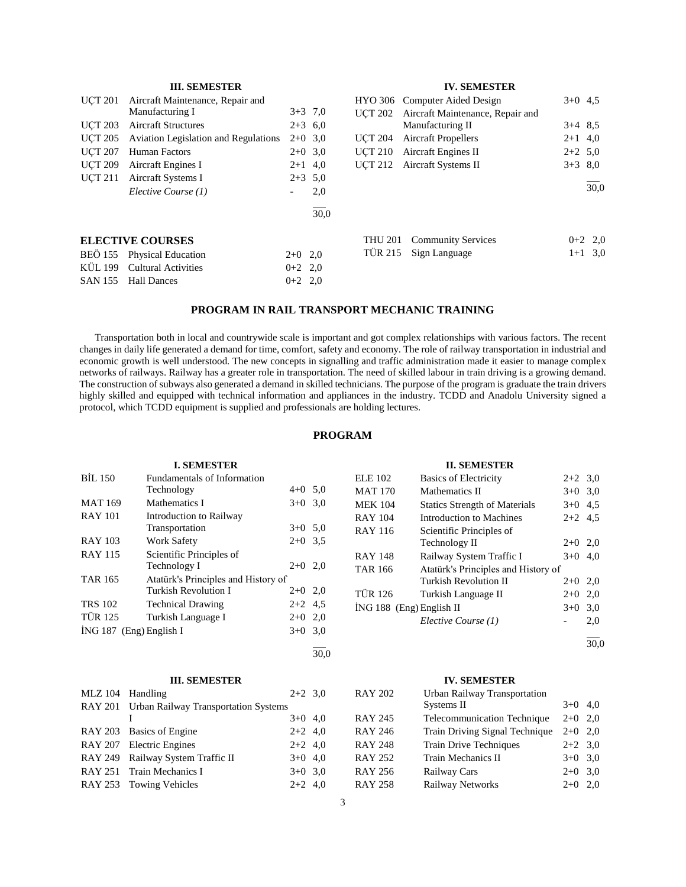|                | <b>III. SEMESTER</b>                        |                          |           |                | <b>IV. SEMESTER</b>              |           |           |
|----------------|---------------------------------------------|--------------------------|-----------|----------------|----------------------------------|-----------|-----------|
| <b>UCT 201</b> | Aircraft Maintenance, Repair and            |                          |           |                | HYO 306 Computer Aided Design    | $3+0$ 4.5 |           |
|                | Manufacturing I                             |                          | $3+3$ 7,0 | <b>UCT 202</b> | Aircraft Maintenance, Repair and |           |           |
| <b>UCT 203</b> | <b>Aircraft Structures</b>                  |                          | $2+3$ 6.0 |                | Manufacturing II                 | $3+4$ 8.5 |           |
| <b>UCT 205</b> | <b>Aviation Legislation and Regulations</b> |                          | $2+0$ 3.0 | <b>UCT 204</b> | <b>Aircraft Propellers</b>       | $2+1$ 4,0 |           |
| <b>UCT 207</b> | Human Factors                               |                          | $2+0$ 3.0 | <b>UCT 210</b> | <b>Aircraft Engines II</b>       | $2+2$ 5.0 |           |
| <b>UCT 209</b> | Aircraft Engines I                          |                          | $2+1$ 4,0 | <b>UCT 212</b> | Aircraft Systems II              | $3+3$ 8.0 |           |
| <b>UCT 211</b> | Aircraft Systems I                          |                          | $2+3$ 5.0 |                |                                  |           |           |
|                | Elective Course (1)                         | $\overline{\phantom{a}}$ | 2,0       |                |                                  |           | 30,0      |
|                |                                             |                          | 30.0      |                |                                  |           |           |
|                | <b>ELECTIVE COURSES</b>                     |                          |           | <b>THU 201</b> | <b>Community Services</b>        |           | $0+2$ 2,0 |
| <b>BEO 155</b> | <b>Physical Education</b>                   | $2+0$ 2,0                |           | <b>TÜR 215</b> | Sign Language                    |           | $1+1$ 3,0 |
| KÜL 199        | <b>Cultural Activities</b>                  | $0+2$ 2,0                |           |                |                                  |           |           |
| <b>SAN 155</b> | <b>Hall Dances</b>                          | $0+2$ 2.0                |           |                |                                  |           |           |

# **PROGRAM IN RAIL TRANSPORT MECHANIC TRAINING**

 Transportation both in local and countrywide scale is important and got complex relationships with various factors. The recent changes in daily life generated a demand for time, comfort, safety and economy. The role of railway transportation in industrial and economic growth is well understood. The new concepts in signalling and traffic administration made it easier to manage complex networks of railways. Railway has a greater role in transportation. The need of skilled labour in train driving is a growing demand. The construction of subways also generated a demand in skilled technicians. The purpose of the program is graduate the train drivers highly skilled and equipped with technical information and appliances in the industry. TCDD and Anadolu University signed a protocol, which TCDD equipment is supplied and professionals are holding lectures.

# **PROGRAM**

| <b>I. SEMESTER</b>                            |                                     |           |     |  |
|-----------------------------------------------|-------------------------------------|-----------|-----|--|
| <b>BIL 150</b><br>Fundamentals of Information |                                     |           |     |  |
|                                               | Technology<br>$4 + 0$               |           | 5,0 |  |
| <b>MAT 169</b>                                | Mathematics I                       | $3+0$     | 3,0 |  |
| <b>RAY 101</b>                                | Introduction to Railway             |           |     |  |
|                                               | Transportation                      | $3+0$ 5.0 |     |  |
| <b>RAY 103</b>                                | <b>Work Safety</b>                  | $2+0$     | 3.5 |  |
| <b>RAY 115</b>                                | Scientific Principles of            |           |     |  |
|                                               | Technology I                        | $2+0$ 2.0 |     |  |
| <b>TAR 165</b>                                | Atatürk's Principles and History of |           |     |  |
|                                               | <b>Turkish Revolution I</b>         | $2+0$ 2,0 |     |  |
| <b>TRS 102</b>                                | <b>Technical Drawing</b>            | $2+2$ 4.5 |     |  |
| <b>TÜR 125</b>                                | Turkish Language I                  | $2+0$     | 2,0 |  |
| $ING 187$ (Eng) English I                     |                                     | $3+0$     | 3.0 |  |

#### **III. SEMESTER**

| MLZ 104 Handling |                                              | $2+2$ 3.0 |  |
|------------------|----------------------------------------------|-----------|--|
|                  | RAY 201 Urban Railway Transportation Systems |           |  |
|                  |                                              | $3+0$ 4,0 |  |
|                  | RAY 203 Basics of Engine                     | $2+2$ 4,0 |  |
|                  | RAY 207 Electric Engines                     | $2+2$ 4,0 |  |
|                  | RAY 249 Railway System Traffic II            | $3+0$ 4.0 |  |
|                  | RAY 251 Train Mechanics I                    | $3+0$ 3.0 |  |
|                  | RAY 253 Towing Vehicles                      | $2+2$ 4,0 |  |

#### **II. SEMESTER**

| ELE 102                  | <b>Basics of Electricity</b>         | $2+2$ 3.0 |     |
|--------------------------|--------------------------------------|-----------|-----|
| MAT 170                  | Mathematics II                       | $3+0$ 3.0 |     |
| <b>MEK 104</b>           | <b>Statics Strength of Materials</b> | $3+0$ 4.5 |     |
| RAY 104                  | Introduction to Machines             | $2+2$ 4.5 |     |
| RAY 116                  | Scientific Principles of             |           |     |
|                          | Technology II                        | $2+0$ 2,0 |     |
| RAY 148                  | Railway System Traffic I             | $3+0$     | 4,0 |
| TAR 166                  | Atatürk's Principles and History of  |           |     |
|                          | <b>Turkish Revolution II</b>         | $2+0$ 2,0 |     |
| TÜR 126                  | Turkish Language II                  | $2+0$     | 2,0 |
| ING 188 (Eng) English II |                                      | $3+0$     | 3,0 |
|                          | Elective Course (1)                  |           | 2,0 |
|                          |                                      |           |     |

l 30,0

#### **IV. SEMESTER**

| <b>RAY 202</b> | Urban Railway Transportation       |           |     |
|----------------|------------------------------------|-----------|-----|
|                | Systems II                         | $3+0$     | 4.0 |
| RAY 245        | <b>Telecommunication Technique</b> | $2+0$     | 2.0 |
| RAY 246        | Train Driving Signal Technique     | $2+0$ 2,0 |     |
| <b>RAY 248</b> | Train Drive Techniques             | $2+2$ 3,0 |     |
| RAY 252        | Train Mechanics II                 | $3+0$ 3.0 |     |
| RAY 256        | Railway Cars                       | $2+0$     | 3.0 |
| <b>RAY 258</b> | Railway Networks                   | $2+0$     | 2.0 |

l 30,0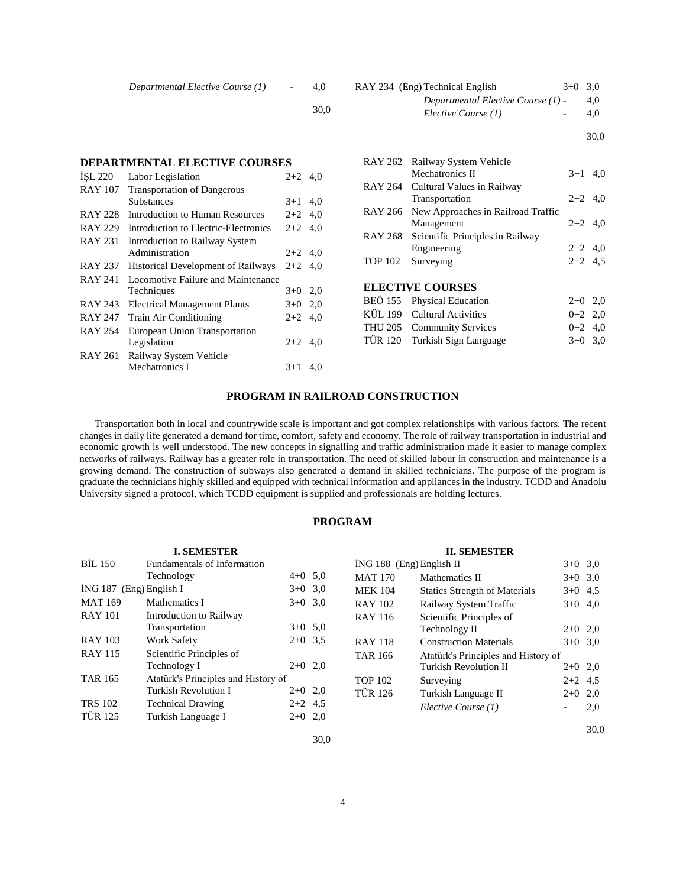| Departmental Elective Course (1) |  | 4,0 |
|----------------------------------|--|-----|
|----------------------------------|--|-----|

l 30,0

# RAY 234 (Eng) Technical English  $3+0$  3,0 *Departmental Elective Course (1)* - 4,0 *Elective Course (1)* - 4,0

l  $\frac{1}{30,0}$ 

|                | DEPARTMENTAL ELECTIVE COURSES             |           |     |
|----------------|-------------------------------------------|-----------|-----|
| <b>ISL 220</b> | Labor Legislation                         | $2+2$ 4,0 |     |
| <b>RAY 107</b> | <b>Transportation of Dangerous</b>        |           |     |
|                | Substances                                | $3+1$     | 4,0 |
| RAY 228        | Introduction to Human Resources           | $2+2$ 4,0 |     |
| RAY 229        | Introduction to Electric-Electronics      | $2+2$ 4,0 |     |
| <b>RAY 231</b> | Introduction to Railway System            |           |     |
|                | Administration                            | $2+2$ 4,0 |     |
| <b>RAY 237</b> | <b>Historical Development of Railways</b> | $2+2$ 4.0 |     |
| RAY 241        | Locomotive Failure and Maintenance        |           |     |
|                | Techniques                                | $3+0$     | 2,0 |
| RAY 243        | <b>Electrical Management Plants</b>       | $3+0$ 2,0 |     |
| <b>RAY 247</b> | Train Air Conditioning                    | $2+2$     | 4,0 |
| RAY 254        | European Union Transportation             |           |     |
|                | Legislation                               | $2+2$     | 4,0 |
| RAY 261        | Railway System Vehicle                    |           |     |
|                | Mechatronics I                            | $3+1$     | 4,0 |
|                |                                           |           |     |

**DEPARTMENTAL ELECTIVE COURSES**

|                | RAY 262 Railway System Vehicle<br><b>Mechatronics II</b> | $3+1$ 4,0 |     |
|----------------|----------------------------------------------------------|-----------|-----|
|                | RAY 264 Cultural Values in Railway<br>Transportation     | $2+2$ 4.0 |     |
|                | RAY 266 New Approaches in Railroad Traffic<br>Management | $2+2$ 4,0 |     |
|                | RAY 268 Scientific Principles in Railway<br>Engineering  | $2+2$ 4,0 |     |
| <b>TOP 102</b> | Surveying                                                | $2+2$ 4.5 |     |
|                | <b>ELECTIVE COURSES</b>                                  |           |     |
|                | BEÖ 155 Physical Education                               | $2+0$     | 2,0 |

| BEÖ 155 Physical Education    | $2+0$ 2,0 |  |
|-------------------------------|-----------|--|
| KÜL 199 Cultural Activities   | $0+2$ 2.0 |  |
| THU 205 Community Services    | $0+2$ 4.0 |  |
| TÜR 120 Turkish Sign Language | $3+0$ 3.0 |  |
|                               |           |  |

# **PROGRAM IN RAILROAD CONSTRUCTION**

 Transportation both in local and countrywide scale is important and got complex relationships with various factors. The recent changes in daily life generated a demand for time, comfort, safety and economy. The role of railway transportation in industrial and economic growth is well understood. The new concepts in signalling and traffic administration made it easier to manage complex networks of railways. Railway has a greater role in transportation. The need of skilled labour in construction and maintenance is a growing demand. The construction of subways also generated a demand in skilled technicians. The purpose of the program is graduate the technicians highly skilled and equipped with technical information and appliances in the industry. TCDD and Anadolu University signed a protocol, which TCDD equipment is supplied and professionals are holding lectures.

# **PROGRAM**

|                           | <b>I. SEMESTER</b>                  |           |      |                            | <b>II. SEMESTER</b>                  |           |      |
|---------------------------|-------------------------------------|-----------|------|----------------------------|--------------------------------------|-----------|------|
| BIL 150                   | Fundamentals of Information         |           |      | $ING 188$ (Eng) English II |                                      | $3+0$ 3.0 |      |
|                           | Technology                          | $4+0$ 5,0 |      | <b>MAT 170</b>             | Mathematics II                       | $3+0$ 3.0 |      |
| $ING 187$ (Eng) English I |                                     | $3+0$ 3.0 |      | <b>MEK 104</b>             | <b>Statics Strength of Materials</b> | $3+0$ 4.5 |      |
| <b>MAT 169</b>            | Mathematics I                       | $3+0$ 3.0 |      | <b>RAY 102</b>             | Railway System Traffic               | $3+0$ 4,0 |      |
| <b>RAY 101</b>            | Introduction to Railway             |           |      | <b>RAY 116</b>             | Scientific Principles of             |           |      |
|                           | Transportation                      | $3+0$ 5.0 |      |                            | Technology II                        | $2+0$ 2,0 |      |
| <b>RAY 103</b>            | <b>Work Safety</b>                  | $2+0$ 3.5 |      | <b>RAY 118</b>             | <b>Construction Materials</b>        | $3+0$ 3.0 |      |
| <b>RAY 115</b>            | Scientific Principles of            |           |      | <b>TAR 166</b>             | Atatürk's Principles and History of  |           |      |
|                           | Technology I                        | $2+0$ 2,0 |      |                            | <b>Turkish Revolution II</b>         | $2+0$ 2,0 |      |
| <b>TAR 165</b>            | Atatürk's Principles and History of |           |      | <b>TOP 102</b>             | Surveying                            | $2+2$ 4.5 |      |
|                           | <b>Turkish Revolution I</b>         | $2+0$ 2,0 |      | <b>TÜR 126</b>             | Turkish Language II                  | $2+0$ 2,0 |      |
| <b>TRS 102</b>            | <b>Technical Drawing</b>            | $2+2$ 4,5 |      |                            | Elective Course (1)                  |           | 2,0  |
| <b>TÜR 125</b>            | Turkish Language I                  | $2+0$ 2,0 |      |                            |                                      |           |      |
|                           |                                     |           |      |                            |                                      |           | 30,0 |
|                           |                                     |           | 30.0 |                            |                                      |           |      |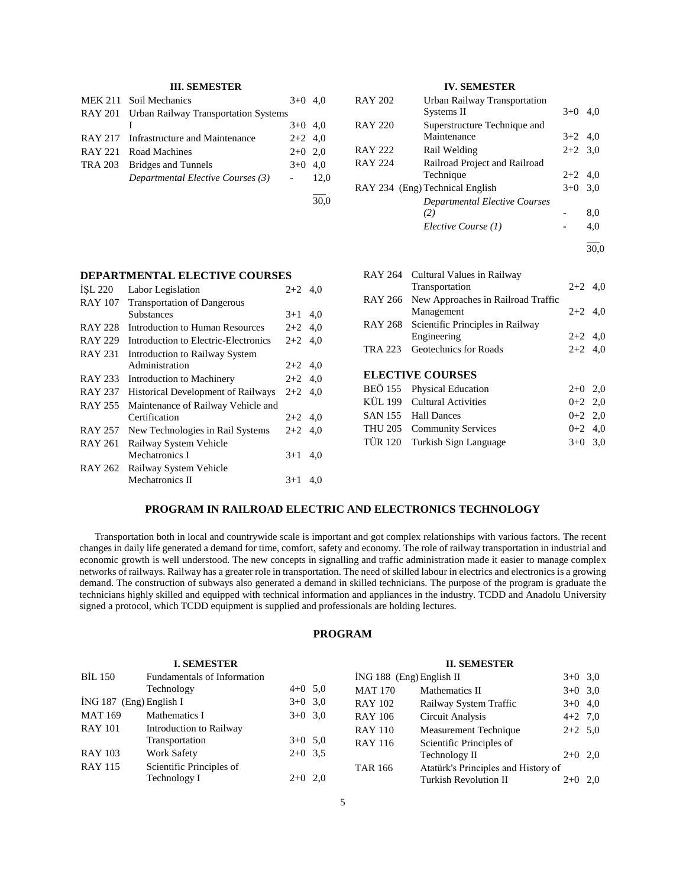# **III. SEMESTER**

| MEK 211 Soil Mechanics                       | $3+0$ 4.0 |  |
|----------------------------------------------|-----------|--|
| RAY 201 Urban Railway Transportation Systems |           |  |
|                                              | $3+0$ 4,0 |  |
| RAY 217 Infrastructure and Maintenance       | $2+2$ 4,0 |  |
| RAY 221 Road Machines                        | $2+0$ 2.0 |  |
| TRA 203 Bridges and Tunnels                  | $3+0$ 4.0 |  |
| Departmental Elective Courses (3)            | $-12.0$   |  |
|                                              |           |  |

30,0

# **IV. SEMESTER**

| <b>RAY 202</b> | Urban Railway Transportation<br>Systems II  | $3+0$     | 4.0 |
|----------------|---------------------------------------------|-----------|-----|
| <b>RAY 220</b> | Superstructure Technique and<br>Maintenance | $3+2$ 4,0 |     |
| <b>RAY 222</b> | Rail Welding                                | $2+2$ 3.0 |     |
| <b>RAY 224</b> | Railroad Project and Railroad               |           |     |
|                | Technique                                   | $2+2$ 4.0 |     |
|                | RAY 234 (Eng) Technical English             | $3+0$     | 3,0 |
|                | Departmental Elective Courses               |           |     |
|                | (2)                                         |           | 8,0 |
|                | Elective Course (1)                         |           | 4.0 |
|                |                                             |           |     |

30,0

# **DEPARTMENTAL ELECTIVE COURSES**

| ISL 220        | Labor Legislation                         | $2+2$ 4.0 |     |
|----------------|-------------------------------------------|-----------|-----|
| <b>RAY 107</b> | <b>Transportation of Dangerous</b>        |           |     |
|                | <b>Substances</b>                         | $3+1$     | 4,0 |
| <b>RAY 228</b> | Introduction to Human Resources           | $2+2$ 4.0 |     |
| <b>RAY 229</b> | Introduction to Electric-Electronics      | $2+2$ 4,0 |     |
| <b>RAY 231</b> | Introduction to Railway System            |           |     |
|                | Administration                            | $2+2$ 4,0 |     |
| <b>RAY 233</b> | Introduction to Machinery                 | $2+2$ 4,0 |     |
| <b>RAY 237</b> | <b>Historical Development of Railways</b> | $2+2$ 4.0 |     |
| <b>RAY 255</b> | Maintenance of Railway Vehicle and        |           |     |
|                | Certification                             | $2+2$ 4,0 |     |
| <b>RAY 257</b> | New Technologies in Rail Systems          | $2+2$ 4.0 |     |
| <b>RAY 261</b> | Railway System Vehicle                    |           |     |
|                | Mechatronics I                            | $3+1$     | 4,0 |
| RAY 262        | Railway System Vehicle                    |           |     |
|                | Mechatronics II                           | $3+1$     | 4,0 |

|  | RAY 264 Cultural Values in Railway         |           |  |
|--|--------------------------------------------|-----------|--|
|  | Transportation                             | $2+2$ 4,0 |  |
|  | RAY 266 New Approaches in Railroad Traffic |           |  |
|  | Management                                 | $2+2$ 4,0 |  |
|  | RAY 268 Scientific Principles in Railway   |           |  |
|  | Engineering                                | $2+2$ 4,0 |  |
|  | TRA 223 Geotechnics for Roads              | $2+2$ 4,0 |  |
|  |                                            |           |  |
|  | <b>ELECTIVE COURSES</b>                    |           |  |
|  | BEÖ 155 Physical Education                 | $2+0$ 2,0 |  |
|  | KÜL 199 Cultural Activities                | $0+2$ 2,0 |  |
|  | SAN 155 Hall Dances                        | $0+2$ 2.0 |  |

THU 205 Community Services  $0+2$  4,0 TÜR 120 Turkish Sign Language 3+0 3,0

# **PROGRAM IN RAILROAD ELECTRIC AND ELECTRONICS TECHNOLOGY**

 Transportation both in local and countrywide scale is important and got complex relationships with various factors. The recent changes in daily life generated a demand for time, comfort, safety and economy. The role of railway transportation in industrial and economic growth is well understood. The new concepts in signalling and traffic administration made it easier to manage complex networks of railways. Railway has a greater role in transportation. The need of skilled labour in electrics and electronics is a growing demand. The construction of subways also generated a demand in skilled technicians. The purpose of the program is graduate the technicians highly skilled and equipped with technical information and appliances in the industry. TCDD and Anadolu University signed a protocol, which TCDD equipment is supplied and professionals are holding lectures.

# **PROGRAM**

| <b>I. SEMESTER</b>                            |                          |           |                            | <b>II. SEMESTER</b>                 |           |  |
|-----------------------------------------------|--------------------------|-----------|----------------------------|-------------------------------------|-----------|--|
| <b>BIL 150</b><br>Fundamentals of Information |                          |           | $ING 188$ (Eng) English II |                                     | $3+0$ 3,0 |  |
|                                               | Technology               | $4+0$ 5,0 | <b>MAT 170</b>             | Mathematics II                      | $3+0$ 3,0 |  |
| İNG 187 (Eng) English I                       |                          | $3+0$ 3,0 | <b>RAY 102</b>             | Railway System Traffic              | $3+0$ 4,0 |  |
| <b>MAT 169</b>                                | Mathematics I            | $3+0$ 3.0 | <b>RAY 106</b>             | Circuit Analysis                    | $4+2$ 7,0 |  |
| <b>RAY 101</b>                                | Introduction to Railway  |           | <b>RAY 110</b>             | Measurement Technique               | $2+2$ 5.0 |  |
|                                               | Transportation           | $3+0$ 5,0 | <b>RAY 116</b>             | Scientific Principles of            |           |  |
| <b>RAY 103</b>                                | <b>Work Safety</b>       | $2+0$ 3.5 |                            | Technology II                       | $2+0$ 2,0 |  |
| <b>RAY 115</b>                                | Scientific Principles of |           | <b>TAR 166</b>             | Atatürk's Principles and History of |           |  |
|                                               | Technology I             | $2+0$ 2,0 |                            | Turkish Revolution II               | $2+0$ 2.0 |  |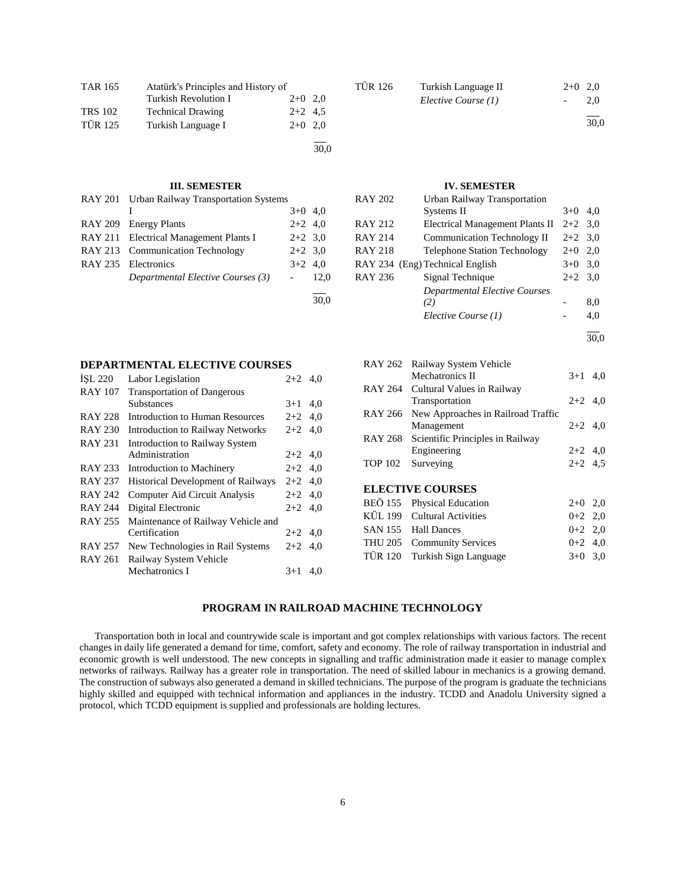| <b>TAR 165</b> | Atatürk's Principles and History of |           |      |  |  |  |  |
|----------------|-------------------------------------|-----------|------|--|--|--|--|
|                | Turkish Revolution I                | $2+0$ 2.0 |      |  |  |  |  |
| <b>TRS 102</b> | <b>Technical Drawing</b>            | $2+2$ 4.5 |      |  |  |  |  |
| <b>TÜR 125</b> | Turkish Language I                  | $2+0$ 2.0 |      |  |  |  |  |
|                |                                     |           | 30,0 |  |  |  |  |

#### **III. SEMESTER**

| RAY 201 Urban Railway Transportation Systems |           |      |
|----------------------------------------------|-----------|------|
|                                              | $3+0$ 4,0 |      |
| RAY 209 Energy Plants                        | $2+2$ 4,0 |      |
| RAY 211 Electrical Management Plants I       | $2+2$ 3.0 |      |
| RAY 213 Communication Technology             | $2+2$ 3.0 |      |
| RAY 235 Electronics                          | $3+2$ 4.0 |      |
| Departmental Elective Courses (3)            |           | 12,0 |
|                                              |           |      |

# TÜR 126 Turkish Language II 2+0 2,0 *Elective Course (1)* - 2,0 l

30,0

# **IV. SEMESTER**

| RAY 202 | Urban Railway Transportation         |           |      |
|---------|--------------------------------------|-----------|------|
|         | Systems II                           | $3+0$     | 4.0  |
| RAY 212 | Electrical Management Plants II      | $2+2$ 3.0 |      |
| RAY 214 | Communication Technology II          | $2+2$ 3.0 |      |
| RAY 218 | <b>Telephone Station Technology</b>  | $2+0$     | 2,0  |
|         | RAY 234 (Eng) Technical English      | $3+0$ 3.0 |      |
| RAY 236 | Signal Technique                     | $2+2$ 3.0 |      |
|         | <b>Departmental Elective Courses</b> |           |      |
|         | (2)                                  |           | 8,0  |
|         | Elective Course (1)                  |           | 4,0  |
|         |                                      |           | 30.0 |

| RAY 262        | Railway System Vehicle             |           |  |
|----------------|------------------------------------|-----------|--|
|                | Mechatronics II                    | $3+1$ 4,0 |  |
|                | RAY 264 Cultural Values in Railway |           |  |
|                | Transportation                     | $2+2$ 4,0 |  |
| RAY 266        | New Approaches in Railroad Traffic |           |  |
|                | Management                         | $2+2$ 4,0 |  |
| RAY 268        | Scientific Principles in Railway   |           |  |
|                | Engineering                        | $2+2$ 4,0 |  |
| <b>TOP 102</b> | Surveying                          | $2+2$ 4.5 |  |
|                |                                    |           |  |
|                | <b>ELECTIVE COURSES</b>            |           |  |
|                | BEÖ 155 Physical Education         | $2+0$ 2,0 |  |
|                | KÜL 199 Cultural Activities        | $0+2$ 2,0 |  |
|                | SAN 155 Hall Dances                | $0+2$ 2,0 |  |
|                | THU 205 Community Services         | $0+2$ 4,0 |  |
| <b>TÜR 120</b> | Turkish Sign Language              | $3+0$ 3.0 |  |

# **PROGRAM IN RAILROAD MACHINE TECHNOLOGY**

 Transportation both in local and countrywide scale is important and got complex relationships with various factors. The recent changes in daily life generated a demand for time, comfort, safety and economy. The role of railway transportation in industrial and economic growth is well understood. The new concepts in signalling and traffic administration made it easier to manage complex networks of railways. Railway has a greater role in transportation. The need of skilled labour in mechanics is a growing demand. The construction of subways also generated a demand in skilled technicians. The purpose of the program is graduate the technicians highly skilled and equipped with technical information and appliances in the industry. TCDD and Anadolu University signed a protocol, which TCDD equipment is supplied and professionals are holding lectures.

#### **DEPARTMENTAL ELECTIVE COURSES**

| ISL 220        | Labor Legislation                         | $2+2$ 4.0 |     |
|----------------|-------------------------------------------|-----------|-----|
| <b>RAY 107</b> | <b>Transportation of Dangerous</b>        |           |     |
|                | <b>Substances</b>                         | $3+1$     | 4,0 |
| RAY 228        | Introduction to Human Resources           | $2+2$ 4,0 |     |
| <b>RAY 230</b> | <b>Introduction to Railway Networks</b>   | $2+2$     | 4.0 |
| <b>RAY 231</b> | Introduction to Railway System            |           |     |
|                | Administration                            | $2+2$ 4.0 |     |
| <b>RAY 233</b> | Introduction to Machinery                 | $2+2$ 4,0 |     |
| <b>RAY 237</b> | <b>Historical Development of Railways</b> | $2+2$ 4.0 |     |
| <b>RAY 242</b> | Computer Aid Circuit Analysis             | $2+2$ 4.0 |     |
| <b>RAY 244</b> | Digital Electronic                        | $2+2$     | 4.0 |
| <b>RAY 255</b> | Maintenance of Railway Vehicle and        |           |     |
|                | Certification                             | $2+2$ 4.0 |     |
| <b>RAY 257</b> | New Technologies in Rail Systems          | $2+2$     | 4,0 |
| RAY 261        | Railway System Vehicle                    |           |     |
|                | Mechatronics I                            | $3+1$     | 4,0 |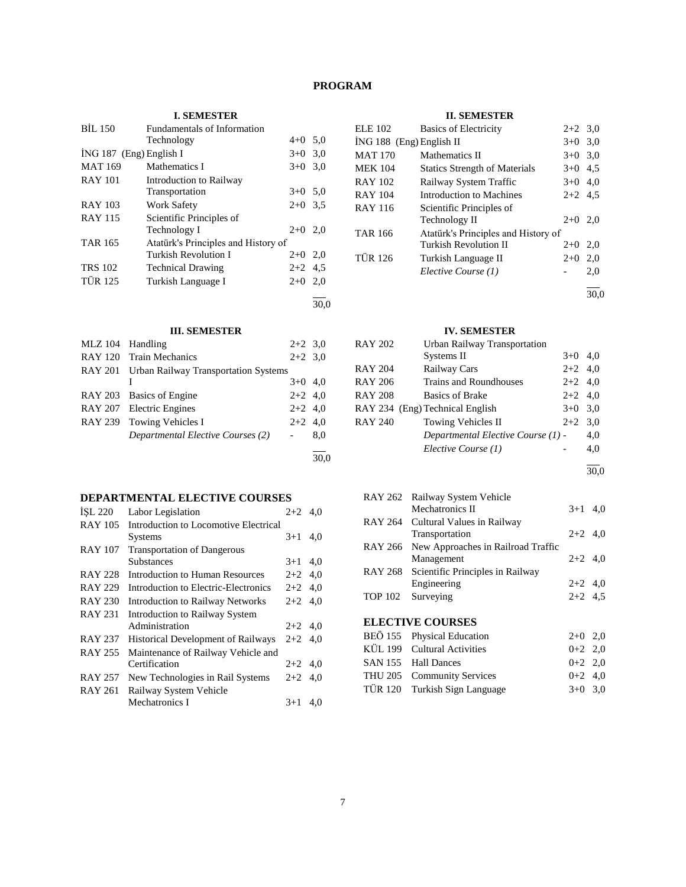# **PROGRAM**

# **I. SEMESTER**

| <b>BIL 150</b> | <b>Fundamentals of Information</b>  |           |      |
|----------------|-------------------------------------|-----------|------|
|                | Technology                          | $4 + 0$   | 5,0  |
|                | $ING 187$ (Eng) English I           | $3+0$     | 3,0  |
| <b>MAT 169</b> | Mathematics I                       | $3+0$     | 3,0  |
| <b>RAY 101</b> | Introduction to Railway             |           |      |
|                | Transportation                      | $3+0$ 5.0 |      |
| <b>RAY 103</b> | <b>Work Safety</b>                  | $2+0$     | 3.5  |
| <b>RAY 115</b> | Scientific Principles of            |           |      |
|                | Technology I                        | $2+0$ 2.0 |      |
| <b>TAR 165</b> | Atatürk's Principles and History of |           |      |
|                | <b>Turkish Revolution I</b>         | $2+0$ 2,0 |      |
| <b>TRS 102</b> | <b>Technical Drawing</b>            | $2+2$ 4.5 |      |
| <b>TÜR 125</b> | Turkish Language I                  | $2+0$     | 2,0  |
|                |                                     |           | 30.0 |

# **III. SEMESTER**

| <b>MLZ</b> 104 | Handling                                     | $2+2$ 3,0 |      |
|----------------|----------------------------------------------|-----------|------|
|                | RAY 120 Train Mechanics                      | $2+2$ 3.0 |      |
|                | RAY 201 Urban Railway Transportation Systems |           |      |
|                |                                              | $3+0$ 4,0 |      |
|                | RAY 203 Basics of Engine                     | $2+2$ 4,0 |      |
|                | RAY 207 Electric Engines                     | $2+2$ 4,0 |      |
|                | RAY 239 Towing Vehicles I                    | $2+2$ 4.0 |      |
|                | Departmental Elective Courses (2)            |           | 8,0  |
|                |                                              |           |      |
|                |                                              |           | 30.0 |

# **DEPARTMENTAL ELECTIVE COURSES**

| ISL 220        | Labor Legislation                         | $2+2$ 4.0 |     |
|----------------|-------------------------------------------|-----------|-----|
| <b>RAY 105</b> | Introduction to Locomotive Electrical     |           |     |
|                | <b>Systems</b>                            | $3+1$     | 4.0 |
| <b>RAY 107</b> | <b>Transportation of Dangerous</b>        |           |     |
|                | <b>Substances</b>                         | $3+1$     | 4,0 |
| <b>RAY 228</b> | Introduction to Human Resources           | $2+2$ 4.0 |     |
| <b>RAY 229</b> | Introduction to Electric-Electronics      | $2+2$ 4.0 |     |
| <b>RAY 230</b> | <b>Introduction to Railway Networks</b>   | $2+2$ 4.0 |     |
| <b>RAY 231</b> | <b>Introduction to Railway System</b>     |           |     |
|                | Administration                            | $2+2$ 4.0 |     |
| <b>RAY 237</b> | <b>Historical Development of Railways</b> | $2+2$ 4.0 |     |
| <b>RAY 255</b> | Maintenance of Railway Vehicle and        |           |     |
|                | Certification                             | $2+2$ 4.0 |     |
| <b>RAY 257</b> | New Technologies in Rail Systems          | $2+2$ 4,0 |     |
| <b>RAY 261</b> | Railway System Vehicle                    |           |     |
|                | Mechatronics I                            | $3+1$     | 4,0 |

# **II. SEMESTER**

| ELE 102                  | <b>Basics of Electricity</b>         | $2+2$ 3.0 |     |
|--------------------------|--------------------------------------|-----------|-----|
| İNG 188 (Eng) English II |                                      | $3+0$ 3,0 |     |
| MAT 170                  | Mathematics II                       | $3+0$ 3.0 |     |
| MEK 104                  | <b>Statics Strength of Materials</b> | $3+0$ 4,5 |     |
| RAY 102                  | Railway System Traffic               | $3+0$ 4,0 |     |
| RAY 104                  | Introduction to Machines             | $2+2$ 4.5 |     |
| RAY 116                  | Scientific Principles of             |           |     |
|                          | Technology II                        | $2+0$ 2,0 |     |
| TAR 166                  | Atatürk's Principles and History of  |           |     |
|                          | <b>Turkish Revolution II</b>         | $2+0$ 2,0 |     |
| TÜR 126                  | Turkish Language II                  | $2+0$     | 2,0 |
|                          | Elective Course (1)                  |           | 2,0 |
|                          |                                      |           |     |

 $\overline{30,0}$ 

# **IV. SEMESTER**

| RAY 202 | Urban Railway Transportation       |           |     |
|---------|------------------------------------|-----------|-----|
|         | Systems II                         | $3+0$ 4,0 |     |
| RAY 204 | Railway Cars                       | $2+2$ 4,0 |     |
| RAY 206 | Trains and Roundhouses             | $2+2$ 4,0 |     |
| RAY 208 | <b>Basics of Brake</b>             | $2+2$ 4,0 |     |
|         | RAY 234 (Eng) Technical English    | $3+0$ 3.0 |     |
| RAY 240 | Towing Vehicles II                 | $2+2$ 3.0 |     |
|         | Departmental Elective Course (1) - |           | 4,0 |
|         | Elective Course (1)                |           | 4,0 |
|         |                                    |           |     |

30,0

| RAY 262 Railway System Vehicle             |           |  |
|--------------------------------------------|-----------|--|
| Mechatronics II                            | $3+1$ 4.0 |  |
| RAY 264 Cultural Values in Railway         |           |  |
| Transportation                             | $2+2$ 4.0 |  |
| RAY 266 New Approaches in Railroad Traffic |           |  |
| Management                                 | $2+2$ 4.0 |  |
| RAY 268 Scientific Principles in Railway   |           |  |
| Engineering                                | $2+2$ 4,0 |  |
| TOP 102 Surveying                          | $2+2$ 4,5 |  |
|                                            |           |  |
| <b>ELECTIVE COURSES</b>                    |           |  |

| BEÖ 155 Physical Education    | $2+0$ 2,0 |  |
|-------------------------------|-----------|--|
| KÜL 199 Cultural Activities   | $0+2$ 2,0 |  |
| SAN 155 Hall Dances           | $0+2$ 2.0 |  |
| THU 205 Community Services    | $0+2$ 4.0 |  |
| TÜR 120 Turkish Sign Language | $3+0$ 3.0 |  |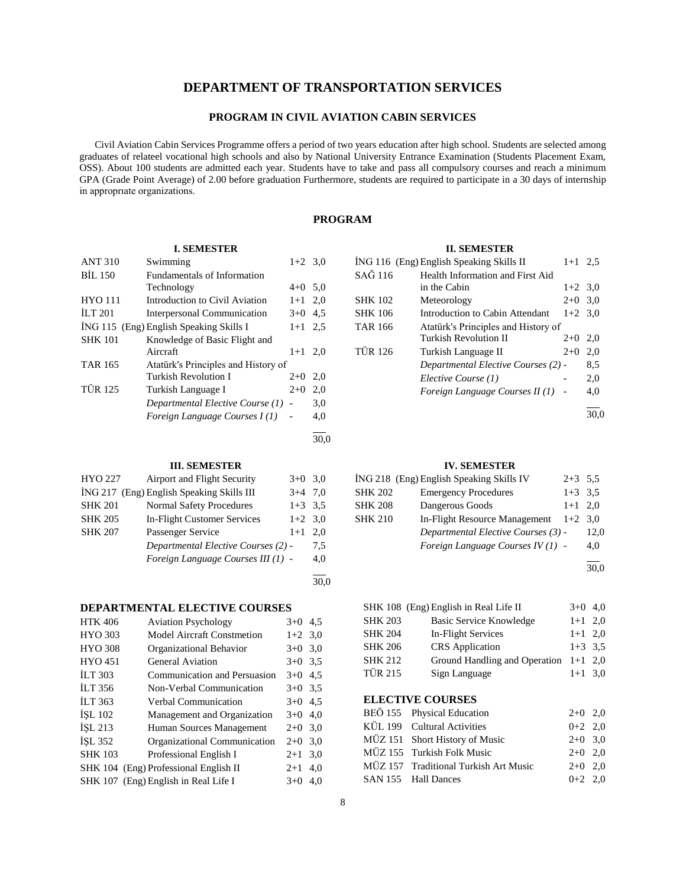# **DEPARTMENT OF TRANSPORTATION SERVICES**

# **PROGRAM IN CIVIL AVIATION CABIN SERVICES**

 Civil Aviation Cabin Services Programme offers a period of two years education after high school. Students are selected among graduates of relateel vocational high schools and also by National University Entrance Examination (Students Placement Exam, OSS). About 100 students are admitted each year. Students have to take and pass all compulsory courses and reach a minimum GPA (Grade Point Average) of 2.00 before graduation Furthermore, students are required to participate in a 30 days of internship in approprıate organizations.

# **PROGRAM**

# **I. SEMESTER**

| <b>ANT 310</b> | Swimming                                | $1+2$ 3.0                |     |
|----------------|-----------------------------------------|--------------------------|-----|
| BIL 150        | Fundamentals of Information             |                          |     |
|                | Technology                              | $4+0$ 5,0                |     |
| <b>HYO 111</b> | Introduction to Civil Aviation          | $1 + 1$                  | 2,0 |
| <b>ILT 201</b> | Interpersonal Communication             | $3+0$                    | 4.5 |
|                | İNG 115 (Eng) English Speaking Skills I | $1 + 1$                  | 2.5 |
| <b>SHK 101</b> | Knowledge of Basic Flight and           |                          |     |
|                | Aircraft                                | $1+1$                    | 2.0 |
| <b>TAR 165</b> | Atatürk's Principles and History of     |                          |     |
|                | Turkish Revolution I                    | $2+0$                    | 2,0 |
| <b>TÜR 125</b> | Turkish Language I                      | $2+0$                    | 2,0 |
|                | Departmental Elective Course (1)        |                          | 3,0 |
|                | Foreign Language Courses I(1)           | $\overline{\phantom{a}}$ | 4,0 |
|                |                                         |                          |     |

30,0

30,0

# **III. SEMESTER**

| <b>HYO 227</b> | Airport and Flight Security               | $3+0$     | 3,0 |
|----------------|-------------------------------------------|-----------|-----|
|                | ING 217 (Eng) English Speaking Skills III | $3+4$     | 7.0 |
| <b>SHK 201</b> | <b>Normal Safety Procedures</b>           | $1+3$ 3.5 |     |
| <b>SHK 205</b> | In-Flight Customer Services               | $1+2$ 3.0 |     |
| <b>SHK 207</b> | Passenger Service                         | $1+1$     | 2.0 |
|                | Departmental Elective Courses (2) -       |           | 7.5 |
|                | Foreign Language Courses III (1) -        |           | 4,0 |
|                |                                           |           |     |

# **DEPARTMENTAL ELECTIVE COURSES**

| <b>HTK 406</b> | <b>Aviation Psychology</b>            | $3+0$ 4.5 |     |
|----------------|---------------------------------------|-----------|-----|
| <b>HYO 303</b> | <b>Model Aircraft Constmetion</b>     | $1+2$ 3,0 |     |
| <b>HYO 308</b> | Organizational Behavior               | $3+0$     | 3,0 |
| <b>HYO 451</b> | General Aviation                      | $3+0$ 3.5 |     |
| <b>ILT 303</b> | Communication and Persuasion          | $3+0$     | 4.5 |
| <b>ILT 356</b> | Non-Verbal Communication              | $3+0$ 3.5 |     |
| <b>ILT 363</b> | Verbal Communication                  | $3+0$     | 4,5 |
| ISL 102        | Management and Organization           | $3+0$     | 4,0 |
| ISL213         | Human Sources Management              | $2+0$     | 3,0 |
| ISL 352        | Organizational Communication          | $2+0$     | 3,0 |
| <b>SHK 103</b> | Professional English I                | $2 + 1$   | 3.0 |
|                | SHK 104 (Eng) Professional English II | $2 + 1$   | 4.0 |
|                | SHK 107 (Eng) English in Real Life I  | $3+0$     | 4.0 |

# **II. SEMESTER**

|                | ING 116 (Eng) English Speaking Skills II | $1 + 1$   | 2.5  |
|----------------|------------------------------------------|-----------|------|
| SAĞ 116        | Health Information and First Aid         |           |      |
|                | in the Cabin                             | $1+2$ 3.0 |      |
| <b>SHK 102</b> | Meteorology                              | $2+0$     | 3,0  |
| <b>SHK 106</b> | Introduction to Cabin Attendant          | $1+2$ 3.0 |      |
| <b>TAR 166</b> | Atatürk's Principles and History of      |           |      |
|                | Turkish Revolution II                    | $2+0$     | 2,0  |
| <b>TÜR 126</b> | Turkish Language II                      | $2+0$     | 2,0  |
|                | Departmental Elective Courses (2) -      |           | 8.5  |
|                | Elective Course (1)                      |           | 2,0  |
|                | Foreign Language Courses II (1) -        |           | 4,0  |
|                |                                          |           | 30.0 |

# **IV. SEMESTER**

|                | ING 218 (Eng) English Speaking Skills IV | $2+3$ 5.5 |      |
|----------------|------------------------------------------|-----------|------|
| <b>SHK 202</b> | <b>Emergency Procedures</b>              | $1+3$ 3.5 |      |
| <b>SHK 208</b> | Dangerous Goods                          | $1+1$ 2.0 |      |
| <b>SHK 210</b> | In-Flight Resource Management            | $1+2$ 3.0 |      |
|                | Departmental Elective Courses (3) -      |           | 12,0 |
|                | Foreign Language Courses $IV(1)$ -       |           | 4,0  |
|                |                                          |           |      |

30,0

|                | SHK 108 (Eng) English in Real Life II   | $3+0$ 4,0 |  |
|----------------|-----------------------------------------|-----------|--|
| <b>SHK 203</b> | <b>Basic Service Knowledge</b>          | $1+1$ 2,0 |  |
| <b>SHK 204</b> | In-Flight Services                      | $1+1$ 2,0 |  |
| <b>SHK 206</b> | <b>CRS</b> Application                  | $1+3$ 3.5 |  |
| <b>SHK 212</b> | Ground Handling and Operation $1+1$ 2,0 |           |  |
| <b>TÜR 215</b> | Sign Language                           | $1+1$ 3,0 |  |
|                |                                         |           |  |

# **ELECTIVE COURSES**

| BEÖ 155 Physical Education            | $2+0$ 2,0 |  |
|---------------------------------------|-----------|--|
| KÜL 199 Cultural Activities           | $0+2$ 2.0 |  |
| MÜZ 151 Short History of Music        | $2+0$ 3.0 |  |
| MÜZ 155 Turkish Folk Music            | $2+0$ 2.0 |  |
| MÜZ 157 Traditional Turkish Art Music | $2+0$ 2.0 |  |
| SAN 155 Hall Dances                   | $0+2$ 2.0 |  |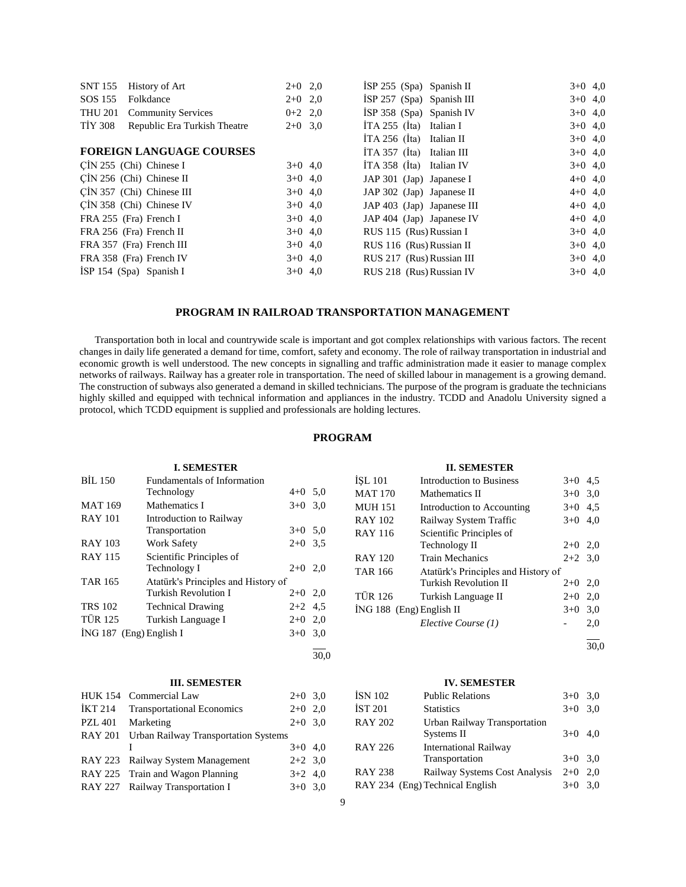| <b>SNT 155</b><br>History of Art               | $2+0$ 2,0 |           | ISP $255$ (Spa) Spanish II  | $3+0$ 4,0 |  |
|------------------------------------------------|-----------|-----------|-----------------------------|-----------|--|
|                                                |           |           |                             |           |  |
| SOS 155<br>Folkdance                           | $2+0$ 2,0 |           | $ISP 257$ (Spa) Spanish III | $3+0$ 4,0 |  |
| <b>THU 201</b><br><b>Community Services</b>    | $0+2$ 2,0 |           | $ISP 358$ (Spa) Spanish IV  | $3+0$ 4,0 |  |
| <b>TIY 308</b><br>Republic Era Turkish Theatre | $2+0$ 3.0 |           | $ITA 255$ (Ita) Italian I   | $3+0$ 4,0 |  |
|                                                |           |           | $ITA 256$ (Ita) Italian II  | $3+0$ 4,0 |  |
| <b>FOREIGN LANGUAGE COURSES</b>                |           |           | İTA 357 (İta) Italian III   | $3+0$ 4,0 |  |
| $CIN 255$ (Chi) Chinese I                      |           | $3+0$ 4,0 | $ITA 358$ (Ita) Italian IV  | $3+0$ 4,0 |  |
| $\overline{C}$ IN 256 (Chi) Chinese II         |           | $3+0$ 4,0 | JAP 301 (Jap) Japanese I    | $4+0$ 4,0 |  |
| CİN 357 (Chi) Chinese III                      |           | $3+0$ 4,0 | JAP 302 (Jap) Japanese II   | $4+0$ 4,0 |  |
| CIN 358 (Chi) Chinese IV                       |           | $3+0$ 4,0 | JAP 403 (Jap) Japanese III  | $4+0$ 4,0 |  |
| FRA 255 (Fra) French I                         |           | $3+0$ 4,0 | JAP 404 (Jap) Japanese IV   | $4+0$ 4,0 |  |
| FRA 256 (Fra) French II                        |           | $3+0$ 4,0 | RUS 115 (Rus) Russian I     | $3+0$ 4,0 |  |
| FRA 357 (Fra) French III                       |           | $3+0$ 4,0 | RUS 116 (Rus) Russian II    | $3+0$ 4,0 |  |
| FRA 358 (Fra) French IV                        |           | $3+0$ 4,0 | RUS 217 (Rus) Russian III   | $3+0$ 4,0 |  |
| ISP 154 $(Spa)$ Spanish I                      |           | $3+0$ 4,0 | RUS 218 (Rus) Russian IV    | $3+0$ 4,0 |  |
|                                                |           |           |                             |           |  |

# **PROGRAM IN RAILROAD TRANSPORTATION MANAGEMENT**

 Transportation both in local and countrywide scale is important and got complex relationships with various factors. The recent changes in daily life generated a demand for time, comfort, safety and economy. The role of railway transportation in industrial and economic growth is well understood. The new concepts in signalling and traffic administration made it easier to manage complex networks of railways. Railway has a greater role in transportation. The need of skilled labour in management is a growing demand. The construction of subways also generated a demand in skilled technicians. The purpose of the program is graduate the technicians highly skilled and equipped with technical information and appliances in the industry. TCDD and Anadolu University signed a protocol, which TCDD equipment is supplied and professionals are holding lectures.

# **PROGRAM**

# **I. SEMESTER** BİL 150 Fundamentals of Information Technology 4+0 5,0 MAT 169 Mathematics I  $3+0$  3,0 RAY 101 Introduction to Railway Transportation 3+0 5,0 RAY 103 Work Safety 2+0 3,5 RAY 115 Scientific Principles of Technology I 2+0 2,0 TAR 165 Atatürk's Principles and History of Turkish Revolution I 2+0 2,0 TRS 102 Technical Drawing 2+2 4,5 TÜR 125 Turkish Language I 2+0 2,0 İNG 187 (Eng) English I 3+0 3,0 l 30,0 **III. SEMESTER**

| HUK 154 Commercial Law                       | $2+0$ 3,0 |  |
|----------------------------------------------|-----------|--|
| İKT 214 Transportational Economics           | $2+0$ 2,0 |  |
| PZL 401 Marketing                            | $2+0$ 3,0 |  |
| RAY 201 Urban Railway Transportation Systems |           |  |
|                                              | $3+0$ 4,0 |  |
| RAY 223 Railway System Management            | $2+2$ 3,0 |  |
| RAY 225 Train and Wagon Planning             | $3+2$ 4,0 |  |
| RAY 227 Railway Transportation I             | $3+0$ 3,0 |  |

# **II. SEMESTER**

| ÍSL 101                  | Introduction to Business            | $3+0$     | 4,5 |
|--------------------------|-------------------------------------|-----------|-----|
| MAT 170                  | Mathematics II                      | $3+0$     | 3,0 |
| MUH 151                  | Introduction to Accounting          | $3+0$     | 4,5 |
| RAY 102                  | Railway System Traffic              | $3+0$     | 4,0 |
| RAY 116                  | Scientific Principles of            |           |     |
|                          | Technology II                       | $2+0$ 2,0 |     |
| RAY 120                  | <b>Train Mechanics</b>              | $2+2$ 3.0 |     |
| TAR 166                  | Atatürk's Principles and History of |           |     |
|                          | Turkish Revolution II               | $2+0$     | 2,0 |
| TÜR 126                  | Turkish Language II                 | $2+0$     | 2,0 |
| ING 188 (Eng) English II |                                     | $3+0$     | 3,0 |
|                          | Elective Course (1)                 |           | 2,0 |
|                          |                                     |           |     |

30,0

#### **IV. SEMESTER**

| İSN 102        | <b>Public Relations</b>         | $3+0$     | 3.0 |
|----------------|---------------------------------|-----------|-----|
| <b>İST 201</b> | <b>Statistics</b>               | $3+0$     | 3.0 |
| <b>RAY 202</b> | Urban Railway Transportation    |           |     |
|                | Systems II                      | $3+0$ 4,0 |     |
| <b>RAY 226</b> | <b>International Railway</b>    |           |     |
|                | Transportation                  | $3+0$ 3.0 |     |
| <b>RAY 238</b> | Railway Systems Cost Analysis   | $2+0$     | 2.0 |
|                | RAY 234 (Eng) Technical English | $3+0$     | 3.0 |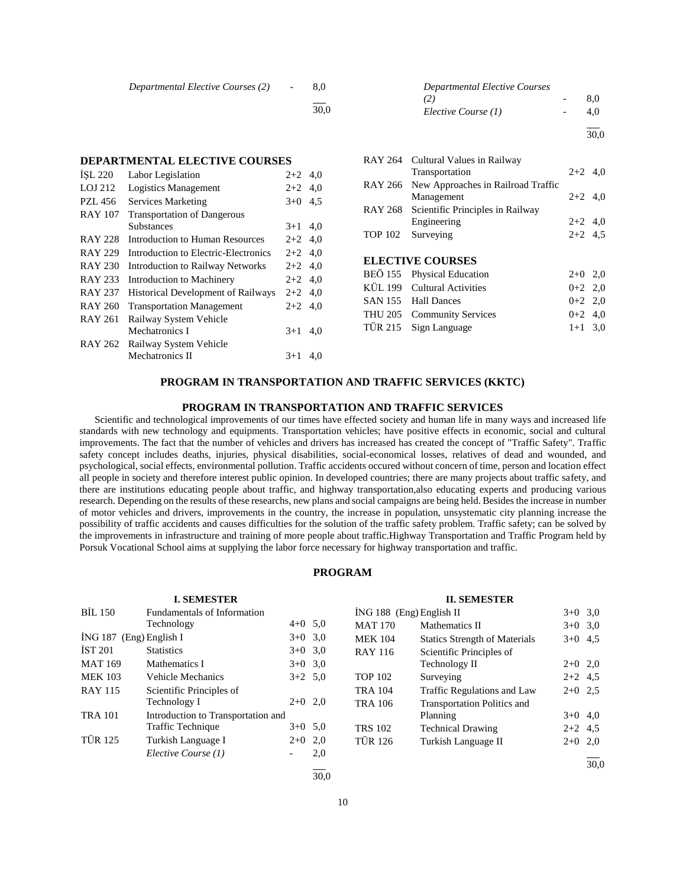| Departmental Elective Courses (2) | $\sim$ $\sim$ | 8.0  |
|-----------------------------------|---------------|------|
|                                   |               | 30.0 |

# **DEPARTMENTAL ELECTIVE COURSES**

| ISL 220        | Labor Legislation                         | $2+2$     | 4.0 |
|----------------|-------------------------------------------|-----------|-----|
| LOJ 212        | <b>Logistics Management</b>               | $2+2$ 4.0 |     |
| PZL 456        | <b>Services Marketing</b>                 | $3+0$     | 4,5 |
| <b>RAY 107</b> | <b>Transportation of Dangerous</b>        |           |     |
|                | Substances                                | $3+1$     | 4,0 |
| <b>RAY 228</b> | Introduction to Human Resources           | $2+2$ 4.0 |     |
| <b>RAY 229</b> | Introduction to Electric-Electronics      | $2+2$     | 4,0 |
| <b>RAY 230</b> | <b>Introduction to Railway Networks</b>   | $2+2$ 4.0 |     |
| <b>RAY 233</b> | Introduction to Machinery                 | $2+2$     | 4.0 |
| <b>RAY 237</b> | <b>Historical Development of Railways</b> | $2+2$ 4.0 |     |
| RAY 260        | <b>Transportation Management</b>          | $2+2$     | 4.0 |
| <b>RAY 261</b> | Railway System Vehicle                    |           |     |
|                | Mechatronics I                            | $3+1$     | 4.0 |
| <b>RAY 262</b> | Railway System Vehicle                    |           |     |
|                | Mechatronics II                           | $3+1$     | 4,0 |
|                |                                           |           |     |

| Departmental Elective Courses |     |
|-------------------------------|-----|
| (2)                           | 8.0 |
| Elective Course (1)           | 4.0 |
|                               |     |

 $\frac{1}{30.0}$ 

|                | NA 1 204 Cultural Values III Natiway<br>Transportation | $2+2$ 4.0 |  |
|----------------|--------------------------------------------------------|-----------|--|
|                | RAY 266 New Approaches in Railroad Traffic             |           |  |
|                | Management                                             | $2+2$ 4,0 |  |
|                | RAY 268 Scientific Principles in Railway               |           |  |
|                | Engineering                                            | $2+2$ 4,0 |  |
| <b>TOP 102</b> | Surveying                                              | $2+2$ 4.5 |  |
|                |                                                        |           |  |
|                | <b>ELECTIVE COURSES</b>                                |           |  |
|                | BEÖ 155 Physical Education                             | $2+0$ 2,0 |  |
|                | KÜL 199 Cultural Activities                            | $0+2$ 2,0 |  |
|                | SAN 155 Hall Dances                                    | $0+2$ 2,0 |  |
|                | THU 205 Community Services                             | $0+2$ 4.0 |  |
|                | TÜR 215 Sign Language                                  | $1+1$ 3.0 |  |

RAY 264 Cultural Values in Railway

# **PROGRAM IN TRANSPORTATION AND TRAFFIC SERVICES (KKTC)**

#### **PROGRAM IN TRANSPORTATION AND TRAFFIC SERVICES**

 Scientific and technological improvements of our times have effected society and human life in many ways and increased life standards with new technology and equipments. Transportation vehicles; have positive effects in economic, social and cultural improvements. The fact that the number of vehicles and drivers has increased has created the concept of "Traffic Safety". Traffic safety concept includes deaths, injuries, physical disabilities, social-economical losses, relatives of dead and wounded, and psychological, social effects, environmental pollution. Traffic accidents occured without concern of time, person and location effect all people in society and therefore interest public opinion. In developed countries; there are many projects about traffic safety, and there are institutions educating people about traffic, and highway transportation,also educating experts and producing various research. Depending on the results of these researchs, new plans and social campaigns are being held. Besides the increase in number of motor vehicles and drivers, improvements in the country, the increase in population, unsystematic city planning increase the possibility of traffic accidents and causes difficulties for the solution of the traffic safety problem. Traffic safety; can be solved by the improvements in infrastructure and training of more people about traffic.Highway Transportation and Traffic Program held by Porsuk Vocational School aims at supplying the labor force necessary for highway transportation and traffic.

# **PROGRAM**

|                         | <b>I. SEMESTER</b>                 |                          |           |                | <b>II. SEMESTER</b>                  |           |      |
|-------------------------|------------------------------------|--------------------------|-----------|----------------|--------------------------------------|-----------|------|
| <b>BİL 150</b>          | Fundamentals of Information        |                          |           |                | $ING 188$ (Eng) English II           | $3+0$ 3.0 |      |
|                         | Technology                         |                          | $4+0$ 5.0 | <b>MAT 170</b> | Mathematics II                       | $3+0$ 3.0 |      |
| İNG 187 (Eng) English I |                                    |                          | $3+0$ 3.0 | <b>MEK 104</b> | <b>Statics Strength of Materials</b> | $3+0$ 4.5 |      |
| <b>IST 201</b>          | <b>Statistics</b>                  |                          | $3+0$ 3.0 | <b>RAY 116</b> | Scientific Principles of             |           |      |
| <b>MAT 169</b>          | Mathematics I                      |                          | $3+0$ 3.0 |                | Technology II                        | $2+0$ 2,0 |      |
| <b>MEK 103</b>          | Vehicle Mechanics                  |                          | $3+2$ 5.0 | <b>TOP 102</b> | Surveying                            | $2+2$ 4.5 |      |
| <b>RAY 115</b>          | Scientific Principles of           |                          |           | <b>TRA 104</b> | Traffic Regulations and Law          | $2+0$ 2.5 |      |
|                         | Technology I                       | $2+0$ 2,0                |           | <b>TRA 106</b> | <b>Transportation Politics and</b>   |           |      |
| <b>TRA 101</b>          | Introduction to Transportation and |                          |           |                | Planning                             | $3+0$ 4,0 |      |
|                         | Traffic Technique                  |                          | $3+0$ 5.0 | <b>TRS 102</b> | <b>Technical Drawing</b>             | $2+2$ 4.5 |      |
| <b>TÜR 125</b>          | Turkish Language I                 | $2+0$ 2,0                |           | <b>TÜR 126</b> | Turkish Language II                  | $2+0$ 2,0 |      |
|                         | Elective Course (1)                | $\overline{\phantom{0}}$ | 2,0       |                |                                      |           |      |
|                         |                                    |                          |           |                |                                      |           | 30.0 |

30,0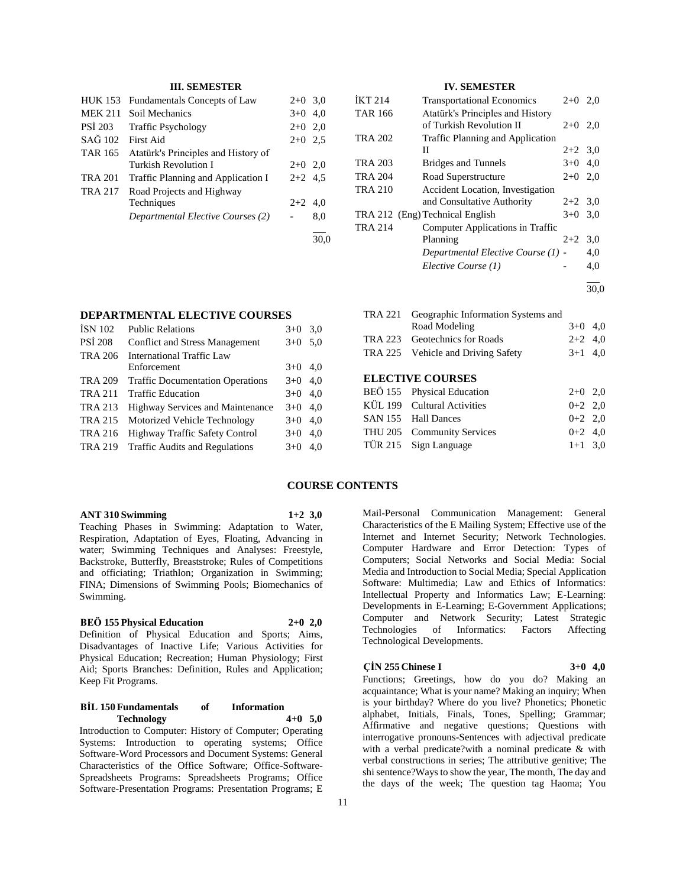# **III. SEMESTER**

| HUK 153        | Fundamentals Concepts of Law        | $2+0$ 3.0 |     |
|----------------|-------------------------------------|-----------|-----|
| <b>MEK 211</b> | Soil Mechanics                      | $3+0$ 4.0 |     |
| PSI 203        | <b>Traffic Psychology</b>           | $2+0$ 2,0 |     |
| SAĞ 102        | First Aid                           | $2+0$ 2.5 |     |
| <b>TAR 165</b> | Atatürk's Principles and History of |           |     |
|                | Turkish Revolution I                | $2+0$ 2,0 |     |
| <b>TRA 201</b> | Traffic Planning and Application I  | $2+2$ 4.5 |     |
| <b>TRA 217</b> | Road Projects and Highway           |           |     |
|                | Techniques                          | $2+2$ 4.0 |     |
|                | Departmental Elective Courses (2)   |           | 8,0 |
|                |                                     |           |     |

# **IV. SEMESTER**

| <b>IKT 214</b> | <b>Transportational Economics</b>  | $2+0$     | 2.0  |
|----------------|------------------------------------|-----------|------|
| <b>TAR 166</b> | Atatürk's Principles and History   |           |      |
|                | of Turkish Revolution II           | $2+0$ 2.0 |      |
| <b>TRA 202</b> | Traffic Planning and Application   |           |      |
|                | Н                                  | $2+2$ 3.0 |      |
| TRA 203        | <b>Bridges and Tunnels</b>         | $3+0$ 4,0 |      |
| <b>TRA 204</b> | Road Superstructure                | $2+0$ 2,0 |      |
| <b>TRA 210</b> | Accident Location, Investigation   |           |      |
|                | and Consultative Authority         | $2+2$ 3.0 |      |
|                | TRA 212 (Eng) Technical English    | $3+0$     | 3,0  |
| <b>TRA 214</b> | Computer Applications in Traffic   |           |      |
|                | Planning                           | $2+2$     | 3,0  |
|                | Departmental Elective Course (1) - |           | 4,0  |
|                | Elective Course (1)                |           | 4.0  |
|                |                                    |           | 30,0 |

**DEPARTMENTAL ELECTIVE COURSES**

| <b>ISN 102</b> | <b>Public Relations</b>                 | $3+0$ 3.0 |     |
|----------------|-----------------------------------------|-----------|-----|
| <b>PSI 208</b> | Conflict and Stress Management          | $3+0$     | 5.0 |
| <b>TRA 206</b> | International Traffic Law               |           |     |
|                | Enforcement                             | $3+0$ 4,0 |     |
| <b>TRA 209</b> | <b>Traffic Documentation Operations</b> | $3+0$     | 4,0 |
| <b>TRA 211</b> | <b>Traffic Education</b>                | $3+0$ 4,0 |     |
| <b>TRA 213</b> | <b>Highway Services and Maintenance</b> | $3+0$ 4.0 |     |
| <b>TRA 215</b> | Motorized Vehicle Technology            | $3+0$     | 4.0 |
| <b>TRA 216</b> | <b>Highway Traffic Safety Control</b>   | $3+0$     | 4,0 |
| <b>TRA 219</b> | <b>Traffic Audits and Regulations</b>   | $3+0$     | 4.0 |

| <b>ANT 310 Swimming</b> | $1+2$ 3,0 |
|-------------------------|-----------|

Teaching Phases in Swimming: Adaptation to Water, Respiration, Adaptation of Eyes, Floating, Advancing in water; Swimming Techniques and Analyses: Freestyle, Backstroke, Butterfly, Breaststroke; Rules of Competitions and officiating; Triathlon; Organization in Swimming; FINA; Dimensions of Swimming Pools; Biomechanics of Swimming.

# **BEÖ 155 Physical Education 2+0 2,0**

Definition of Physical Education and Sports; Aims, Disadvantages of Inactive Life; Various Activities for Physical Education; Recreation; Human Physiology; First Aid; Sports Branches: Definition, Rules and Application; Keep Fit Programs.

## **BİL 150 Fundamentals of Information Technology 4+0 5,0** Introduction to Computer: History of Computer; Operating

Systems: Introduction to operating systems; Office Software-Word Processors and Document Systems: General Characteristics of the Office Software; Office-Software-Spreadsheets Programs: Spreadsheets Programs; Office Software-Presentation Programs: Presentation Programs; E

# **ELECTIVE COURSES**

| BEÖ 155 Physical Education  | $2+0$ 2,0 |  |
|-----------------------------|-----------|--|
| KÜL 199 Cultural Activities | $0+2$ 2.0 |  |
| SAN 155 Hall Dances         | $0+2$ 2.0 |  |
| THU 205 Community Services  | $0+2$ 4.0 |  |
| TÜR 215 Sign Language       | $1+1$ 3.0 |  |

# **COURSE CONTENTS**

Mail-Personal Communication Management: General Characteristics of the E Mailing System; Effective use of the Internet and Internet Security; Network Technologies. Computer Hardware and Error Detection: Types of Computers; Social Networks and Social Media: Social Media and Introduction to Social Media; Special Application Software: Multimedia; Law and Ethics of Informatics: Intellectual Property and Informatics Law; E-Learning: Developments in E-Learning; E-Government Applications; Computer and Network Security; Latest Strategic Technologies of Informatics: Factors Affecting Technological Developments.

#### **ÇİN 255 Chinese I 3+0 4,0**

Functions; Greetings, how do you do? Making an acquaintance; What is your name? Making an inquiry; When is your birthday? Where do you live? Phonetics; Phonetic alphabet, Initials, Finals, Tones, Spelling; Grammar; Affirmative and negative questions; Questions with interrogative pronouns-Sentences with adjectival predicate with a verbal predicate?with a nominal predicate & with verbal constructions in series; The attributive genitive; The shi sentence?Ways to show the year, The month, The day and the days of the week; The question tag Haoma; You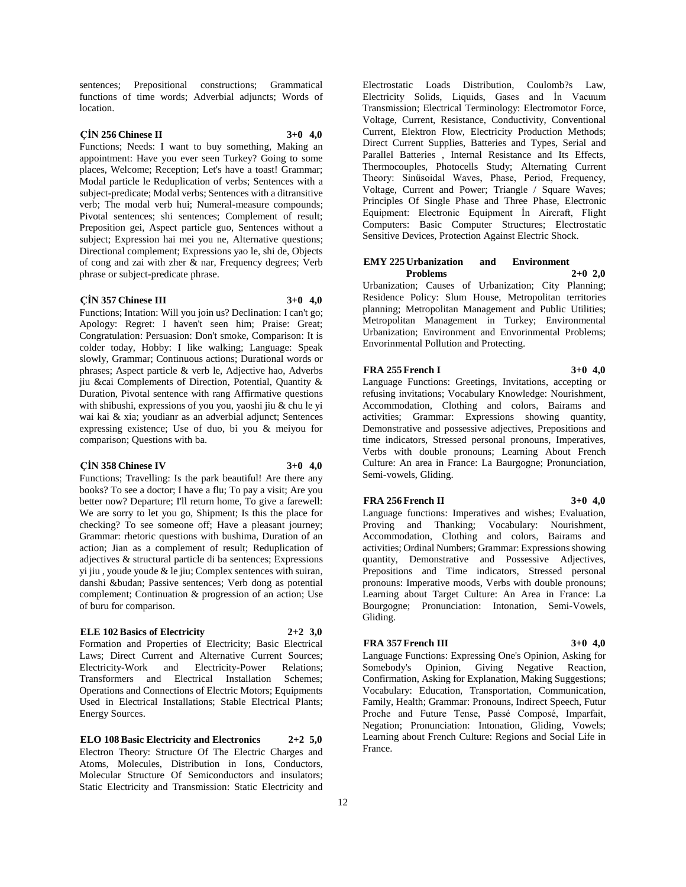sentences; Prepositional constructions; Grammatical functions of time words; Adverbial adjuncts; Words of location.

# **ÇİN 256 Chinese II 3+0 4,0**

Functions; Needs: I want to buy something, Making an appointment: Have you ever seen Turkey? Going to some places, Welcome; Reception; Let's have a toast! Grammar; Modal particle le Reduplication of verbs; Sentences with a subject-predicate; Modal verbs; Sentences with a ditransitive verb; The modal verb hui; Numeral-measure compounds; Pivotal sentences; shi sentences; Complement of result; Preposition gei, Aspect particle guo, Sentences without a subject; Expression hai mei you ne, Alternative questions; Directional complement; Expressions yao le, shi de, Objects of cong and zai with zher & nar, Frequency degrees; Verb phrase or subject-predicate phrase.

#### **ÇİN 357 Chinese III 3+0 4,0**

Functions; Intation: Will you join us? Declination: I can't go; Apology: Regret: I haven't seen him; Praise: Great; Congratulation: Persuasion: Don't smoke, Comparison: It is colder today, Hobby: I like walking; Language: Speak slowly, Grammar; Continuous actions; Durational words or phrases; Aspect particle & verb le, Adjective hao, Adverbs jiu &cai Complements of Direction, Potential, Quantity & Duration, Pivotal sentence with rang Affirmative questions with shibushi, expressions of you you, yaoshi jiu & chu le yi wai kai & xia; youdianr as an adverbial adjunct; Sentences expressing existence; Use of duo, bi you & meiyou for comparison; Questions with ba.

#### **ÇİN 358 Chinese IV 3+0 4,0**

Functions; Travelling: Is the park beautiful! Are there any books? To see a doctor; I have a flu; To pay a visit; Are you better now? Departure; I'll return home, To give a farewell: We are sorry to let you go, Shipment; Is this the place for checking? To see someone off; Have a pleasant journey; Grammar: rhetoric questions with bushima, Duration of an action; Jian as a complement of result; Reduplication of adjectives & structural particle di ba sentences; Expressions yi jiu , youde youde & le jiu; Complex sentences with suiran, danshi &budan; Passive sentences; Verb dong as potential complement; Continuation & progression of an action; Use of buru for comparison.

#### **ELE 102 Basics of Electricity 2+2 3,0**

Formation and Properties of Electricity; Basic Electrical Laws; Direct Current and Alternative Current Sources; Electricity-Work and Electricity-Power Relations; Transformers and Electrical Installation Schemes; Operations and Connections of Electric Motors; Equipments Used in Electrical Installations; Stable Electrical Plants; Energy Sources.

**ELO 108 Basic Electricity and Electronics 2+2 5,0** Electron Theory: Structure Of The Electric Charges and Atoms, Molecules, Distribution in Ions, Conductors, Molecular Structure Of Semiconductors and insulators; Static Electricity and Transmission: Static Electricity and

Electrostatic Loads Distribution, Coulomb?s Law, Electricity Solids, Liquids, Gases and İn Vacuum Transmission; Electrical Terminology: Electromotor Force, Voltage, Current, Resistance, Conductivity, Conventional Current, Elektron Flow, Electricity Production Methods; Direct Current Supplies, Batteries and Types, Serial and Parallel Batteries , Internal Resistance and Its Effects, Thermocouples, Photocells Study; Alternating Current Theory: Sinüsoidal Waves, Phase, Period, Frequency, Voltage, Current and Power; Triangle / Square Waves; Principles Of Single Phase and Three Phase, Electronic Equipment: Electronic Equipment İn Aircraft, Flight Computers: Basic Computer Structures; Electrostatic Sensitive Devices, Protection Against Electric Shock.

#### **EMY 225 Urbanization and Environment Problems 2+0 2,0**

Urbanization; Causes of Urbanization; City Planning; Residence Policy: Slum House, Metropolitan territories planning; Metropolitan Management and Public Utilities; Metropolitan Management in Turkey; Environmental Urbanization; Environment and Envorinmental Problems; Envorinmental Pollution and Protecting.

#### **FRA 255 French I 3+0 4,0**

Language Functions: Greetings, Invitations, accepting or refusing invitations; Vocabulary Knowledge: Nourishment, Accommodation, Clothing and colors, Bairams and activities; Grammar: Expressions showing quantity, Demonstrative and possessive adjectives, Prepositions and time indicators, Stressed personal pronouns, Imperatives, Verbs with double pronouns; Learning About French Culture: An area in France: La Baurgogne; Pronunciation, Semi-vowels, Gliding.

# **FRA 256 French II 3+0 4,0**

Language functions: Imperatives and wishes; Evaluation, Proving and Thanking; Vocabulary: Nourishment, Accommodation, Clothing and colors, Bairams and activities; Ordinal Numbers; Grammar: Expressions showing quantity, Demonstrative and Possessive Adjectives, Prepositions and Time indicators, Stressed personal pronouns: Imperative moods, Verbs with double pronouns; Learning about Target Culture: An Area in France: La Bourgogne; Pronunciation: Intonation, Semi-Vowels, Gliding.

#### **FRA 357 French III 3+0 4,0**

Language Functions: Expressing One's Opinion, Asking for Somebody's Opinion, Giving Negative Reaction, Confirmation, Asking for Explanation, Making Suggestions; Vocabulary: Education, Transportation, Communication, Family, Health; Grammar: Pronouns, Indirect Speech, Futur Proche and Future Tense, Passé Composé, Imparfait, Negation; Pronunciation: Intonation, Gliding, Vowels; Learning about French Culture: Regions and Social Life in France.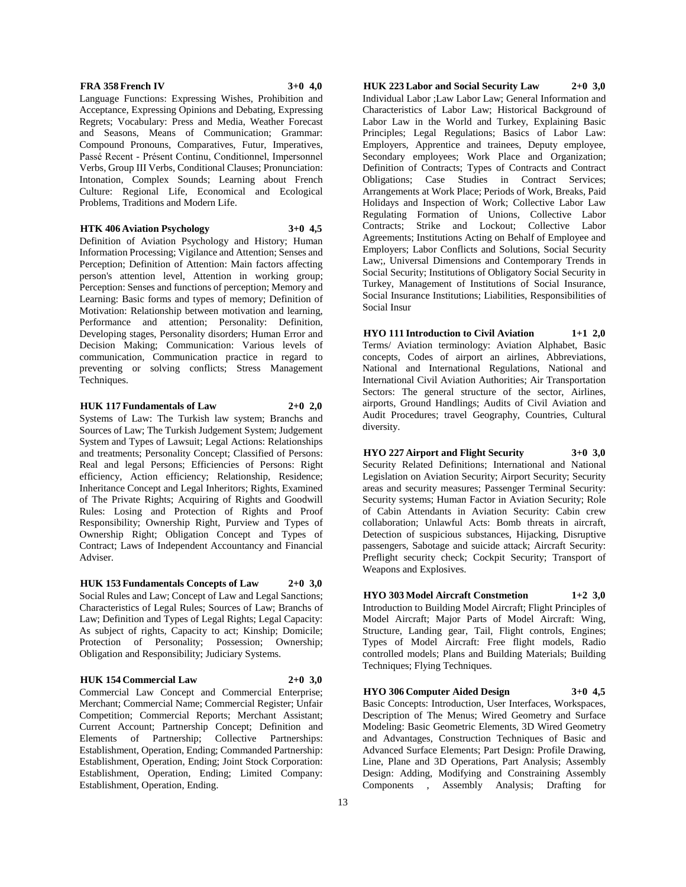# **FRA 358 French IV 3+0 4,0**

Language Functions: Expressing Wishes, Prohibition and Acceptance, Expressing Opinions and Debating, Expressing Regrets; Vocabulary: Press and Media, Weather Forecast and Seasons, Means of Communication; Grammar: Compound Pronouns, Comparatives, Futur, Imperatives, Passé Recent - Présent Continu, Conditionnel, Impersonnel Verbs, Group III Verbs, Conditional Clauses; Pronunciation: Intonation, Complex Sounds; Learning about French Culture: Regional Life, Economical and Ecological Problems, Traditions and Modern Life.

# **HTK 406 Aviation Psychology 3+0 4,5**

Definition of Aviation Psychology and History; Human Information Processing; Vigilance and Attention; Senses and Perception; Definition of Attention: Main factors affecting person's attention level, Attention in working group; Perception: Senses and functions of perception; Memory and Learning: Basic forms and types of memory; Definition of Motivation: Relationship between motivation and learning, Performance and attention; Personality: Definition, Developing stages, Personality disorders; Human Error and Decision Making; Communication: Various levels of communication, Communication practice in regard to preventing or solving conflicts; Stress Management Techniques.

# **HUK 117 Fundamentals of Law 2+0 2,0**

Systems of Law: The Turkish law system; Branchs and Sources of Law; The Turkish Judgement System; Judgement System and Types of Lawsuit; Legal Actions: Relationships and treatments; Personality Concept; Classified of Persons: Real and legal Persons; Efficiencies of Persons: Right efficiency, Action efficiency; Relationship, Residence; Inheritance Concept and Legal Inheritors; Rights, Examined of The Private Rights; Acquiring of Rights and Goodwill Rules: Losing and Protection of Rights and Proof Responsibility; Ownership Right, Purview and Types of Ownership Right; Obligation Concept and Types of Contract; Laws of Independent Accountancy and Financial Adviser.

**HUK 153 Fundamentals Concepts of Law 2+0 3,0** Social Rules and Law; Concept of Law and Legal Sanctions; Characteristics of Legal Rules; Sources of Law; Branchs of Law; Definition and Types of Legal Rights; Legal Capacity: As subject of rights, Capacity to act; Kinship; Domicile; Protection of Personality; Possession; Ownership; Obligation and Responsibility; Judiciary Systems.

#### **HUK 154 Commercial Law 2+0 3,0**

Commercial Law Concept and Commercial Enterprise; Merchant; Commercial Name; Commercial Register; Unfair Competition; Commercial Reports; Merchant Assistant; Current Account; Partnership Concept; Definition and Elements of Partnership; Collective Partnerships: Establishment, Operation, Ending; Commanded Partnership: Establishment, Operation, Ending; Joint Stock Corporation: Establishment, Operation, Ending; Limited Company: Establishment, Operation, Ending.

**HUK 223 Labor and Social Security Law 2+0 3,0** Individual Labor ;Law Labor Law; General Information and Characteristics of Labor Law; Historical Background of Labor Law in the World and Turkey, Explaining Basic Principles; Legal Regulations; Basics of Labor Law: Employers, Apprentice and trainees, Deputy employee, Secondary employees; Work Place and Organization; Definition of Contracts; Types of Contracts and Contract Obligations; Case Studies in Contract Services; Arrangements at Work Place; Periods of Work, Breaks, Paid Holidays and Inspection of Work; Collective Labor Law Regulating Formation of Unions, Collective Labor Contracts; Strike and Lockout; Collective Labor Agreements; Institutions Acting on Behalf of Employee and Employers; Labor Conflicts and Solutions, Social Security Law;, Universal Dimensions and Contemporary Trends in Social Security; Institutions of Obligatory Social Security in Turkey, Management of Institutions of Social Insurance, Social Insurance Institutions; Liabilities, Responsibilities of Social Insur

**HYO 111 Introduction to Civil Aviation 1+1 2,0** Terms/ Aviation terminology: Aviation Alphabet, Basic concepts, Codes of airport an airlines, Abbreviations, National and International Regulations, National and International Civil Aviation Authorities; Air Transportation Sectors: The general structure of the sector, Airlines, airports, Ground Handlings; Audits of Civil Aviation and Audit Procedures; travel Geography, Countries, Cultural diversity.

**HYO 227 Airport and Flight Security 3+0 3,0** Security Related Definitions; International and National Legislation on Aviation Security; Airport Security; Security areas and security measures; Passenger Terminal Security: Security systems; Human Factor in Aviation Security; Role of Cabin Attendants in Aviation Security: Cabin crew

collaboration; Unlawful Acts: Bomb threats in aircraft, Detection of suspicious substances, Hijacking, Disruptive passengers, Sabotage and suicide attack; Aircraft Security: Preflight security check; Cockpit Security; Transport of Weapons and Explosives.

**HYO 303 Model Aircraft Constmetion 1+2 3,0** Introduction to Building Model Aircraft; Flight Principles of Model Aircraft; Major Parts of Model Aircraft: Wing, Structure, Landing gear, Tail, Flight controls, Engines; Types of Model Aircraft: Free flight models, Radio controlled models; Plans and Building Materials; Building Techniques; Flying Techniques.

**HYO 306 Computer Aided Design 3+0 4,5**

Basic Concepts: Introduction, User Interfaces, Workspaces, Description of The Menus; Wired Geometry and Surface Modeling: Basic Geometric Elements, 3D Wired Geometry and Advantages, Construction Techniques of Basic and Advanced Surface Elements; Part Design: Profile Drawing, Line, Plane and 3D Operations, Part Analysis; Assembly Design: Adding, Modifying and Constraining Assembly Components , Assembly Analysis; Drafting for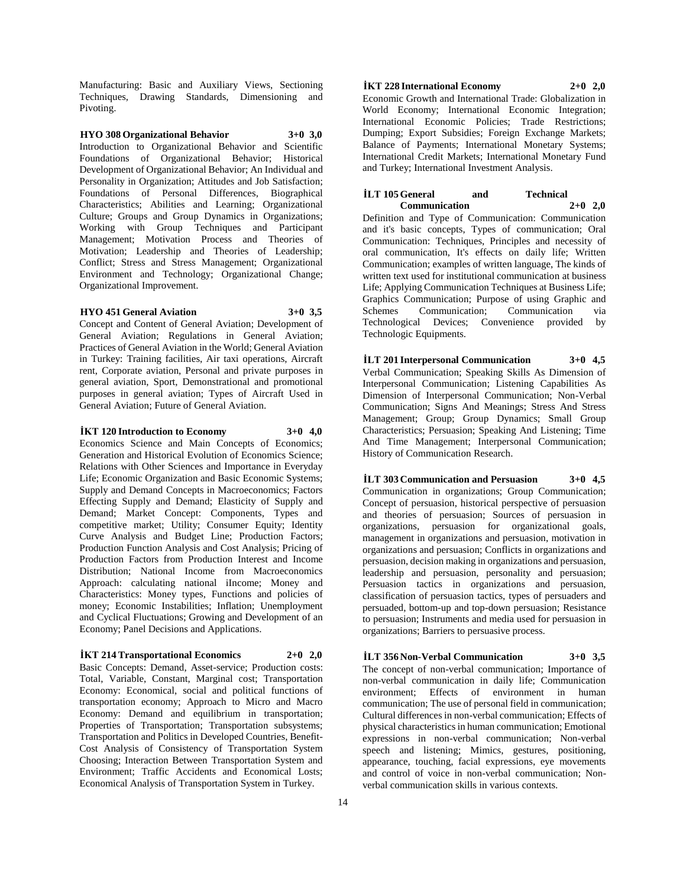Manufacturing: Basic and Auxiliary Views, Sectioning Techniques, Drawing Standards, Dimensioning and Pivoting.

# **HYO 308 Organizational Behavior 3+0 3,0**

Introduction to Organizational Behavior and Scientific Foundations of Organizational Behavior; Historical Development of Organizational Behavior; An Individual and Personality in Organization; Attitudes and Job Satisfaction; Foundations of Personal Differences, Biographical Characteristics; Abilities and Learning; Organizational Culture; Groups and Group Dynamics in Organizations; Working with Group Techniques and Participant Management; Motivation Process and Theories of Motivation; Leadership and Theories of Leadership; Conflict; Stress and Stress Management; Organizational Environment and Technology; Organizational Change; Organizational Improvement.

# **HYO 451 General Aviation 3+0 3,5**

Concept and Content of General Aviation; Development of General Aviation; Regulations in General Aviation; Practices of General Aviation in the World; General Aviation in Turkey: Training facilities, Air taxi operations, Aircraft rent, Corporate aviation, Personal and private purposes in general aviation, Sport, Demonstrational and promotional purposes in general aviation; Types of Aircraft Used in General Aviation; Future of General Aviation.

# **İKT 120 Introduction to Economy 3+0 4,0**

Economics Science and Main Concepts of Economics; Generation and Historical Evolution of Economics Science; Relations with Other Sciences and Importance in Everyday Life; Economic Organization and Basic Economic Systems; Supply and Demand Concepts in Macroeconomics; Factors Effecting Supply and Demand; Elasticity of Supply and Demand; Market Concept: Components, Types and competitive market; Utility; Consumer Equity; Identity Curve Analysis and Budget Line; Production Factors; Production Function Analysis and Cost Analysis; Pricing of Production Factors from Production Interest and Income Distribution; National Income from Macroeconomics Approach: calculating national iIncome; Money and Characteristics: Money types, Functions and policies of money; Economic Instabilities; Inflation; Unemployment and Cyclical Fluctuations; Growing and Development of an Economy; Panel Decisions and Applications.

# **İKT 214 Transportational Economics 2+0 2,0**

Basic Concepts: Demand, Asset-service; Production costs: Total, Variable, Constant, Marginal cost; Transportation Economy: Economical, social and political functions of transportation economy; Approach to Micro and Macro Economy: Demand and equilibrium in transportation; Properties of Transportation; Transportation subsystems; Transportation and Politics in Developed Countries, Benefit-Cost Analysis of Consistency of Transportation System Choosing; Interaction Between Transportation System and Environment; Traffic Accidents and Economical Losts; Economical Analysis of Transportation System in Turkey.

# **İKT 228 International Economy 2+0 2,0**

Economic Growth and International Trade: Globalization in World Economy; International Economic Integration; International Economic Policies; Trade Restrictions; Dumping; Export Subsidies; Foreign Exchange Markets; Balance of Payments; International Monetary Systems; International Credit Markets; International Monetary Fund and Turkey; International Investment Analysis.

#### **İLT 105 General and Technical Communication 2+0 2,0**

Definition and Type of Communication: Communication and it's basic concepts, Types of communication; Oral Communication: Techniques, Principles and necessity of oral communication, It's effects on daily life; Written Communication; examples of written language, The kinds of written text used for institutional communication at business Life; Applying Communication Techniques at Business Life; Graphics Communication; Purpose of using Graphic and Schemes Communication; Communication via Technological Devices; Convenience provided by Technologic Equipments.

**İLT 201 Interpersonal Communication 3+0 4,5** Verbal Communication; Speaking Skills As Dimension of Interpersonal Communication; Listening Capabilities As Dimension of Interpersonal Communication; Non-Verbal Communication; Signs And Meanings; Stress And Stress Management; Group; Group Dynamics; Small Group Characteristics; Persuasion; Speaking And Listening; Time And Time Management; Interpersonal Communication; History of Communication Research.

**İLT 303 Communication and Persuasion 3+0 4,5** Communication in organizations; Group Communication; Concept of persuasion, historical perspective of persuasion and theories of persuasion; Sources of persuasion in organizations, persuasion for organizational goals, management in organizations and persuasion, motivation in organizations and persuasion; Conflicts in organizations and persuasion, decision making in organizations and persuasion, leadership and persuasion, personality and persuasion; Persuasion tactics in organizations and persuasion, classification of persuasion tactics, types of persuaders and persuaded, bottom-up and top-down persuasion; Resistance to persuasion; Instruments and media used for persuasion in organizations; Barriers to persuasive process.

# **İLT 356 Non-Verbal Communication 3+0 3,5**

The concept of non-verbal communication; Importance of non-verbal communication in daily life; Communication environment; Effects of environment in human communication; The use of personal field in communication; Cultural differences in non-verbal communication; Effects of physical characteristics in human communication; Emotional expressions in non-verbal communication; Non-verbal speech and listening; Mimics, gestures, positioning, appearance, touching, facial expressions, eye movements and control of voice in non-verbal communication; Nonverbal communication skills in various contexts.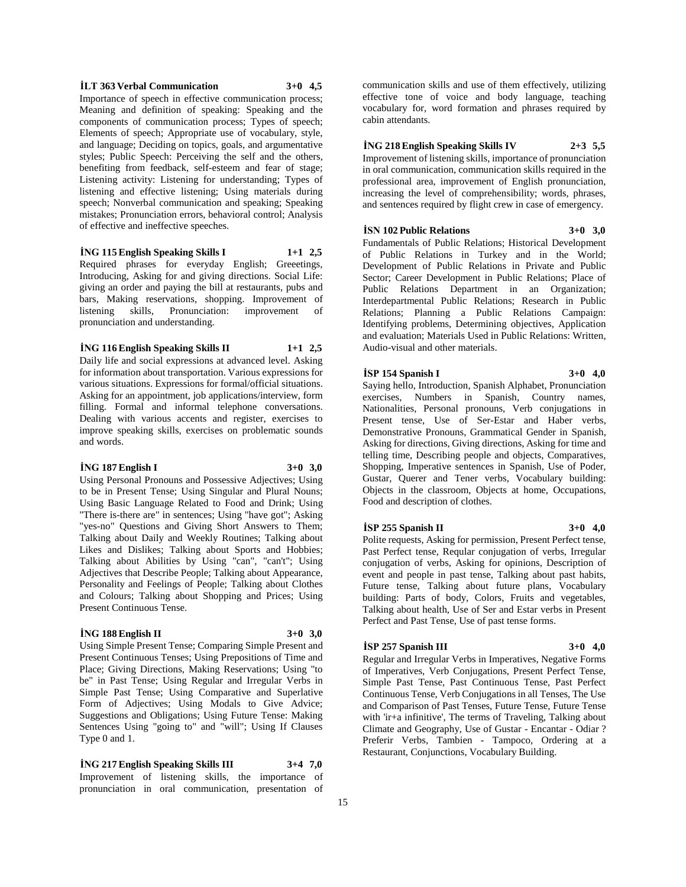#### **İLT 363 Verbal Communication 3+0 4,5**

Importance of speech in effective communication process; Meaning and definition of speaking: Speaking and the components of communication process; Types of speech; Elements of speech; Appropriate use of vocabulary, style, and language; Deciding on topics, goals, and argumentative styles; Public Speech: Perceiving the self and the others, benefiting from feedback, self-esteem and fear of stage; Listening activity: Listening for understanding; Types of listening and effective listening; Using materials during speech; Nonverbal communication and speaking; Speaking mistakes; Pronunciation errors, behavioral control; Analysis of effective and ineffective speeches.

# **İNG 115 English Speaking Skills I 1+1 2,5**

Required phrases for everyday English; Greeetings, Introducing, Asking for and giving directions. Social Life: giving an order and paying the bill at restaurants, pubs and bars, Making reservations, shopping. Improvement of listening skills, Pronunciation: improvement of pronunciation and understanding.

# **İNG 116 English Speaking Skills II 1+1 2,5**

Daily life and social expressions at advanced level. Asking for information about transportation. Various expressions for various situations. Expressions for formal/official situations. Asking for an appointment, job applications/interview, form filling. Formal and informal telephone conversations. Dealing with various accents and register, exercises to improve speaking skills, exercises on problematic sounds and words.

# **İNG 187 English I 3+0 3,0**

Using Personal Pronouns and Possessive Adjectives; Using to be in Present Tense; Using Singular and Plural Nouns; Using Basic Language Related to Food and Drink; Using "There is-there are" in sentences; Using "have got"; Asking "yes-no" Questions and Giving Short Answers to Them; Talking about Daily and Weekly Routines; Talking about Likes and Dislikes; Talking about Sports and Hobbies; Talking about Abilities by Using "can", "can't"; Using Adjectives that Describe People; Talking about Appearance, Personality and Feelings of People; Talking about Clothes and Colours; Talking about Shopping and Prices; Using Present Continuous Tense.

# **İNG 188 English II 3+0 3,0**

Using Simple Present Tense; Comparing Simple Present and Present Continuous Tenses; Using Prepositions of Time and Place; Giving Directions, Making Reservations; Using "to be" in Past Tense; Using Regular and Irregular Verbs in Simple Past Tense; Using Comparative and Superlative Form of Adjectives; Using Modals to Give Advice; Suggestions and Obligations; Using Future Tense: Making Sentences Using "going to" and "will"; Using If Clauses Type 0 and 1.

# **İNG 217 English Speaking Skills III 3+4 7,0**

Improvement of listening skills, the importance of pronunciation in oral communication, presentation of communication skills and use of them effectively, utilizing effective tone of voice and body language, teaching vocabulary for, word formation and phrases required by cabin attendants.

# **İNG 218 English Speaking Skills IV 2+3 5,5**

Improvement of listening skills, importance of pronunciation in oral communication, communication skills required in the professional area, improvement of English pronunciation, increasing the level of comprehensibility; words, phrases, and sentences required by flight crew in case of emergency.

# **İSN 102 Public Relations 3+0 3,0**

Fundamentals of Public Relations; Historical Development of Public Relations in Turkey and in the World; Development of Public Relations in Private and Public Sector; Career Development in Public Relations; Place of Public Relations Department in an Organization; Interdepartmental Public Relations; Research in Public Relations; Planning a Public Relations Campaign: Identifying problems, Determining objectives, Application and evaluation; Materials Used in Public Relations: Written, Audio-visual and other materials.

#### **İSP 154 Spanish I 3+0 4,0**

Saying hello, Introduction, Spanish Alphabet, Pronunciation exercises, Numbers in Spanish, Country names, Nationalities, Personal pronouns, Verb conjugations in Present tense, Use of Ser-Estar and Haber verbs, Demonstrative Pronouns, Grammatical Gender in Spanish, Asking for directions, Giving directions, Asking for time and telling time, Describing people and objects, Comparatives, Shopping, Imperative sentences in Spanish, Use of Poder, Gustar, Querer and Tener verbs, Vocabulary building: Objects in the classroom, Objects at home, Occupations, Food and description of clothes.

#### **İSP 255 Spanish II 3+0 4,0**

Polite requests, Asking for permission, Present Perfect tense, Past Perfect tense, Reqular conjugation of verbs, Irregular conjugation of verbs, Asking for opinions, Description of event and people in past tense, Talking about past habits, Future tense, Talking about future plans, Vocabulary building: Parts of body, Colors, Fruits and vegetables, Talking about health, Use of Ser and Estar verbs in Present Perfect and Past Tense, Use of past tense forms.

# **İSP 257 Spanish III 3+0 4,0**

Regular and Irregular Verbs in Imperatives, Negative Forms of Imperatives, Verb Conjugations, Present Perfect Tense, Simple Past Tense, Past Continuous Tense, Past Perfect Continuous Tense, Verb Conjugations in all Tenses, The Use and Comparison of Past Tenses, Future Tense, Future Tense with 'ir+a infinitive', The terms of Traveling, Talking about Climate and Geography, Use of Gustar - Encantar - Odiar ? Preferir Verbs, Tambien - Tampoco, Ordering at a Restaurant, Conjunctions, Vocabulary Building.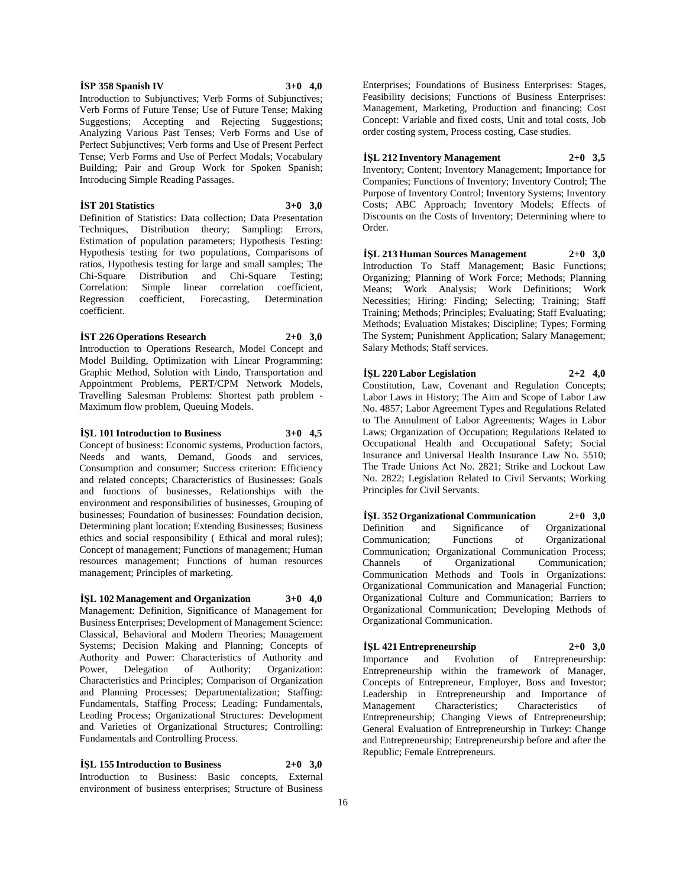#### **İSP 358 Spanish IV 3+0 4,0**

Introduction to Subjunctives; Verb Forms of Subjunctives; Verb Forms of Future Tense; Use of Future Tense; Making Suggestions; Accepting and Rejecting Suggestions; Analyzing Various Past Tenses; Verb Forms and Use of Perfect Subjunctives; Verb forms and Use of Present Perfect Tense; Verb Forms and Use of Perfect Modals; Vocabulary Building; Pair and Group Work for Spoken Spanish; Introducing Simple Reading Passages.

# **İST 201 Statistics 3+0 3,0**

Definition of Statistics: Data collection; Data Presentation Techniques, Distribution theory; Sampling: Errors, Estimation of population parameters; Hypothesis Testing: Hypothesis testing for two populations, Comparisons of ratios, Hypothesis testing for large and small samples; The Chi-Square Distribution and Chi-Square Testing; Correlation: Simple linear correlation coefficient, Regression coefficient, Forecasting, Determination coefficient.

#### **İST 226 Operations Research 2+0 3,0**

Introduction to Operations Research, Model Concept and Model Building, Optimization with Linear Programming: Graphic Method, Solution with Lindo, Transportation and Appointment Problems, PERT/CPM Network Models, Travelling Salesman Problems: Shortest path problem - Maximum flow problem, Queuing Models.

#### **İŞL 101 Introduction to Business 3+0 4,5**

Concept of business: Economic systems, Production factors, Needs and wants, Demand, Goods and services, Consumption and consumer; Success criterion: Efficiency and related concepts; Characteristics of Businesses: Goals and functions of businesses, Relationships with the environment and responsibilities of businesses, Grouping of businesses; Foundation of businesses: Foundation decision, Determining plant location; Extending Businesses; Business ethics and social responsibility ( Ethical and moral rules); Concept of management; Functions of management; Human resources management; Functions of human resources management; Principles of marketing.

# **İŞL 102 Management and Organization 3+0 4,0**

Management: Definition, Significance of Management for Business Enterprises; Development of Management Science: Classical, Behavioral and Modern Theories; Management Systems; Decision Making and Planning; Concepts of Authority and Power: Characteristics of Authority and Power, Delegation of Authority; Organization: Characteristics and Principles; Comparison of Organization and Planning Processes; Departmentalization; Staffing: Fundamentals, Staffing Process; Leading: Fundamentals, Leading Process; Organizational Structures: Development and Varieties of Organizational Structures; Controlling: Fundamentals and Controlling Process.

# **İŞL 155 Introduction to Business 2+0 3,0**

Introduction to Business: Basic concepts, External environment of business enterprises; Structure of Business

Enterprises; Foundations of Business Enterprises: Stages, Feasibility decisions; Functions of Business Enterprises: Management, Marketing, Production and financing; Cost Concept: Variable and fixed costs, Unit and total costs, Job order costing system, Process costing, Case studies.

# **İŞL 212 Inventory Management 2+0 3,5** Inventory; Content; Inventory Management; Importance for Companies; Functions of Inventory; Inventory Control; The Purpose of Inventory Control; Inventory Systems; Inventory Costs; ABC Approach; Inventory Models; Effects of Discounts on the Costs of Inventory; Determining where to Order.

**İŞL 213 Human Sources Management 2+0 3,0** Introduction To Staff Management; Basic Functions; Organizing; Planning of Work Force; Methods; Planning Means; Work Analysis; Work Definitions; Work Necessities; Hiring: Finding; Selecting; Training; Staff Training; Methods; Principles; Evaluating; Staff Evaluating; Methods; Evaluation Mistakes; Discipline; Types; Forming The System; Punishment Application; Salary Management; Salary Methods; Staff services.

# **İŞL 220 Labor Legislation 2+2 4,0**

Constitution, Law, Covenant and Regulation Concepts; Labor Laws in History; The Aim and Scope of Labor Law No. 4857; Labor Agreement Types and Regulations Related to The Annulment of Labor Agreements; Wages in Labor Laws; Organization of Occupation; Regulations Related to Occupational Health and Occupational Safety; Social Insurance and Universal Health Insurance Law No. 5510; The Trade Unions Act No. 2821; Strike and Lockout Law No. 2822; Legislation Related to Civil Servants; Working Principles for Civil Servants.

**İŞL 352 Organizational Communication 2+0 3,0** Definition and Significance of Organizational Communication; Functions of Organizational Communication; Organizational Communication Process; Channels of Organizational Communication; Communication Methods and Tools in Organizations: Organizational Communication and Managerial Function; Organizational Culture and Communication; Barriers to Organizational Communication; Developing Methods of Organizational Communication.

# **İŞL 421 Entrepreneurship 2+0 3,0**

Importance and Evolution of Entrepreneurship: Entrepreneurship within the framework of Manager, Concepts of Entrepreneur, Employer, Boss and Investor; Leadership in Entrepreneurship and Importance of Management Characteristics; Characteristics of Entrepreneurship; Changing Views of Entrepreneurship; General Evaluation of Entrepreneurship in Turkey: Change and Entrepreneurship; Entrepreneurship before and after the Republic; Female Entrepreneurs.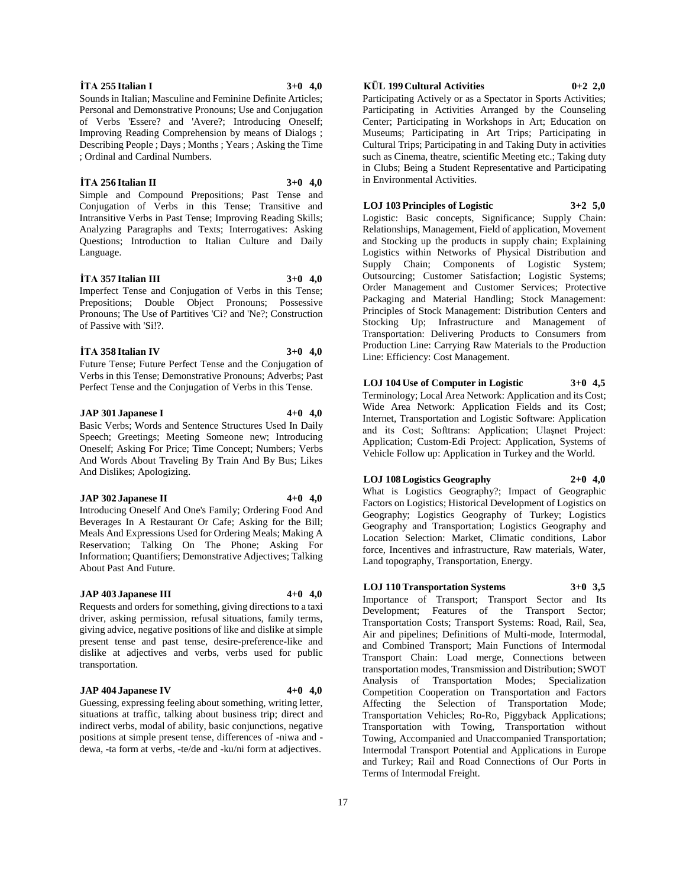Imperfect Tense and Conjugation of Verbs in this Tense; Prepositions; Double Object Pronouns; Possessive Pronouns; The Use of Partitives 'Ci? and 'Ne?; Construction of Passive with 'Si!?.

**İTA 357 Italian III 3+0 4,0**

Personal and Demonstrative Pronouns; Use and Conjugation of Verbs 'Essere? and 'Avere?; Introducing Oneself; Improving Reading Comprehension by means of Dialogs ; Describing People ; Days ; Months ; Years ; Asking the Time

**İTA 256 Italian II 3+0 4,0** Simple and Compound Prepositions; Past Tense and Conjugation of Verbs in this Tense; Transitive and Intransitive Verbs in Past Tense; Improving Reading Skills; Analyzing Paragraphs and Texts; Interrogatives: Asking Questions; Introduction to Italian Culture and Daily

# **İTA 358 Italian IV 3+0 4,0**

Language.

Future Tense; Future Perfect Tense and the Conjugation of Verbs in this Tense; Demonstrative Pronouns; Adverbs; Past Perfect Tense and the Conjugation of Verbs in this Tense.

# **JAP 301 Japanese I 4+0 4,0**

Basic Verbs; Words and Sentence Structures Used In Daily Speech; Greetings; Meeting Someone new; Introducing Oneself; Asking For Price; Time Concept; Numbers; Verbs And Words About Traveling By Train And By Bus; Likes And Dislikes; Apologizing.

# **JAP 302 Japanese II 4+0 4,0**

Introducing Oneself And One's Family; Ordering Food And Beverages In A Restaurant Or Cafe; Asking for the Bill; Meals And Expressions Used for Ordering Meals; Making A Reservation; Talking On The Phone; Asking For Information; Quantifiers; Demonstrative Adjectives; Talking About Past And Future.

# **JAP 403 Japanese III 4+0 4,0**

Requests and orders for something, giving directions to a taxi driver, asking permission, refusal situations, family terms, giving advice, negative positions of like and dislike at simple present tense and past tense, desire-preference-like and dislike at adjectives and verbs, verbs used for public transportation.

# **JAP 404 Japanese IV 4+0 4,0**

Guessing, expressing feeling about something, writing letter, situations at traffic, talking about business trip; direct and indirect verbs, modal of ability, basic conjunctions, negative positions at simple present tense, differences of -niwa and dewa, -ta form at verbs, -te/de and -ku/ni form at adjectives.

# **KÜL 199 Cultural Activities 0+2 2,0**

Participating Actively or as a Spectator in Sports Activities; Participating in Activities Arranged by the Counseling Center; Participating in Workshops in Art; Education on Museums; Participating in Art Trips; Participating in Cultural Trips; Participating in and Taking Duty in activities such as Cinema, theatre, scientific Meeting etc.; Taking duty in Clubs; Being a Student Representative and Participating in Environmental Activities.

# **LOJ 103 Principles of Logistic 3+2 5,0**

Logistic: Basic concepts, Significance; Supply Chain: Relationships, Management, Field of application, Movement and Stocking up the products in supply chain; Explaining Logistics within Networks of Physical Distribution and Supply Chain; Components of Logistic System; Outsourcing; Customer Satisfaction; Logistic Systems; Order Management and Customer Services; Protective Packaging and Material Handling; Stock Management: Principles of Stock Management: Distribution Centers and Stocking Up; Infrastructure and Management of Transportation: Delivering Products to Consumers from Production Line: Carrying Raw Materials to the Production Line: Efficiency: Cost Management.

# **LOJ 104 Use of Computer in Logistic 3+0 4,5**

Terminology; Local Area Network: Application and its Cost; Wide Area Network: Application Fields and its Cost; Internet, Transportation and Logistic Software: Application and its Cost; Softtrans: Application; Ulaşnet Project: Application; Custom-Edi Project: Application, Systems of Vehicle Follow up: Application in Turkey and the World.

# **LOJ 108 Logistics Geography 2+0 4,0**

What is Logistics Geography?; Impact of Geographic Factors on Logistics; Historical Development of Logistics on Geography; Logistics Geography of Turkey; Logistics Geography and Transportation; Logistics Geography and Location Selection: Market, Climatic conditions, Labor force, Incentives and infrastructure, Raw materials, Water, Land topography, Transportation, Energy.

# **LOJ 110 Transportation Systems 3+0 3,5**

Importance of Transport; Transport Sector and Its Development; Features of the Transport Sector; Transportation Costs; Transport Systems: Road, Rail, Sea, Air and pipelines; Definitions of Multi-mode, Intermodal, and Combined Transport; Main Functions of Intermodal Transport Chain: Load merge, Connections between transportation modes, Transmission and Distribution; SWOT Analysis of Transportation Modes; Specialization Competition Cooperation on Transportation and Factors Affecting the Selection of Transportation Mode; Transportation Vehicles; Ro-Ro, Piggyback Applications; Transportation with Towing, Transportation without Towing, Accompanied and Unaccompanied Transportation; Intermodal Transport Potential and Applications in Europe and Turkey; Rail and Road Connections of Our Ports in Terms of Intermodal Freight.

#### **İTA 255 Italian I 3+0 4,0**

; Ordinal and Cardinal Numbers.

Sounds in Italian; Masculine and Feminine Definite Articles;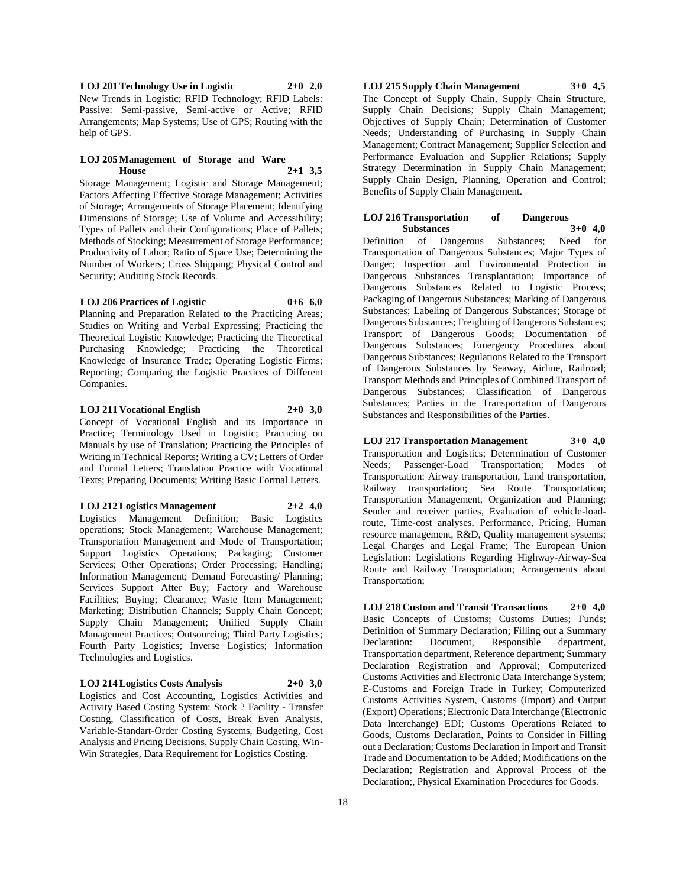**LOJ 201 Technology Use in Logistic 2+0 2,0** New Trends in Logistic; RFID Technology; RFID Labels: Passive: Semi-passive, Semi-active or Active; RFID Arrangements; Map Systems; Use of GPS; Routing with the help of GPS.

#### **LOJ 205 Management of Storage and Ware House 2+1 3,5**

Storage Management; Logistic and Storage Management; Factors Affecting Effective Storage Management; Activities of Storage; Arrangements of Storage Placement; Identifying Dimensions of Storage; Use of Volume and Accessibility; Types of Pallets and their Configurations; Place of Pallets; Methods of Stocking; Measurement of Storage Performance; Productivity of Labor; Ratio of Space Use; Determining the Number of Workers; Cross Shipping; Physical Control and Security; Auditing Stock Records.

# **LOJ 206 Practices of Logistic 0+6 6,0**

Planning and Preparation Related to the Practicing Areas; Studies on Writing and Verbal Expressing; Practicing the Theoretical Logistic Knowledge; Practicing the Theoretical Purchasing Knowledge; Practicing the Theoretical Knowledge of Insurance Trade; Operating Logistic Firms; Reporting; Comparing the Logistic Practices of Different Companies.

#### **LOJ 211 Vocational English 2+0 3,0**

Concept of Vocational English and its Importance in Practice; Terminology Used in Logistic; Practicing on Manuals by use of Translation; Practicing the Principles of Writing in Technical Reports; Writing a CV; Letters of Order and Formal Letters; Translation Practice with Vocational Texts; Preparing Documents; Writing Basic Formal Letters.

# **LOJ 212 Logistics Management 2+2 4,0**

Logistics Management Definition; Basic Logistics operations; Stock Management; Warehouse Management; Transportation Management and Mode of Transportation; Support Logistics Operations; Packaging; Customer Services; Other Operations; Order Processing; Handling; Information Management; Demand Forecasting/ Planning; Services Support After Buy; Factory and Warehouse Facilities; Buying; Clearance; Waste Item Management; Marketing; Distribution Channels; Supply Chain Concept; Supply Chain Management; Unified Supply Chain Management Practices; Outsourcing; Third Party Logistics; Fourth Party Logistics; Inverse Logistics; Information Technologies and Logistics.

**LOJ 214 Logistics Costs Analysis 2+0 3,0** Logistics and Cost Accounting, Logistics Activities and Activity Based Costing System: Stock ? Facility - Transfer Costing, Classification of Costs, Break Even Analysis, Variable-Standart-Order Costing Systems, Budgeting, Cost Analysis and Pricing Decisions, Supply Chain Costing, Win-Win Strategies, Data Requirement for Logistics Costing.

**LOJ 215 Supply Chain Management 3+0 4,5** The Concept of Supply Chain, Supply Chain Structure, Supply Chain Decisions; Supply Chain Management; Objectives of Supply Chain; Determination of Customer Needs; Understanding of Purchasing in Supply Chain Management; Contract Management; Supplier Selection and Performance Evaluation and Supplier Relations; Supply Strategy Determination in Supply Chain Management; Supply Chain Design, Planning, Operation and Control; Benefits of Supply Chain Management.

# **LOJ 216 Transportation of Dangerous Substances 3+0 4,0**

Definition of Dangerous Substances; Need for Transportation of Dangerous Substances; Major Types of Danger; Inspection and Environmental Protection in Dangerous Substances Transplantation; Importance of Dangerous Substances Related to Logistic Process; Packaging of Dangerous Substances; Marking of Dangerous Substances; Labeling of Dangerous Substances; Storage of Dangerous Substances; Freighting of Dangerous Substances; Transport of Dangerous Goods; Documentation of Dangerous Substances; Emergency Procedures about Dangerous Substances; Regulations Related to the Transport of Dangerous Substances by Seaway, Airline, Railroad; Transport Methods and Principles of Combined Transport of Dangerous Substances; Classification of Dangerous Substances; Parties in the Transportation of Dangerous Substances and Responsibilities of the Parties.

# **LOJ 217 Transportation Management 3+0 4,0**

Transportation and Logistics; Determination of Customer Needs; Passenger-Load Transportation; Modes of Transportation: Airway transportation, Land transportation, Railway transportation; Sea Route Transportation; Transportation Management, Organization and Planning; Sender and receiver parties, Evaluation of vehicle-loadroute, Time-cost analyses, Performance, Pricing, Human resource management, R&D, Quality management systems; Legal Charges and Legal Frame; The European Union Legislation: Legislations Regarding Highway-Airway-Sea Route and Railway Transportation; Arrangements about Transportation;

**LOJ 218 Custom and Transit Transactions 2+0 4,0** Basic Concepts of Customs; Customs Duties; Funds; Definition of Summary Declaration; Filling out a Summary Declaration: Document, Responsible department, Transportation department, Reference department; Summary Declaration Registration and Approval; Computerized Customs Activities and Electronic Data Interchange System; E-Customs and Foreign Trade in Turkey; Computerized Customs Activities System, Customs (Import) and Output (Export) Operations; Electronic Data Interchange (Electronic Data Interchange) EDI; Customs Operations Related to Goods, Customs Declaration, Points to Consider in Filling out a Declaration; Customs Declaration in Import and Transit Trade and Documentation to be Added; Modifications on the Declaration; Registration and Approval Process of the Declaration;, Physical Examination Procedures for Goods.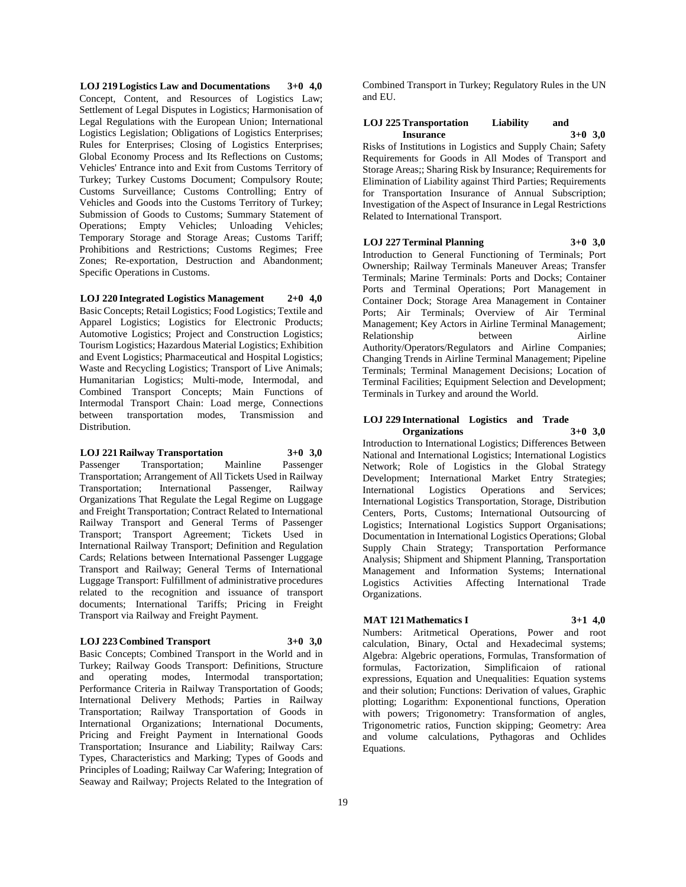**LOJ 219 Logistics Law and Documentations 3+0 4,0** Concept, Content, and Resources of Logistics Law; Settlement of Legal Disputes in Logistics; Harmonisation of Legal Regulations with the European Union; International Logistics Legislation; Obligations of Logistics Enterprises; Rules for Enterprises; Closing of Logistics Enterprises; Global Economy Process and Its Reflections on Customs; Vehicles' Entrance into and Exit from Customs Territory of Turkey; Turkey Customs Document; Compulsory Route; Customs Surveillance; Customs Controlling; Entry of Vehicles and Goods into the Customs Territory of Turkey; Submission of Goods to Customs; Summary Statement of Operations; Empty Vehicles; Unloading Vehicles; Temporary Storage and Storage Areas; Customs Tariff; Prohibitions and Restrictions; Customs Regimes; Free Zones; Re-exportation, Destruction and Abandonment; Specific Operations in Customs.

**LOJ 220 Integrated Logistics Management 2+0 4,0**

Basic Concepts; Retail Logistics; Food Logistics; Textile and Apparel Logistics; Logistics for Electronic Products; Automotive Logistics; Project and Construction Logistics; Tourism Logistics; Hazardous Material Logistics; Exhibition and Event Logistics; Pharmaceutical and Hospital Logistics; Waste and Recycling Logistics; Transport of Live Animals; Humanitarian Logistics; Multi-mode, Intermodal, and Combined Transport Concepts; Main Functions of Intermodal Transport Chain: Load merge, Connections between transportation modes, Transmission and Distribution.

#### **LOJ 221 Railway Transportation 3+0 3,0**

Passenger Transportation; Mainline Passenger Transportation; Arrangement of All Tickets Used in Railway Transportation; International Passenger, Railway Organizations That Regulate the Legal Regime on Luggage and Freight Transportation; Contract Related to International Railway Transport and General Terms of Passenger Transport; Transport Agreement; Tickets Used in International Railway Transport; Definition and Regulation Cards; Relations between International Passenger Luggage Transport and Railway; General Terms of International Luggage Transport: Fulfillment of administrative procedures related to the recognition and issuance of transport documents; International Tariffs; Pricing in Freight Transport via Railway and Freight Payment.

## **LOJ 223 Combined Transport 3+0 3,0**

Basic Concepts; Combined Transport in the World and in Turkey; Railway Goods Transport: Definitions, Structure and operating modes, Intermodal transportation; Performance Criteria in Railway Transportation of Goods; International Delivery Methods; Parties in Railway Transportation; Railway Transportation of Goods in International Organizations; International Documents, Pricing and Freight Payment in International Goods Transportation; Insurance and Liability; Railway Cars: Types, Characteristics and Marking; Types of Goods and Principles of Loading; Railway Car Wafering; Integration of Seaway and Railway; Projects Related to the Integration of

Combined Transport in Turkey; Regulatory Rules in the UN and EU.

# **LOJ 225 Transportation Liability and Insurance 3+0 3,0**

Risks of Institutions in Logistics and Supply Chain; Safety Requirements for Goods in All Modes of Transport and Storage Areas;; Sharing Risk by Insurance; Requirements for Elimination of Liability against Third Parties; Requirements for Transportation Insurance of Annual Subscription; Investigation of the Aspect of Insurance in Legal Restrictions Related to International Transport.

# **LOJ 227 Terminal Planning 3+0 3,0**

Introduction to General Functioning of Terminals; Port Ownership; Railway Terminals Maneuver Areas; Transfer Terminals; Marine Terminals: Ports and Docks; Container Ports and Terminal Operations; Port Management in Container Dock; Storage Area Management in Container Ports; Air Terminals; Overview of Air Terminal Management; Key Actors in Airline Terminal Management; Relationship between Airline Authority/Operators/Regulators and Airline Companies; Changing Trends in Airline Terminal Management; Pipeline Terminals; Terminal Management Decisions; Location of Terminal Facilities; Equipment Selection and Development; Terminals in Turkey and around the World.

#### **LOJ 229 International Logistics and Trade Organizations 3+0 3,0**

Introduction to International Logistics; Differences Between National and International Logistics; International Logistics Network; Role of Logistics in the Global Strategy Development; International Market Entry Strategies; International Logistics Operations and Services; International Logistics Transportation, Storage, Distribution Centers, Ports, Customs; International Outsourcing of Logistics; International Logistics Support Organisations; Documentation in International Logistics Operations; Global Supply Chain Strategy; Transportation Performance Analysis; Shipment and Shipment Planning, Transportation Management and Information Systems; International Logistics Activities Affecting International Trade Organizations.

# **MAT 121 Mathematics I 3+1 4,0**

Numbers: Aritmetical Operations, Power and root calculation, Binary, Octal and Hexadecimal systems; Algebra: Algebric operations, Formulas, Transformation of formulas, Factorization, Simplificaion of rational expressions, Equation and Unequalities: Equation systems and their solution; Functions: Derivation of values, Graphic plotting; Logarithm: Exponentional functions, Operation with powers; Trigonometry: Transformation of angles, Trigonometric ratios, Function skipping; Geometry: Area and volume calculations, Pythagoras and Ochlides Equations.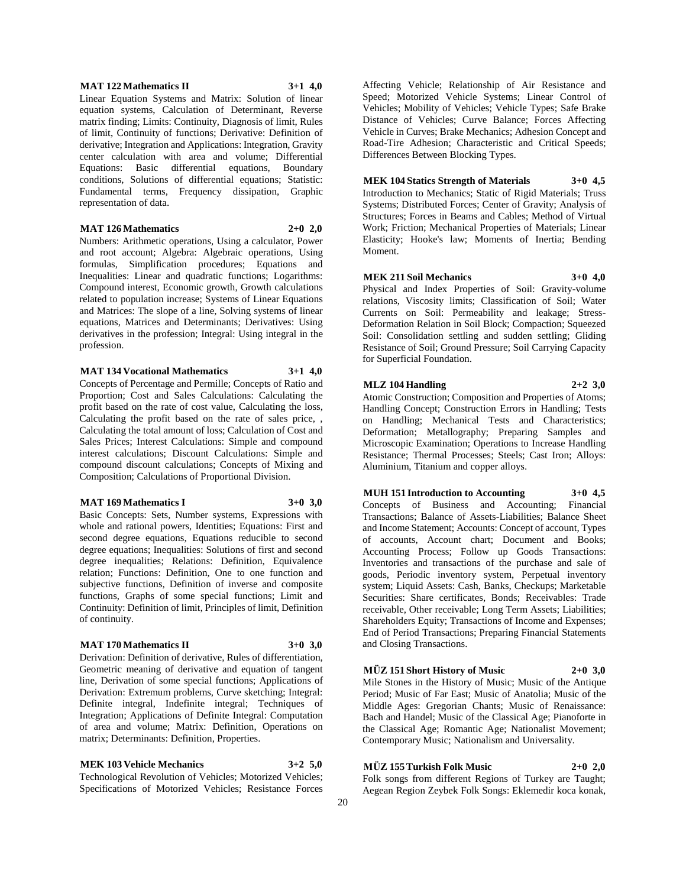#### **MAT 122 Mathematics II 3+1 4,0**

Linear Equation Systems and Matrix: Solution of linear equation systems, Calculation of Determinant, Reverse matrix finding; Limits: Continuity, Diagnosis of limit, Rules of limit, Continuity of functions; Derivative: Definition of derivative; Integration and Applications: Integration, Gravity center calculation with area and volume; Differential Equations: Basic differential equations, Boundary conditions, Solutions of differential equations; Statistic: Fundamental terms, Frequency dissipation, Graphic representation of data.

#### **MAT 126 Mathematics 2+0 2,0**

Numbers: Arithmetic operations, Using a calculator, Power and root account; Algebra: Algebraic operations, Using formulas, Simplification procedures; Equations and Inequalities: Linear and quadratic functions; Logarithms: Compound interest, Economic growth, Growth calculations related to population increase; Systems of Linear Equations and Matrices: The slope of a line, Solving systems of linear equations, Matrices and Determinants; Derivatives: Using derivatives in the profession; Integral: Using integral in the profession.

#### **MAT 134 Vocational Mathematics 3+1 4,0**

Concepts of Percentage and Permille; Concepts of Ratio and Proportion; Cost and Sales Calculations: Calculating the profit based on the rate of cost value, Calculating the loss, Calculating the profit based on the rate of sales price, , Calculating the total amount of loss; Calculation of Cost and Sales Prices; Interest Calculations: Simple and compound interest calculations; Discount Calculations: Simple and compound discount calculations; Concepts of Mixing and Composition; Calculations of Proportional Division.

#### **MAT 169 Mathematics I 3+0 3,0**

Basic Concepts: Sets, Number systems, Expressions with whole and rational powers, Identities; Equations: First and second degree equations, Equations reducible to second degree equations; Inequalities: Solutions of first and second degree inequalities; Relations: Definition, Equivalence relation; Functions: Definition, One to one function and subjective functions, Definition of inverse and composite functions, Graphs of some special functions; Limit and Continuity: Definition of limit, Principles of limit, Definition of continuity.

# **MAT 170 Mathematics II 3+0 3,0**

Derivation: Definition of derivative, Rules of differentiation, Geometric meaning of derivative and equation of tangent line, Derivation of some special functions; Applications of Derivation: Extremum problems, Curve sketching; Integral: Definite integral, Indefinite integral; Techniques of Integration; Applications of Definite Integral: Computation of area and volume; Matrix: Definition, Operations on matrix; Determinants: Definition, Properties.

# **MEK 103 Vehicle Mechanics 3+2 5,0**

Technological Revolution of Vehicles; Motorized Vehicles; Specifications of Motorized Vehicles; Resistance Forces

Affecting Vehicle; Relationship of Air Resistance and Speed; Motorized Vehicle Systems; Linear Control of Vehicles; Mobility of Vehicles; Vehicle Types; Safe Brake Distance of Vehicles; Curve Balance; Forces Affecting Vehicle in Curves; Brake Mechanics; Adhesion Concept and Road-Tire Adhesion; Characteristic and Critical Speeds; Differences Between Blocking Types.

# **MEK 104 Statics Strength of Materials 3+0 4,5**

Introduction to Mechanics; Static of Rigid Materials; Truss Systems; Distributed Forces; Center of Gravity; Analysis of Structures; Forces in Beams and Cables; Method of Virtual Work; Friction; Mechanical Properties of Materials; Linear Elasticity; Hooke's law; Moments of Inertia; Bending Moment.

# **MEK 211 Soil Mechanics 3+0 4,0**

Physical and Index Properties of Soil: Gravity-volume relations, Viscosity limits; Classification of Soil; Water Currents on Soil: Permeability and leakage; Stress-Deformation Relation in Soil Block; Compaction; Squeezed Soil: Consolidation settling and sudden settling; Gliding Resistance of Soil; Ground Pressure; Soil Carrying Capacity for Superficial Foundation.

# **MLZ 104 Handling 2+2 3,0**

Atomic Construction; Composition and Properties of Atoms; Handling Concept; Construction Errors in Handling; Tests on Handling; Mechanical Tests and Characteristics; Deformation; Metallography; Preparing Samples and Microscopic Examination; Operations to Increase Handling Resistance; Thermal Processes; Steels; Cast Iron; Alloys: Aluminium, Titanium and copper alloys.

# **MUH 151 Introduction to Accounting 3+0 4,5**

Concepts of Business and Accounting; Financial Transactions; Balance of Assets-Liabilities; Balance Sheet and Income Statement; Accounts: Concept of account, Types of accounts, Account chart; Document and Books; Accounting Process; Follow up Goods Transactions: Inventories and transactions of the purchase and sale of goods, Periodic inventory system, Perpetual inventory system; Liquid Assets: Cash, Banks, Checkups; Marketable Securities: Share certificates, Bonds; Receivables: Trade receivable, Other receivable; Long Term Assets; Liabilities; Shareholders Equity; Transactions of Income and Expenses; End of Period Transactions; Preparing Financial Statements and Closing Transactions.

# **MÜZ 151 Short History of Music 2+0 3,0**

Mile Stones in the History of Music; Music of the Antique Period; Music of Far East; Music of Anatolia; Music of the Middle Ages: Gregorian Chants; Music of Renaissance: Bach and Handel; Music of the Classical Age; Pianoforte in the Classical Age; Romantic Age; Nationalist Movement; Contemporary Music; Nationalism and Universality.

# **MÜZ 155 Turkish Folk Music 2+0 2,0**

Folk songs from different Regions of Turkey are Taught; Aegean Region Zeybek Folk Songs: Eklemedir koca konak,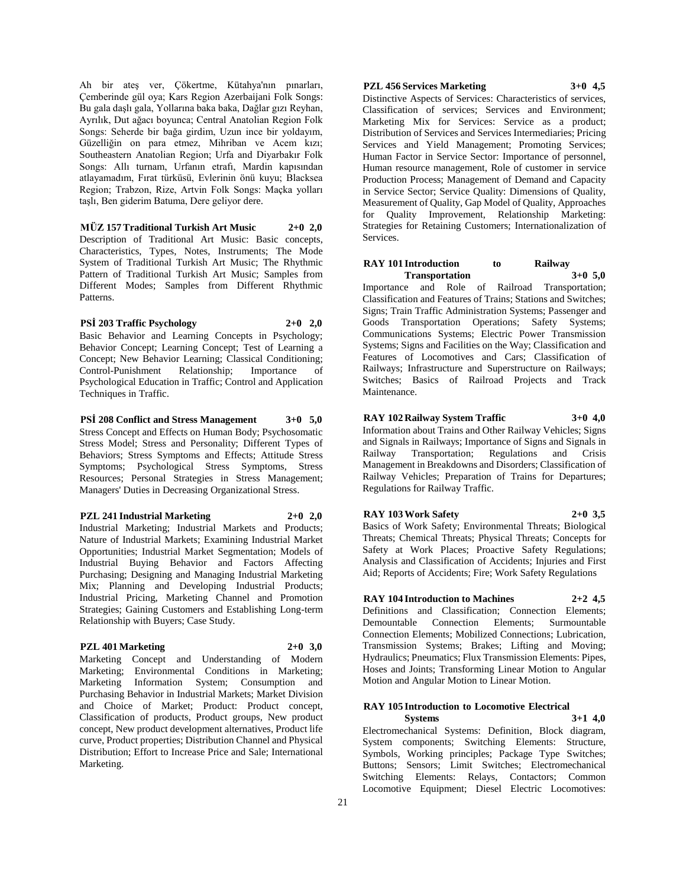Ah bir ateş ver, Çökertme, Kütahya'nın pınarları, Çemberinde gül oya; Kars Region Azerbaijani Folk Songs: Bu gala daşlı gala, Yollarına baka baka, Dağlar gızı Reyhan, Ayrılık, Dut ağacı boyunca; Central Anatolian Region Folk Songs: Seherde bir bağa girdim, Uzun ince bir yoldayım, Güzelliğin on para etmez, Mihriban ve Acem kızı; Southeastern Anatolian Region; Urfa and Diyarbakır Folk Songs: Allı turnam, Urfanın etrafı, Mardin kapısından atlayamadım, Fırat türküsü, Evlerinin önü kuyu; Blacksea Region; Trabzon, Rize, Artvin Folk Songs: Maçka yolları taşlı, Ben giderim Batuma, Dere geliyor dere.

**MÜZ 157 Traditional Turkish Art Music 2+0 2,0** Description of Traditional Art Music: Basic concepts, Characteristics, Types, Notes, Instruments; The Mode System of Traditional Turkish Art Music; The Rhythmic Pattern of Traditional Turkish Art Music; Samples from Different Modes; Samples from Different Rhythmic Patterns.

# **PSİ 203 Traffic Psychology 2+0 2,0**

Basic Behavior and Learning Concepts in Psychology; Behavior Concept; Learning Concept; Test of Learning a Concept; New Behavior Learning; Classical Conditioning; Control-Punishment Relationship; Importance of Psychological Education in Traffic; Control and Application Techniques in Traffic.

**PSİ 208 Conflict and Stress Management 3+0 5,0** Stress Concept and Effects on Human Body; Psychosomatic Stress Model; Stress and Personality; Different Types of Behaviors; Stress Symptoms and Effects; Attitude Stress Symptoms; Psychological Stress Symptoms, Stress Resources; Personal Strategies in Stress Management; Managers' Duties in Decreasing Organizational Stress.

# **PZL 241 Industrial Marketing 2+0 2,0**

Industrial Marketing; Industrial Markets and Products; Nature of Industrial Markets; Examining Industrial Market Opportunities; Industrial Market Segmentation; Models of Industrial Buying Behavior and Factors Affecting Purchasing; Designing and Managing Industrial Marketing Mix; Planning and Developing Industrial Products; Industrial Pricing, Marketing Channel and Promotion Strategies; Gaining Customers and Establishing Long-term Relationship with Buyers; Case Study.

# **PZL 401 Marketing 2+0 3,0**

Marketing Concept and Understanding of Modern Marketing; Environmental Conditions in Marketing; Marketing Information System; Consumption and Purchasing Behavior in Industrial Markets; Market Division and Choice of Market; Product: Product concept, Classification of products, Product groups, New product concept, New product development alternatives, Product life curve, Product properties; Distribution Channel and Physical Distribution; Effort to Increase Price and Sale; International Marketing.

# **PZL 456 Services Marketing 3+0 4,5**

Distinctive Aspects of Services: Characteristics of services, Classification of services; Services and Environment; Marketing Mix for Services: Service as a product; Distribution of Services and Services Intermediaries; Pricing Services and Yield Management; Promoting Services; Human Factor in Service Sector: Importance of personnel, Human resource management, Role of customer in service Production Process; Management of Demand and Capacity in Service Sector; Service Quality: Dimensions of Quality, Measurement of Quality, Gap Model of Quality, Approaches for Quality Improvement, Relationship Marketing: Strategies for Retaining Customers; Internationalization of Services.

#### **RAY 101 Introduction to Railway Transportation 3+0 5,0**

Importance and Role of Railroad Transportation; Classification and Features of Trains; Stations and Switches; Signs; Train Traffic Administration Systems; Passenger and Goods Transportation Operations; Safety Systems; Communications Systems; Electric Power Transmission Systems; Signs and Facilities on the Way; Classification and Features of Locomotives and Cars; Classification of Railways; Infrastructure and Superstructure on Railways; Switches; Basics of Railroad Projects and Track Maintenance.

**RAY 102 Railway System Traffic 3+0 4,0** Information about Trains and Other Railway Vehicles; Signs

and Signals in Railways; Importance of Signs and Signals in Transportation; Regulations and Crisis Management in Breakdowns and Disorders; Classification of Railway Vehicles; Preparation of Trains for Departures; Regulations for Railway Traffic.

**RAY 103 Work Safety 2+0 3,5** Basics of Work Safety; Environmental Threats; Biological Threats; Chemical Threats; Physical Threats; Concepts for Safety at Work Places; Proactive Safety Regulations; Analysis and Classification of Accidents; Injuries and First Aid; Reports of Accidents; Fire; Work Safety Regulations

# **RAY 104 Introduction to Machines 2+2 4,5** Definitions and Classification; Connection Elements; Demountable Connection Elements; Surmountable Connection Elements; Mobilized Connections; Lubrication, Transmission Systems; Brakes; Lifting and Moving;

Hydraulics; Pneumatics; Flux Transmission Elements: Pipes, Hoses and Joints; Transforming Linear Motion to Angular Motion and Angular Motion to Linear Motion.

# **RAY 105 Introduction to Locomotive Electrical**

**Systems 3+1 4,0** Electromechanical Systems: Definition, Block diagram, System components; Switching Elements: Structure, Symbols, Working principles; Package Type Switches; Buttons; Sensors; Limit Switches; Electromechanical Switching Elements: Relays, Contactors; Common Locomotive Equipment; Diesel Electric Locomotives: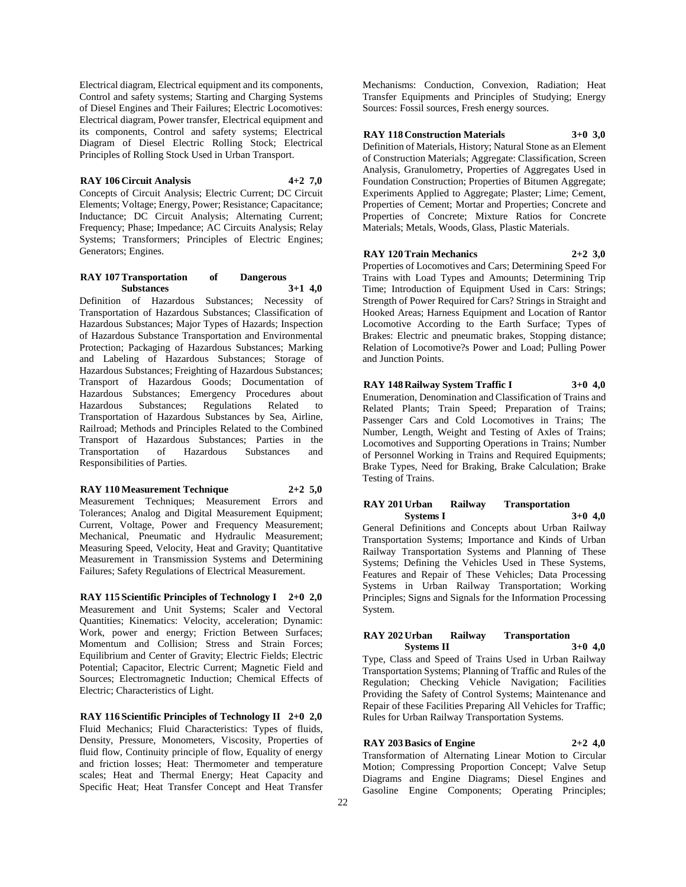Electrical diagram, Electrical equipment and its components, Control and safety systems; Starting and Charging Systems of Diesel Engines and Their Failures; Electric Locomotives: Electrical diagram, Power transfer, Electrical equipment and its components, Control and safety systems; Electrical Diagram of Diesel Electric Rolling Stock; Electrical Principles of Rolling Stock Used in Urban Transport.

#### **RAY 106 Circuit Analysis 4+2 7,0**

Concepts of Circuit Analysis; Electric Current; DC Circuit Elements; Voltage; Energy, Power; Resistance; Capacitance; Inductance; DC Circuit Analysis; Alternating Current; Frequency; Phase; Impedance; AC Circuits Analysis; Relay Systems; Transformers; Principles of Electric Engines; Generators; Engines.

# **RAY 107 Transportation of Dangerous Substances 3+1 4,0**

Definition of Hazardous Substances; Necessity of Transportation of Hazardous Substances; Classification of Hazardous Substances; Major Types of Hazards; Inspection of Hazardous Substance Transportation and Environmental Protection; Packaging of Hazardous Substances; Marking and Labeling of Hazardous Substances; Storage of Hazardous Substances; Freighting of Hazardous Substances; Transport of Hazardous Goods; Documentation of Hazardous Substances; Emergency Procedures about Regulations Related to Transportation of Hazardous Substances by Sea, Airline, Railroad; Methods and Principles Related to the Combined Transport of Hazardous Substances; Parties in the Transportation of Hazardous Substances and Responsibilities of Parties.

#### **RAY 110 Measurement Technique 2+2 5,0**

Measurement Techniques; Measurement Errors and Tolerances; Analog and Digital Measurement Equipment; Current, Voltage, Power and Frequency Measurement; Mechanical, Pneumatic and Hydraulic Measurement; Measuring Speed, Velocity, Heat and Gravity; Quantitative Measurement in Transmission Systems and Determining Failures; Safety Regulations of Electrical Measurement.

**RAY 115 Scientific Principles of Technology I 2+0 2,0** Measurement and Unit Systems; Scaler and Vectoral Quantities; Kinematics: Velocity, acceleration; Dynamic: Work, power and energy; Friction Between Surfaces; Momentum and Collision; Stress and Strain Forces; Equilibrium and Center of Gravity; Electric Fields; Electric Potential; Capacitor, Electric Current; Magnetic Field and Sources; Electromagnetic Induction; Chemical Effects of Electric; Characteristics of Light.

**RAY 116 Scientific Principles of Technology II 2+0 2,0** Fluid Mechanics; Fluid Characteristics: Types of fluids, Density, Pressure, Monometers, Viscosity, Properties of fluid flow, Continuity principle of flow, Equality of energy and friction losses; Heat: Thermometer and temperature scales; Heat and Thermal Energy; Heat Capacity and Specific Heat; Heat Transfer Concept and Heat Transfer

Mechanisms: Conduction, Convexion, Radiation; Heat Transfer Equipments and Principles of Studying; Energy Sources: Fossil sources, Fresh energy sources.

# **RAY 118 Construction Materials 3+0 3,0**

Definition of Materials, History; Natural Stone as an Element of Construction Materials; Aggregate: Classification, Screen Analysis, Granulometry, Properties of Aggregates Used in Foundation Construction; Properties of Bitumen Aggregate; Experiments Applied to Aggregate; Plaster; Lime; Cement, Properties of Cement; Mortar and Properties; Concrete and Properties of Concrete; Mixture Ratios for Concrete Materials; Metals, Woods, Glass, Plastic Materials.

# **RAY 120 Train Mechanics 2+2 3,0**

Properties of Locomotives and Cars; Determining Speed For Trains with Load Types and Amounts; Determining Trip Time; Introduction of Equipment Used in Cars: Strings; Strength of Power Required for Cars? Strings in Straight and Hooked Areas; Harness Equipment and Location of Rantor Locomotive According to the Earth Surface; Types of Brakes: Electric and pneumatic brakes, Stopping distance; Relation of Locomotive?s Power and Load; Pulling Power and Junction Points.

# **RAY 148 Railway System Traffic I 3+0 4,0**

Enumeration, Denomination and Classification of Trains and Related Plants; Train Speed; Preparation of Trains; Passenger Cars and Cold Locomotives in Trains; The Number, Length, Weight and Testing of Axles of Trains; Locomotives and Supporting Operations in Trains; Number of Personnel Working in Trains and Required Equipments; Brake Types, Need for Braking, Brake Calculation; Brake Testing of Trains.

# **RAY 201 Urban Railway Transportation Systems I 3+0 4,0**

General Definitions and Concepts about Urban Railway Transportation Systems; Importance and Kinds of Urban Railway Transportation Systems and Planning of These Systems; Defining the Vehicles Used in These Systems, Features and Repair of These Vehicles; Data Processing Systems in Urban Railway Transportation; Working Principles; Signs and Signals for the Information Processing System.

# **RAY 202 Urban Railway Transportation Systems II 3+0 4,0**

Type, Class and Speed of Trains Used in Urban Railway Transportation Systems; Planning of Traffic and Rules of the Regulation; Checking Vehicle Navigation; Facilities Providing the Safety of Control Systems; Maintenance and Repair of these Facilities Preparing All Vehicles for Traffic; Rules for Urban Railway Transportation Systems.

# **RAY 203 Basics of Engine 2+2 4,0**

Transformation of Alternating Linear Motion to Circular Motion; Compressing Proportion Concept; Valve Setup Diagrams and Engine Diagrams; Diesel Engines and Gasoline Engine Components; Operating Principles;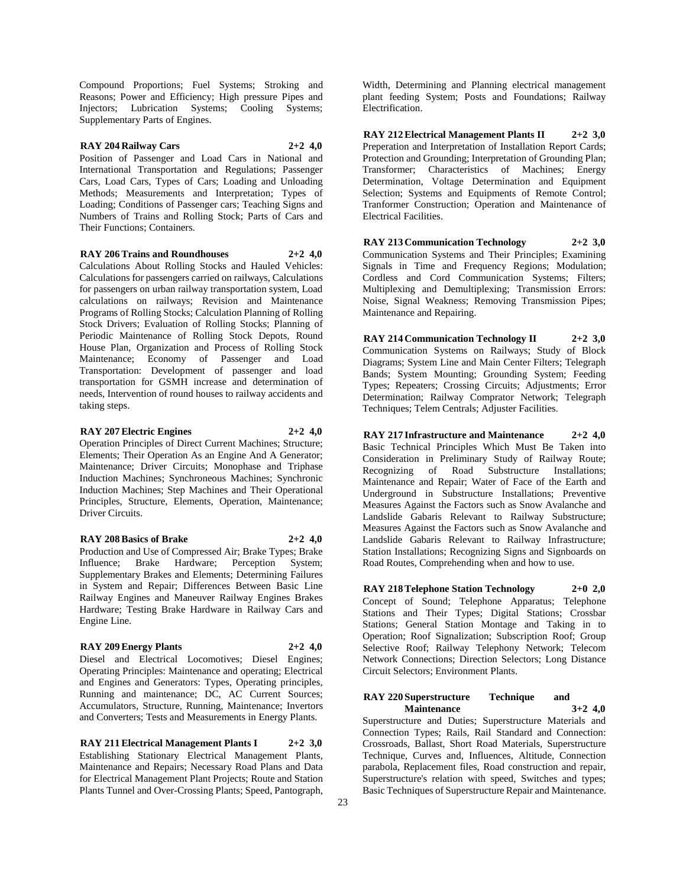Compound Proportions; Fuel Systems; Stroking and Reasons; Power and Efficiency; High pressure Pipes and Injectors; Lubrication Systems; Cooling Systems; Supplementary Parts of Engines.

# **RAY 204 Railway Cars 2+2 4,0**

Position of Passenger and Load Cars in National and International Transportation and Regulations; Passenger Cars, Load Cars, Types of Cars; Loading and Unloading Methods: Measurements and Interpretation: Types of Loading; Conditions of Passenger cars; Teaching Signs and Numbers of Trains and Rolling Stock; Parts of Cars and Their Functions; Containers.

#### **RAY 206 Trains and Roundhouses 2+2 4,0**

Calculations About Rolling Stocks and Hauled Vehicles: Calculations for passengers carried on railways, Calculations for passengers on urban railway transportation system, Load calculations on railways; Revision and Maintenance Programs of Rolling Stocks; Calculation Planning of Rolling Stock Drivers; Evaluation of Rolling Stocks; Planning of Periodic Maintenance of Rolling Stock Depots, Round House Plan, Organization and Process of Rolling Stock Maintenance; Economy of Passenger and Load Transportation: Development of passenger and load transportation for GSMH increase and determination of needs, Intervention of round houses to railway accidents and taking steps.

# **RAY 207 Electric Engines 2+2 4,0**

Operation Principles of Direct Current Machines; Structure; Elements; Their Operation As an Engine And A Generator; Maintenance; Driver Circuits; Monophase and Triphase Induction Machines; Synchroneous Machines; Synchronic Induction Machines; Step Machines and Their Operational Principles, Structure, Elements, Operation, Maintenance; Driver Circuits.

#### **RAY 208 Basics of Brake 2+2 4,0**

Production and Use of Compressed Air; Brake Types; Brake Influence; Brake Hardware; Perception System; Supplementary Brakes and Elements; Determining Failures in System and Repair; Differences Between Basic Line Railway Engines and Maneuver Railway Engines Brakes Hardware; Testing Brake Hardware in Railway Cars and Engine Line.

# **RAY 209 Energy Plants 2+2 4,0**

Diesel and Electrical Locomotives; Diesel Engines; Operating Principles: Maintenance and operating; Electrical and Engines and Generators: Types, Operating principles, Running and maintenance; DC, AC Current Sources; Accumulators, Structure, Running, Maintenance; Invertors and Converters; Tests and Measurements in Energy Plants.

**RAY 211 Electrical Management Plants I 2+2 3,0** Establishing Stationary Electrical Management Plants, Maintenance and Repairs; Necessary Road Plans and Data for Electrical Management Plant Projects; Route and Station Plants Tunnel and Over-Crossing Plants; Speed, Pantograph,

Width, Determining and Planning electrical management plant feeding System; Posts and Foundations; Railway Electrification.

**RAY 212 Electrical Management Plants II 2+2 3,0** Preperation and Interpretation of Installation Report Cards; Protection and Grounding; Interpretation of Grounding Plan; Transformer; Characteristics of Machines; Energy Determination, Voltage Determination and Equipment Selection; Systems and Equipments of Remote Control; Tranformer Construction; Operation and Maintenance of Electrical Facilities.

**RAY 213 Communication Technology 2+2 3,0** Communication Systems and Their Principles; Examining Signals in Time and Frequency Regions; Modulation; Cordless and Cord Communication Systems; Filters; Multiplexing and Demultiplexing; Transmission Errors: Noise, Signal Weakness; Removing Transmission Pipes; Maintenance and Repairing.

**RAY 214 Communication Technology II 2+2 3,0** Communication Systems on Railways; Study of Block Diagrams; System Line and Main Center Filters; Telegraph Bands; System Mounting; Grounding System; Feeding Types; Repeaters; Crossing Circuits; Adjustments; Error Determination; Railway Comprator Network; Telegraph Techniques; Telem Centrals; Adjuster Facilities.

**RAY 217 Infrastructure and Maintenance 2+2 4,0** Basic Technical Principles Which Must Be Taken into Consideration in Preliminary Study of Railway Route; Recognizing of Road Substructure Installations; Maintenance and Repair; Water of Face of the Earth and Underground in Substructure Installations; Preventive Measures Against the Factors such as Snow Avalanche and Landslide Gabaris Relevant to Railway Substructure; Measures Against the Factors such as Snow Avalanche and Landslide Gabaris Relevant to Railway Infrastructure; Station Installations; Recognizing Signs and Signboards on Road Routes, Comprehending when and how to use.

**RAY 218 Telephone Station Technology 2+0 2,0** Concept of Sound; Telephone Apparatus; Telephone Stations and Their Types; Digital Stations; Crossbar Stations; General Station Montage and Taking in to Operation; Roof Signalization; Subscription Roof; Group Selective Roof; Railway Telephony Network; Telecom Network Connections; Direction Selectors; Long Distance Circuit Selectors; Environment Plants.

#### **RAY 220 Superstructure Technique and Maintenance 3+2 4,0**

Superstructure and Duties; Superstructure Materials and Connection Types; Rails, Rail Standard and Connection: Crossroads, Ballast, Short Road Materials, Superstructure Technique, Curves and, Influences, Altitude, Connection parabola, Replacement files, Road construction and repair, Superstructure's relation with speed, Switches and types; Basic Techniques of Superstructure Repair and Maintenance.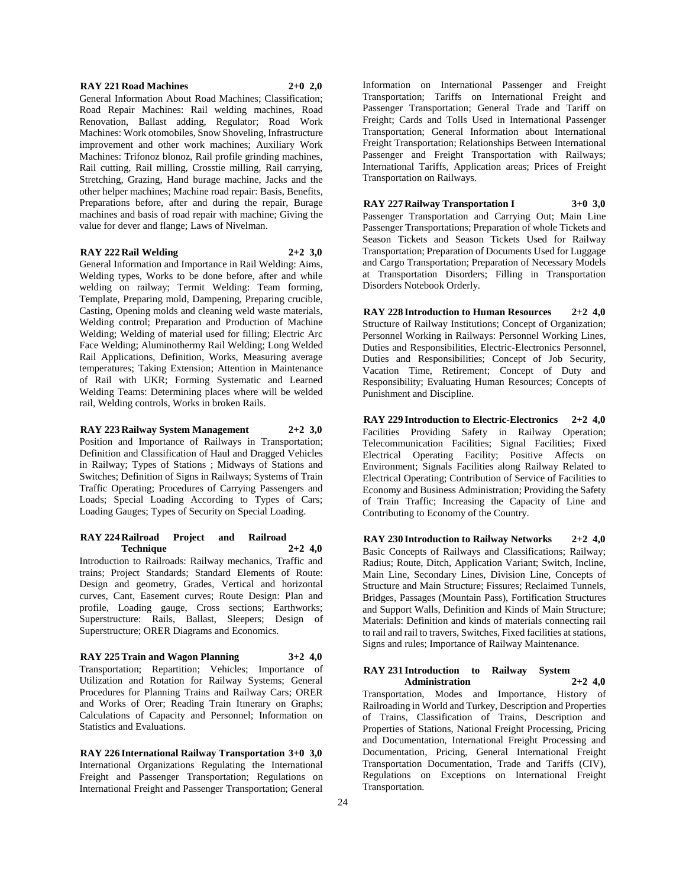#### **RAY 221 Road Machines 2+0 2,0**

General Information About Road Machines; Classification; Road Repair Machines: Rail welding machines, Road Renovation, Ballast adding, Regulator; Road Work Machines: Work otomobiles, Snow Shoveling, Infrastructure improvement and other work machines; Auxiliary Work Machines: Trifonoz blonoz, Rail profile grinding machines, Rail cutting, Rail milling, Crosstie milling, Rail carrying, Stretching, Grazing, Hand burage machine, Jacks and the other helper machines; Machine road repair: Basis, Benefits, Preparations before, after and during the repair, Burage machines and basis of road repair with machine; Giving the value for dever and flange; Laws of Nivelman.

#### **RAY 222 Rail Welding 2+2 3,0**

General Information and Importance in Rail Welding: Aims, Welding types, Works to be done before, after and while welding on railway; Termit Welding: Team forming, Template, Preparing mold, Dampening, Preparing crucible, Casting, Opening molds and cleaning weld waste materials, Welding control; Preparation and Production of Machine Welding; Welding of material used for filling; Electric Arc Face Welding; Aluminothermy Rail Welding; Long Welded Rail Applications, Definition, Works, Measuring average temperatures; Taking Extension; Attention in Maintenance of Rail with UKR; Forming Systematic and Learned Welding Teams: Determining places where will be welded rail, Welding controls, Works in broken Rails.

# **RAY 223 Railway System Management 2+2 3,0**

Position and Importance of Railways in Transportation; Definition and Classification of Haul and Dragged Vehicles in Railway; Types of Stations ; Midways of Stations and Switches; Definition of Signs in Railways; Systems of Train Traffic Operating; Procedures of Carrying Passengers and Loads; Special Loading According to Types of Cars; Loading Gauges; Types of Security on Special Loading.

#### **RAY 224 Railroad Project and Railroad Technique 2+2 4,0**

Introduction to Railroads: Railway mechanics, Traffic and trains; Project Standards; Standard Elements of Route: Design and geometry, Grades, Vertical and horizontal curves, Cant, Easement curves; Route Design: Plan and profile, Loading gauge, Cross sections; Earthworks; Superstructure: Rails, Ballast, Sleepers; Design of Superstructure; ORER Diagrams and Economics.

#### **RAY 225 Train and Wagon Planning 3+2 4,0**

Transportation; Repartition; Vehicles; Importance of Utilization and Rotation for Railway Systems; General Procedures for Planning Trains and Railway Cars; ORER and Works of Orer; Reading Train Itınerary on Graphs; Calculations of Capacity and Personnel; Information on Statistics and Evaluations.

**RAY 226 International Railway Transportation 3+0 3,0** International Organizations Regulating the International Freight and Passenger Transportation; Regulations on International Freight and Passenger Transportation; General Information on International Passenger and Freight Transportation; Tariffs on International Freight and Passenger Transportation; General Trade and Tariff on Freight; Cards and Tolls Used in International Passenger Transportation; General Information about International Freight Transportation; Relationships Between International Passenger and Freight Transportation with Railways; International Tariffs, Application areas; Prices of Freight Transportation on Railways.

**RAY 227 Railway Transportation I 3+0 3,0** Passenger Transportation and Carrying Out; Main Line Passenger Transportations; Preparation of whole Tickets and Season Tickets and Season Tickets Used for Railway Transportation; Preparation of Documents Used for Luggage and Cargo Transportation; Preparation of Necessary Models at Transportation Disorders; Filling in Transportation Disorders Notebook Orderly.

**RAY 228 Introduction to Human Resources 2+2 4,0** Structure of Railway Institutions; Concept of Organization; Personnel Working in Railways: Personnel Working Lines, Duties and Responsibilities, Electric-Electronics Personnel, Duties and Responsibilities; Concept of Job Security, Vacation Time, Retirement; Concept of Duty and Responsibility; Evaluating Human Resources; Concepts of Punishment and Discipline.

**RAY 229 Introduction to Electric-Electronics 2+2 4,0** Facilities Providing Safety in Railway Operation; Telecommunication Facilities; Signal Facilities; Fixed Electrical Operating Facility; Positive Affects on Environment; Signals Facilities along Railway Related to Electrical Operating; Contribution of Service of Facilities to Economy and Business Administration; Providing the Safety of Train Traffic; Increasing the Capacity of Line and Contributing to Economy of the Country.

**RAY 230 Introduction to Railway Networks 2+2 4,0** Basic Concepts of Railways and Classifications: Railway: Radius; Route, Ditch, Application Variant; Switch, Incline, Main Line, Secondary Lines, Division Line, Concepts of Structure and Main Structure; Fissures; Reclaimed Tunnels, Bridges, Passages (Mountain Pass), Fortification Structures and Support Walls, Definition and Kinds of Main Structure; Materials: Definition and kinds of materials connecting rail to rail and rail to travers, Switches, Fixed facilities at stations, Signs and rules; Importance of Railway Maintenance.

# **RAY 231 Introduction to Railway System Administration 2+2 4,0** Transportation, Modes and Importance, History of Railroading in World and Turkey, Description and Properties of Trains, Classification of Trains, Description and Properties of Stations, National Freight Processing, Pricing and Documentation, International Freight Processing and Documentation, Pricing, General International Freight Transportation Documentation, Trade and Tariffs (CIV), Regulations on Exceptions on International Freight Transportation.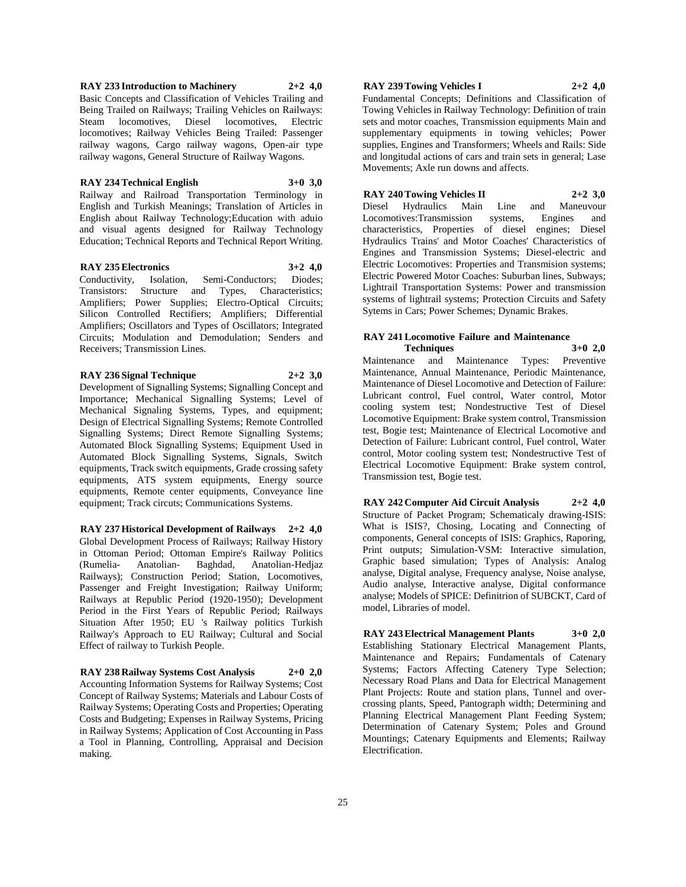# **RAY 233 Introduction to Machinery 2+2 4,0** Basic Concepts and Classification of Vehicles Trailing and Being Trailed on Railways; Trailing Vehicles on Railways: Steam locomotives, Diesel locomotives, Electric locomotives; Railway Vehicles Being Trailed: Passenger railway wagons, Cargo railway wagons, Open-air type railway wagons, General Structure of Railway Wagons.

#### **RAY 234 Technical English 3+0 3,0**

Railway and Railroad Transportation Terminology in English and Turkish Meanings; Translation of Articles in English about Railway Technology;Education with aduio and visual agents designed for Railway Technology Education; Technical Reports and Technical Report Writing.

#### **RAY 235 Electronics 3+2 4,0**

Conductivity, Isolation, Semi-Conductors; Diodes; Transistors: Structure and Types, Characteristics; Amplifiers; Power Supplies; Electro-Optical Circuits; Silicon Controlled Rectifiers; Amplifiers; Differential Amplifiers; Oscillators and Types of Oscillators; Integrated Circuits; Modulation and Demodulation; Senders and Receivers; Transmission Lines.

# **RAY 236 Signal Technique 2+2 3,0**

Development of Signalling Systems; Signalling Concept and Importance; Mechanical Signalling Systems; Level of Mechanical Signaling Systems, Types, and equipment; Design of Electrical Signalling Systems; Remote Controlled Signalling Systems; Direct Remote Signalling Systems; Automated Block Signalling Systems; Equipment Used in Automated Block Signalling Systems, Signals, Switch equipments, Track switch equipments, Grade crossing safety equipments, ATS system equipments, Energy source equipments, Remote center equipments, Conveyance line equipment; Track circuts; Communications Systems.

**RAY 237 Historical Development of Railways 2+2 4,0** Global Development Process of Railways; Railway History in Ottoman Period; Ottoman Empire's Railway Politics (Rumelia- Anatolian- Baghdad, Anatolian-Hedjaz Railways); Construction Period; Station, Locomotives, Passenger and Freight Investigation; Railway Uniform; Railways at Republic Period (1920-1950); Development Period in the First Years of Republic Period; Railways Situation After 1950; EU 's Railway politics Turkish Railway's Approach to EU Railway; Cultural and Social Effect of railway to Turkish People.

# **RAY 238 Railway Systems Cost Analysis 2+0 2,0**

Accounting Information Systems for Railway Systems; Cost Concept of Railway Systems; Materials and Labour Costs of Railway Systems; Operating Costs and Properties; Operating Costs and Budgeting; Expenses in Railway Systems, Pricing in Railway Systems; Application of Cost Accounting in Pass a Tool in Planning, Controlling, Appraisal and Decision making.

# **RAY 239 Towing Vehicles I 2+2 4,0**

Fundamental Concepts; Definitions and Classification of Towing Vehicles in Railway Technology: Definition of train sets and motor coaches, Transmission equipments Main and supplementary equipments in towing vehicles; Power supplies, Engines and Transformers; Wheels and Rails: Side and longitudal actions of cars and train sets in general; Lase Movements; Axle run downs and affects.

# **RAY 240 Towing Vehicles II 2+2 3,0**

Diesel Hydraulics Main Line and Maneuvour Locomotives:Transmission systems, Engines and characteristics, Properties of diesel engines; Diesel Hydraulics Trains' and Motor Coaches' Characteristics of Engines and Transmission Systems; Diesel-electric and Electric Locomotives: Properties and Transmision systems; Electric Powered Motor Coaches: Suburban lines, Subways; Lightrail Transportation Systems: Power and transmission systems of lightrail systems; Protection Circuits and Safety Sytems in Cars; Power Schemes; Dynamic Brakes.

# **RAY 241 Locomotive Failure and Maintenance**

**Techniques 3+0 2,0** Maintenance and Maintenance Types: Preventive Maintenance, Annual Maintenance, Periodic Maintenance, Maintenance of Diesel Locomotive and Detection of Failure: Lubricant control, Fuel control, Water control, Motor cooling system test; Nondestructive Test of Diesel Locomotive Equipment: Brake system control, Transmission test, Bogie test; Maintenance of Electrical Locomotive and Detection of Failure: Lubricant control, Fuel control, Water control, Motor cooling system test; Nondestructive Test of Electrical Locomotive Equipment: Brake system control, Transmission test, Bogie test.

**RAY 242 Computer Aid Circuit Analysis 2+2 4,0** Structure of Packet Program; Schematicaly drawing-ISIS: What is ISIS?, Chosing, Locating and Connecting of components, General concepts of ISIS: Graphics, Raporing, Print outputs; Simulation-VSM: Interactive simulation, Graphic based simulation; Types of Analysis: Analog analyse, Digital analyse, Frequency analyse, Noise analyse, Audio analyse, Interactive analyse, Digital conformance analyse; Models of SPICE: Definitrion of SUBCKT, Card of model, Libraries of model.

**RAY 243 Electrical Management Plants 3+0 2,0** Establishing Stationary Electrical Management Plants, Maintenance and Repairs; Fundamentals of Catenary Systems; Factors Affecting Catenery Type Selection; Necessary Road Plans and Data for Electrical Management Plant Projects: Route and station plans, Tunnel and overcrossing plants, Speed, Pantograph width; Determining and Planning Electrical Management Plant Feeding System; Determination of Catenary System; Poles and Ground Mountings; Catenary Equipments and Elements; Railway Electrification.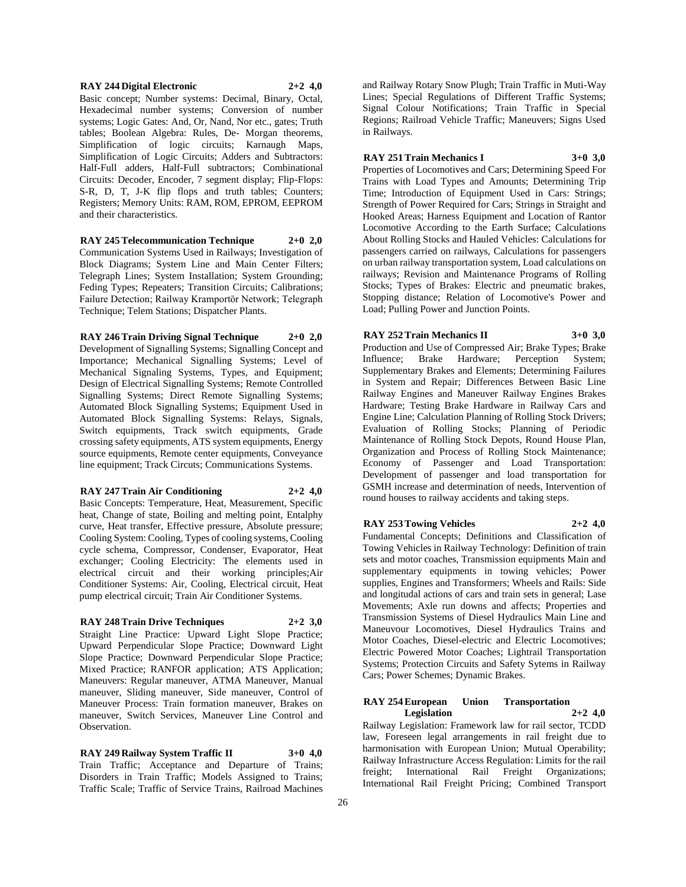#### **RAY 244 Digital Electronic 2+2 4,0**

Basic concept; Number systems: Decimal, Binary, Octal, Hexadecimal number systems; Conversion of number systems; Logic Gates: And, Or, Nand, Nor etc., gates; Truth tables; Boolean Algebra: Rules, De- Morgan theorems, Simplification of logic circuits; Karnaugh Maps, Simplification of Logic Circuits; Adders and Subtractors: Half-Full adders, Half-Full subtractors; Combinational Circuits: Decoder, Encoder, 7 segment display; Flip-Flops: S-R, D, T, J-K flip flops and truth tables; Counters; Registers; Memory Units: RAM, ROM, EPROM, EEPROM and their characteristics.

**RAY 245 Telecommunication Technique 2+0 2,0** Communication Systems Used in Railways; Investigation of Block Diagrams; System Line and Main Center Filters; Telegraph Lines; System Installation; System Grounding; Feding Types; Repeaters; Transition Circuits; Calibrations; Failure Detection; Railway Kramportör Network; Telegraph Technique; Telem Stations; Dispatcher Plants.

**RAY 246 Train Driving Signal Technique 2+0 2,0** Development of Signalling Systems; Signalling Concept and Importance; Mechanical Signalling Systems; Level of Mechanical Signaling Systems, Types, and Equipment; Design of Electrical Signalling Systems; Remote Controlled Signalling Systems; Direct Remote Signalling Systems; Automated Block Signalling Systems; Equipment Used in Automated Block Signalling Systems: Relays, Signals, Switch equipments, Track switch equipments, Grade crossing safety equipments, ATS system equipments, Energy source equipments, Remote center equipments, Conveyance line equipment; Track Circuts; Communications Systems.

#### **RAY 247 Train Air Conditioning 2+2 4,0**

Basic Concepts: Temperature, Heat, Measurement, Specific heat, Change of state, Boiling and melting point, Entalphy curve, Heat transfer, Effective pressure, Absolute pressure; Cooling System: Cooling, Types of cooling systems, Cooling cycle schema, Compressor, Condenser, Evaporator, Heat exchanger; Cooling Electricity: The elements used in electrical circuit and their working principles;Air Conditioner Systems: Air, Cooling, Electrical circuit, Heat pump electrical circuit; Train Air Conditioner Systems.

#### **RAY 248 Train Drive Techniques 2+2 3,0**

Straight Line Practice: Upward Light Slope Practice; Upward Perpendicular Slope Practice; Downward Light Slope Practice; Downward Perpendicular Slope Practice; Mixed Practice; RANFOR application; ATS Application; Maneuvers: Regular maneuver, ATMA Maneuver, Manual maneuver, Sliding maneuver, Side maneuver, Control of Maneuver Process: Train formation maneuver, Brakes on maneuver, Switch Services, Maneuver Line Control and **Observation** 

**RAY 249 Railway System Traffic II 3+0 4,0** Train Traffic; Acceptance and Departure of Trains; Disorders in Train Traffic; Models Assigned to Trains; Traffic Scale; Traffic of Service Trains, Railroad Machines

and Railway Rotary Snow Plugh; Train Traffic in Muti-Way Lines; Special Regulations of Different Traffic Systems; Signal Colour Notifications; Train Traffic in Special Regions; Railroad Vehicle Traffic; Maneuvers; Signs Used in Railways.

**RAY 251 Train Mechanics I 3+0 3,0**

Properties of Locomotives and Cars; Determining Speed For Trains with Load Types and Amounts; Determining Trip Time; Introduction of Equipment Used in Cars: Strings; Strength of Power Required for Cars; Strings in Straight and Hooked Areas; Harness Equipment and Location of Rantor Locomotive According to the Earth Surface; Calculations About Rolling Stocks and Hauled Vehicles: Calculations for passengers carried on railways, Calculations for passengers on urban railway transportation system, Load calculations on railways; Revision and Maintenance Programs of Rolling Stocks; Types of Brakes: Electric and pneumatic brakes, Stopping distance; Relation of Locomotive's Power and Load; Pulling Power and Junction Points.

**RAY 252 Train Mechanics II 3+0 3,0** Production and Use of Compressed Air; Brake Types; Brake Influence; Brake Hardware; Perception System; Supplementary Brakes and Elements; Determining Failures in System and Repair; Differences Between Basic Line Railway Engines and Maneuver Railway Engines Brakes Hardware; Testing Brake Hardware in Railway Cars and Engine Line; Calculation Planning of Rolling Stock Drivers; Evaluation of Rolling Stocks; Planning of Periodic Maintenance of Rolling Stock Depots, Round House Plan, Organization and Process of Rolling Stock Maintenance; Economy of Passenger and Load Transportation: Development of passenger and load transportation for GSMH increase and determination of needs, Intervention of round houses to railway accidents and taking steps.

**RAY 253 Towing Vehicles 2+2 4,0**

Fundamental Concepts; Definitions and Classification of Towing Vehicles in Railway Technology: Definition of train sets and motor coaches, Transmission equipments Main and supplementary equipments in towing vehicles; Power supplies, Engines and Transformers; Wheels and Rails: Side and longitudal actions of cars and train sets in general; Lase Movements; Axle run downs and affects; Properties and Transmission Systems of Diesel Hydraulics Main Line and Maneuvour Locomotives, Diesel Hydraulics Trains and Motor Coaches, Diesel-electric and Electric Locomotives; Electric Powered Motor Coaches; Lightrail Transportation Systems; Protection Circuits and Safety Sytems in Railway Cars; Power Schemes; Dynamic Brakes.

#### **RAY 254 European Union Transportation Legislation 2+2 4,0**

Railway Legislation: Framework law for rail sector, TCDD law, Foreseen legal arrangements in rail freight due to harmonisation with European Union; Mutual Operability; Railway Infrastructure Access Regulation: Limits for the rail freight; International Rail Freight Organizations; International Rail Freight Pricing; Combined Transport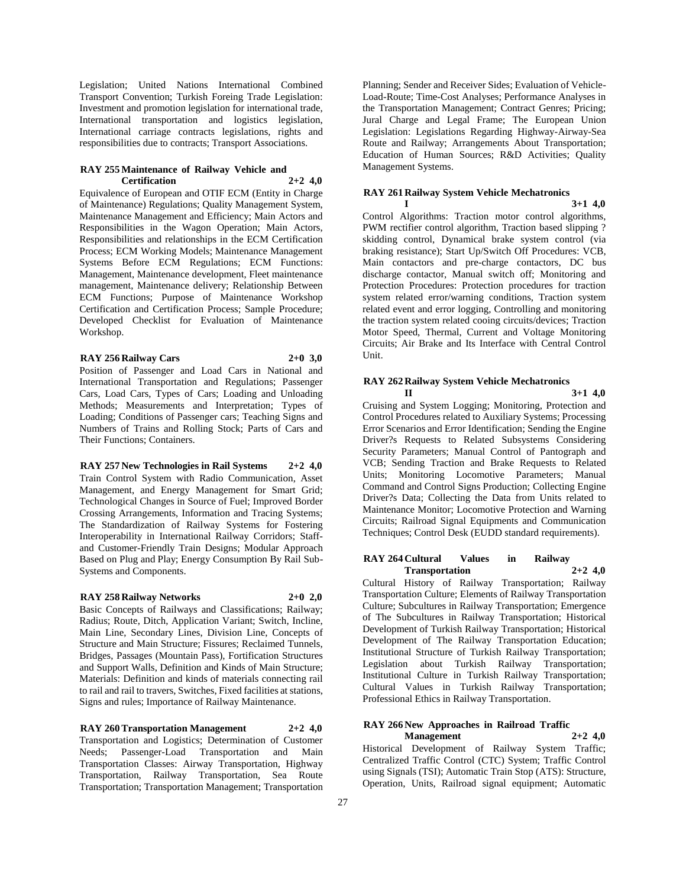Legislation; United Nations International Combined Transport Convention; Turkish Foreing Trade Legislation: Investment and promotion legislation for international trade, International transportation and logistics legislation, International carriage contracts legislations, rights and responsibilities due to contracts; Transport Associations.

## **RAY 255 Maintenance of Railway Vehicle and Certification 2+2 4,0**

Equivalence of European and OTIF ECM (Entity in Charge of Maintenance) Regulations; Quality Management System, Maintenance Management and Efficiency; Main Actors and Responsibilities in the Wagon Operation; Main Actors, Responsibilities and relationships in the ECM Certification Process; ECM Working Models; Maintenance Management Systems Before ECM Regulations; ECM Functions: Management, Maintenance development, Fleet maintenance management, Maintenance delivery; Relationship Between ECM Functions; Purpose of Maintenance Workshop Certification and Certification Process; Sample Procedure; Developed Checklist for Evaluation of Maintenance Workshop.

# **RAY 256 Railway Cars 2+0 3,0**

Position of Passenger and Load Cars in National and International Transportation and Regulations; Passenger Cars, Load Cars, Types of Cars; Loading and Unloading Methods; Measurements and Interpretation; Types of Loading; Conditions of Passenger cars; Teaching Signs and Numbers of Trains and Rolling Stock; Parts of Cars and Their Functions; Containers.

**RAY 257 New Technologies in Rail Systems 2+2 4,0** Train Control System with Radio Communication, Asset Management, and Energy Management for Smart Grid; Technological Changes in Source of Fuel; Improved Border Crossing Arrangements, Information and Tracing Systems; The Standardization of Railway Systems for Fostering Interoperability in International Railway Corridors; Staffand Customer-Friendly Train Designs; Modular Approach Based on Plug and Play; Energy Consumption By Rail Sub-Systems and Components.

# **RAY 258 Railway Networks 2+0 2,0**

Basic Concepts of Railways and Classifications; Railway; Radius; Route, Ditch, Application Variant; Switch, Incline, Main Line, Secondary Lines, Division Line, Concepts of Structure and Main Structure; Fissures; Reclaimed Tunnels, Bridges, Passages (Mountain Pass), Fortification Structures and Support Walls, Definition and Kinds of Main Structure; Materials: Definition and kinds of materials connecting rail to rail and rail to travers, Switches, Fixed facilities at stations, Signs and rules; Importance of Railway Maintenance.

# **RAY 260 Transportation Management 2+2 4,0**

Transportation and Logistics; Determination of Customer Needs; Passenger-Load Transportation and Main Transportation Classes: Airway Transportation, Highway Transportation, Railway Transportation, Sea Route Transportation; Transportation Management; Transportation

Planning; Sender and Receiver Sides; Evaluation of Vehicle-Load-Route; Time-Cost Analyses; Performance Analyses in the Transportation Management; Contract Genres; Pricing; Jural Charge and Legal Frame; The European Union Legislation: Legislations Regarding Highway-Airway-Sea Route and Railway; Arrangements About Transportation; Education of Human Sources; R&D Activities; Quality Management Systems.

# **RAY 261 Railway System Vehicle Mechatronics**

**I 3+1 4,0** Control Algorithms: Traction motor control algorithms, PWM rectifier control algorithm, Traction based slipping ? skidding control, Dynamical brake system control (via braking resistance); Start Up/Switch Off Procedures: VCB, Main contactors and pre-charge contactors, DC bus discharge contactor, Manual switch off; Monitoring and Protection Procedures: Protection procedures for traction system related error/warning conditions, Traction system related event and error logging, Controlling and monitoring the traction system related cooing circuits/devices; Traction Motor Speed, Thermal, Current and Voltage Monitoring Circuits; Air Brake and Its Interface with Central Control Unit.

#### **RAY 262 Railway System Vehicle Mechatronics II 3+1 4,0**

Cruising and System Logging; Monitoring, Protection and Control Procedures related to Auxiliary Systems; Processing Error Scenarios and Error Identification; Sending the Engine Driver?s Requests to Related Subsystems Considering Security Parameters; Manual Control of Pantograph and VCB; Sending Traction and Brake Requests to Related Units; Monitoring Locomotive Parameters; Manual Command and Control Signs Production; Collecting Engine Driver?s Data; Collecting the Data from Units related to Maintenance Monitor; Locomotive Protection and Warning Circuits; Railroad Signal Equipments and Communication Techniques; Control Desk (EUDD standard requirements).

## **RAY 264 Cultural Values in Railway Transportation 2+2 4,0**

Cultural History of Railway Transportation; Railway Transportation Culture; Elements of Railway Transportation Culture; Subcultures in Railway Transportation; Emergence of The Subcultures in Railway Transportation; Historical Development of Turkish Railway Transportation; Historical Development of The Railway Transportation Education; Institutional Structure of Turkish Railway Transportation; Legislation about Turkish Railway Transportation; Institutional Culture in Turkish Railway Transportation; Cultural Values in Turkish Railway Transportation; Professional Ethics in Railway Transportation.

# **RAY 266 New Approaches in Railroad Traffic**

**Management 2+2 4,0** Historical Development of Railway System Traffic; Centralized Traffic Control (CTC) System; Traffic Control using Signals (TSI); Automatic Train Stop (ATS): Structure, Operation, Units, Railroad signal equipment; Automatic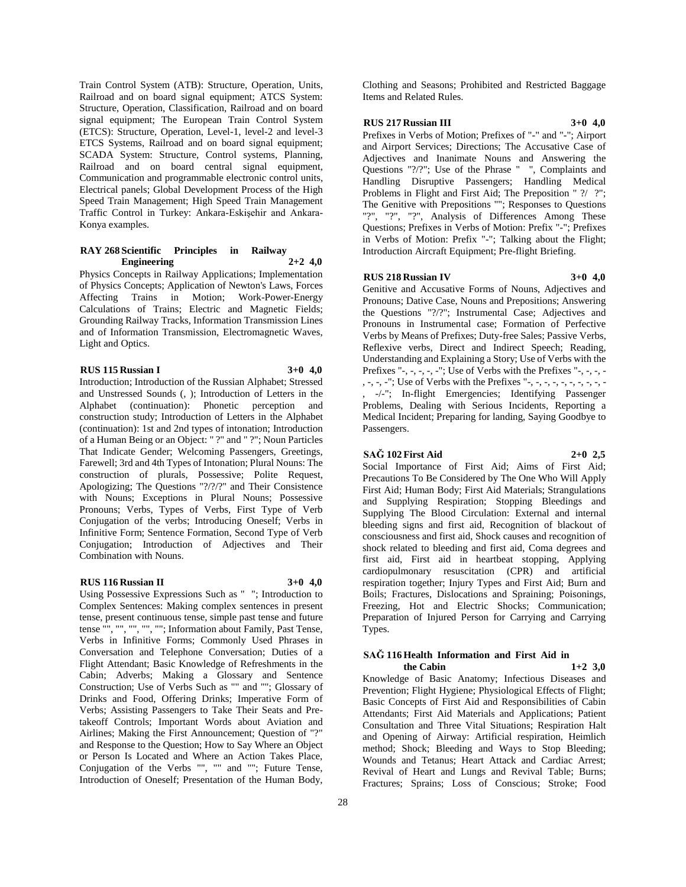Train Control System (ATB): Structure, Operation, Units, Railroad and on board signal equipment; ATCS System: Structure, Operation, Classification, Railroad and on board signal equipment; The European Train Control System (ETCS): Structure, Operation, Level-1, level-2 and level-3 ETCS Systems, Railroad and on board signal equipment; SCADA System: Structure, Control systems, Planning, Railroad and on board central signal equipment, Communication and programmable electronic control units, Electrical panels; Global Development Process of the High Speed Train Management; High Speed Train Management Traffic Control in Turkey: Ankara-Eskişehir and Ankara-Konya examples.

#### **RAY 268 Scientific Principles in Railway Engineering 2+2 4,0**

Physics Concepts in Railway Applications; Implementation of Physics Concepts; Application of Newton's Laws, Forces Affecting Trains in Motion; Work-Power-Energy Calculations of Trains; Electric and Magnetic Fields; Grounding Railway Tracks, Information Transmission Lines and of Information Transmission, Electromagnetic Waves, Light and Optics.

# **RUS 115 Russian I 3+0 4,0**

Introduction; Introduction of the Russian Alphabet; Stressed and Unstressed Sounds (, ); Introduction of Letters in the Alphabet (continuation): Phonetic perception and construction study; Introduction of Letters in the Alphabet (continuation): 1st and 2nd types of intonation; Introduction of a Human Being or an Object: " ?" and " ?"; Noun Particles That Indicate Gender; Welcoming Passengers, Greetings, Farewell; 3rd and 4th Types of Intonation; Plural Nouns: The construction of plurals, Possessive; Polite Request, Apologizing; The Questions "?/?/?" and Their Consistence with Nouns; Exceptions in Plural Nouns; Possessive Pronouns; Verbs, Types of Verbs, First Type of Verb Conjugation of the verbs; Introducing Oneself; Verbs in Infinitive Form; Sentence Formation, Second Type of Verb Conjugation; Introduction of Adjectives and Their Combination with Nouns.

# **RUS 116 Russian II 3+0 4,0**

Using Possessive Expressions Such as " "; Introduction to Complex Sentences: Making complex sentences in present tense, present continuous tense, simple past tense and future tense "", "", "", "", ""; Information about Family, Past Tense, Verbs in Infinitive Forms; Commonly Used Phrases in Conversation and Telephone Conversation; Duties of a Flight Attendant; Basic Knowledge of Refreshments in the Cabin; Adverbs; Making a Glossary and Sentence Construction; Use of Verbs Such as "" and ""; Glossary of Drinks and Food, Offering Drinks; Imperative Form of Verbs; Assisting Passengers to Take Their Seats and Pretakeoff Controls; Important Words about Aviation and Airlines; Making the First Announcement; Question of "?" and Response to the Question; How to Say Where an Object or Person Is Located and Where an Action Takes Place, Conjugation of the Verbs "", "" and ""; Future Tense, Introduction of Oneself; Presentation of the Human Body,

Clothing and Seasons; Prohibited and Restricted Baggage Items and Related Rules.

#### **RUS 217 Russian III 3+0 4,0**

Prefixes in Verbs of Motion; Prefixes of "-" and "-"; Airport and Airport Services; Directions; The Accusative Case of Adjectives and Inanimate Nouns and Answering the Questions "?/?"; Use of the Phrase " ", Complaints and Handling Disruptive Passengers; Handling Medical Problems in Flight and First Aid; The Preposition " ?/ ?"; The Genitive with Prepositions ""; Responses to Questions "?", "?", "?", Analysis of Differences Among These Questions; Prefixes in Verbs of Motion: Prefix "-"; Prefixes in Verbs of Motion: Prefix "-"; Talking about the Flight; Introduction Aircraft Equipment; Pre-flight Briefing.

#### **RUS 218 Russian IV 3+0 4,0**

Genitive and Accusative Forms of Nouns, Adjectives and Pronouns; Dative Case, Nouns and Prepositions; Answering the Questions "?/?"; Instrumental Case; Adjectives and Pronouns in Instrumental case; Formation of Perfective Verbs by Means of Prefixes; Duty-free Sales; Passive Verbs, Reflexive verbs, Direct and Indirect Speech; Reading, Understanding and Explaining a Story; Use of Verbs with the Prefixes "-, -, -, -, -"; Use of Verbs with the Prefixes "-, -, -, -, -, -, -"; Use of Verbs with the Prefixes "-, -, -, -, -, -, -, -, -, - , -/-"; In-flight Emergencies; Identifying Passenger Problems, Dealing with Serious Incidents, Reporting a Medical Incident; Preparing for landing, Saying Goodbye to Passengers.

# **SAĞ 102 First Aid 2+0 2,5**

Social Importance of First Aid; Aims of First Aid; Precautions To Be Considered by The One Who Will Apply First Aid; Human Body; First Aid Materials; Strangulations and Supplying Respiration; Stopping Bleedings and Supplying The Blood Circulation: External and internal bleeding signs and first aid, Recognition of blackout of consciousness and first aid, Shock causes and recognition of shock related to bleeding and first aid, Coma degrees and first aid, First aid in heartbeat stopping, Applying cardiopulmonary resuscitation (CPR) and artificial respiration together; Injury Types and First Aid; Burn and Boils; Fractures, Dislocations and Spraining; Poisonings, Freezing, Hot and Electric Shocks; Communication; Preparation of Injured Person for Carrying and Carrying Types.

## **SAĞ 116 Health Information and First Aid in the Cabin 1+2 3,0**

Knowledge of Basic Anatomy; Infectious Diseases and Prevention; Flight Hygiene; Physiological Effects of Flight; Basic Concepts of First Aid and Responsibilities of Cabin Attendants; First Aid Materials and Applications; Patient Consultation and Three Vital Situations; Respiration Halt and Opening of Airway: Artificial respiration, Heimlich method; Shock; Bleeding and Ways to Stop Bleeding; Wounds and Tetanus; Heart Attack and Cardiac Arrest; Revival of Heart and Lungs and Revival Table; Burns; Fractures; Sprains; Loss of Conscious; Stroke; Food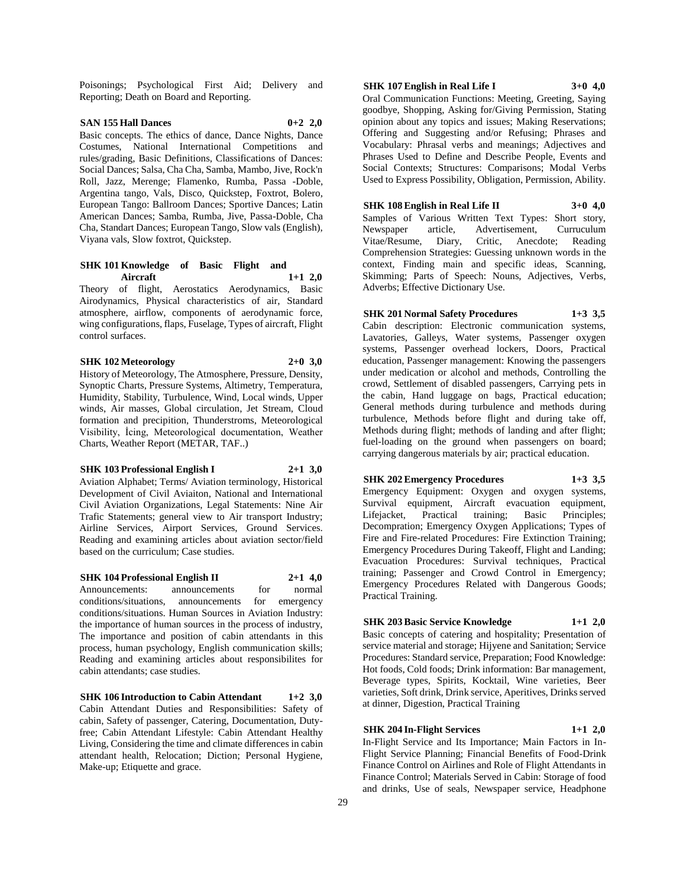Poisonings; Psychological First Aid; Delivery and Reporting; Death on Board and Reporting.

# **SAN 155 Hall Dances 0+2 2,0**

Basic concepts. The ethics of dance, Dance Nights, Dance Costumes, National International Competitions and rules/grading, Basic Definitions, Classifications of Dances: Social Dances; Salsa, Cha Cha, Samba, Mambo, Jive, Rock'n Roll, Jazz, Merenge; Flamenko, Rumba, Passa -Doble, Argentina tango, Vals, Disco, Quickstep, Foxtrot, Bolero, European Tango: Ballroom Dances; Sportive Dances; Latin American Dances; Samba, Rumba, Jive, Passa-Doble, Cha Cha, Standart Dances; European Tango, Slow vals (English), Viyana vals, Slow foxtrot, Quickstep.

# **SHK 101 Knowledge of Basic Flight and Aircraft 1+1 2,0**

Theory of flight, Aerostatics Aerodynamics, Basic Airodynamics, Physical characteristics of air, Standard atmosphere, airflow, components of aerodynamic force, wing configurations, flaps, Fuselage, Types of aircraft, Flight control surfaces.

# **SHK 102 Meteorology 2+0 3,0**

History of Meteorology, The Atmosphere, Pressure, Density, Synoptic Charts, Pressure Systems, Altimetry, Temperatura, Humidity, Stability, Turbulence, Wind, Local winds, Upper winds, Air masses, Global circulation, Jet Stream, Cloud formation and precipition, Thunderstroms, Meteorological Visibility, İcing, Meteorological documentation, Weather Charts, Weather Report (METAR, TAF..)

#### **SHK 103 Professional English I 2+1 3,0**

Aviation Alphabet; Terms/ Aviation terminology, Historical Development of Civil Aviaiton, National and International Civil Aviation Organizations, Legal Statements: Nine Air Trafic Statements; general view to Air transport Industry; Airline Services, Airport Services, Ground Services. Reading and examining articles about aviation sector/field based on the curriculum; Case studies.

# **SHK 104 Professional English II 2+1 4,0**

Announcements: announcements for normal conditions/situations, announcements for emergency conditions/situations. Human Sources in Aviation Industry: the importance of human sources in the process of industry, The importance and position of cabin attendants in this process, human psychology, English communication skills; Reading and examining articles about responsibilites for cabin attendants; case studies.

**SHK 106 Introduction to Cabin Attendant 1+2 3,0** Cabin Attendant Duties and Responsibilities: Safety of cabin, Safety of passenger, Catering, Documentation, Dutyfree; Cabin Attendant Lifestyle: Cabin Attendant Healthy Living, Considering the time and climate differences in cabin attendant health, Relocation; Diction; Personal Hygiene, Make-up; Etiquette and grace.

# **SHK 107 English in Real Life I 3+0 4,0**

Oral Communication Functions: Meeting, Greeting, Saying goodbye, Shopping, Asking for/Giving Permission, Stating opinion about any topics and issues; Making Reservations; Offering and Suggesting and/or Refusing; Phrases and Vocabulary: Phrasal verbs and meanings; Adjectives and Phrases Used to Define and Describe People, Events and Social Contexts; Structures: Comparisons; Modal Verbs Used to Express Possibility, Obligation, Permission, Ability.

**SHK 108 English in Real Life II 3+0 4,0** Samples of Various Written Text Types: Short story, Newspaper article, Advertisement, Curruculum Vitae/Resume, Diary, Critic, Anecdote; Reading Comprehension Strategies: Guessing unknown words in the context, Finding main and specific ideas, Scanning, Skimming; Parts of Speech: Nouns, Adjectives, Verbs, Adverbs; Effective Dictionary Use.

#### **SHK 201 Normal Safety Procedures 1+3 3,5**

Cabin description: Electronic communication systems, Lavatories, Galleys, Water systems, Passenger oxygen systems, Passenger overhead lockers, Doors, Practical education, Passenger management: Knowing the passengers under medication or alcohol and methods, Controlling the crowd, Settlement of disabled passengers, Carrying pets in the cabin, Hand luggage on bags, Practical education; General methods during turbulence and methods during turbulence, Methods before flight and during take off, Methods during flight; methods of landing and after flight; fuel-loading on the ground when passengers on board; carrying dangerous materials by air; practical education.

**SHK 202 Emergency Procedures 1+3 3,5** Emergency Equipment: Oxygen and oxygen systems, Survival equipment, Aircraft evacuation equipment, Lifejacket, Practical training; Basic Principles; Decompration; Emergency Oxygen Applications; Types of Fire and Fire-related Procedures: Fire Extinction Training; Emergency Procedures During Takeoff, Flight and Landing; Evacuation Procedures: Survival techniques, Practical training; Passenger and Crowd Control in Emergency; Emergency Procedures Related with Dangerous Goods; Practical Training.

# **SHK 203 Basic Service Knowledge 1+1 2,0**

Basic concepts of catering and hospitality; Presentation of service material and storage; Hijyene and Sanitation; Service Procedures: Standard service, Preparation; Food Knowledge: Hot foods, Cold foods; Drink information: Bar management, Beverage types, Spirits, Kocktail, Wine varieties, Beer varieties, Soft drink, Drink service, Aperitives, Drinks served at dinner, Digestion, Practical Training

#### **SHK 204 In-Flight Services 1+1 2,0**

In-Flight Service and Its Importance; Main Factors in In-Flight Service Planning; Financial Benefits of Food-Drink Finance Control on Airlines and Role of Flight Attendants in Finance Control; Materials Served in Cabin: Storage of food and drinks, Use of seals, Newspaper service, Headphone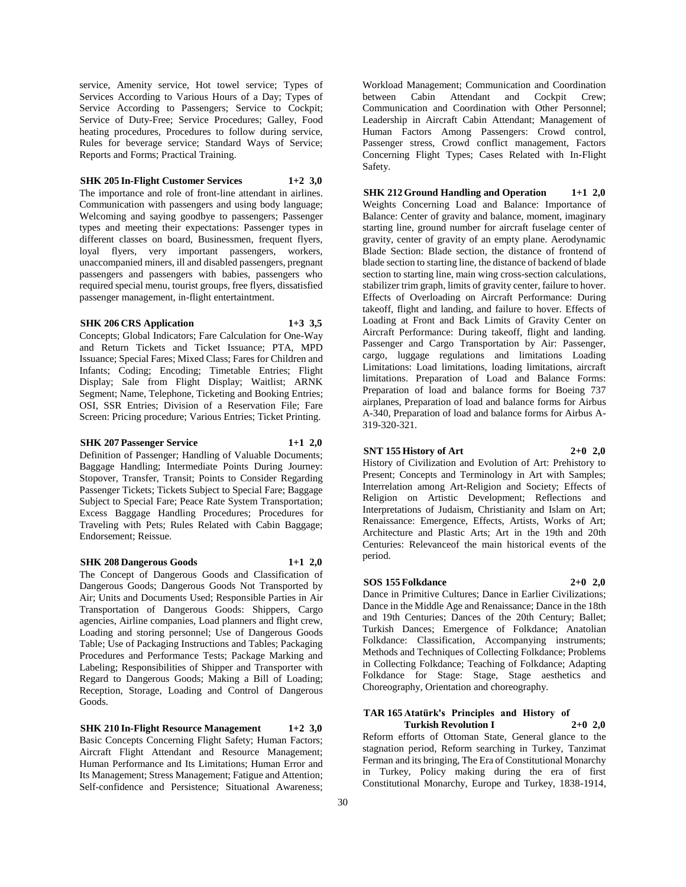service, Amenity service, Hot towel service; Types of Services According to Various Hours of a Day; Types of Service According to Passengers; Service to Cockpit; Service of Duty-Free; Service Procedures; Galley, Food heating procedures, Procedures to follow during service, Rules for beverage service; Standard Ways of Service; Reports and Forms; Practical Training.

# **SHK 205 In-Flight Customer Services 1+2 3,0**

The importance and role of front-line attendant in airlines. Communication with passengers and using body language; Welcoming and saying goodbye to passengers; Passenger types and meeting their expectations: Passenger types in different classes on board, Businessmen, frequent flyers, loyal flyers, very important passengers, workers, unaccompanied miners, ill and disabled passengers, pregnant passengers and passengers with babies, passengers who required special menu, tourist groups, free flyers, dissatisfied passenger management, in-flight entertaintment.

# **SHK 206 CRS Application 1+3 3,5**

Concepts; Global Indicators; Fare Calculation for One-Way and Return Tickets and Ticket Issuance; PTA, MPD Issuance; Special Fares; Mixed Class; Fares for Children and Infants; Coding; Encoding; Timetable Entries; Flight Display; Sale from Flight Display; Waitlist; ARNK Segment; Name, Telephone, Ticketing and Booking Entries; OSI, SSR Entries; Division of a Reservation File; Fare Screen: Pricing procedure; Various Entries; Ticket Printing.

#### **SHK 207 Passenger Service 1+1 2,0**

Definition of Passenger; Handling of Valuable Documents; Baggage Handling; Intermediate Points During Journey: Stopover, Transfer, Transit; Points to Consider Regarding Passenger Tickets; Tickets Subject to Special Fare; Baggage Subject to Special Fare; Peace Rate System Transportation; Excess Baggage Handling Procedures; Procedures for Traveling with Pets; Rules Related with Cabin Baggage; Endorsement; Reissue.

#### **SHK 208 Dangerous Goods 1+1 2,0**

The Concept of Dangerous Goods and Classification of Dangerous Goods; Dangerous Goods Not Transported by Air; Units and Documents Used; Responsible Parties in Air Transportation of Dangerous Goods: Shippers, Cargo agencies, Airline companies, Load planners and flight crew, Loading and storing personnel; Use of Dangerous Goods Table; Use of Packaging Instructions and Tables; Packaging Procedures and Performance Tests; Package Marking and Labeling; Responsibilities of Shipper and Transporter with Regard to Dangerous Goods; Making a Bill of Loading; Reception, Storage, Loading and Control of Dangerous Goods.

**SHK 210 In-Flight Resource Management 1+2 3,0** Basic Concepts Concerning Flight Safety; Human Factors; Aircraft Flight Attendant and Resource Management; Human Performance and Its Limitations; Human Error and Its Management; Stress Management; Fatigue and Attention; Self-confidence and Persistence; Situational Awareness;

Workload Management; Communication and Coordination between Cabin Attendant and Cockpit Crew; Communication and Coordination with Other Personnel; Leadership in Aircraft Cabin Attendant; Management of Human Factors Among Passengers: Crowd control, Passenger stress, Crowd conflict management, Factors Concerning Flight Types; Cases Related with In-Flight Safety.

**SHK 212 Ground Handling and Operation 1+1 2,0** Weights Concerning Load and Balance: Importance of Balance: Center of gravity and balance, moment, imaginary starting line, ground number for aircraft fuselage center of gravity, center of gravity of an empty plane. Aerodynamic Blade Section: Blade section, the distance of frontend of blade section to starting line, the distance of backend of blade section to starting line, main wing cross-section calculations, stabilizer trim graph, limits of gravity center, failure to hover. Effects of Overloading on Aircraft Performance: During takeoff, flight and landing, and failure to hover. Effects of Loading at Front and Back Limits of Gravity Center on Aircraft Performance: During takeoff, flight and landing. Passenger and Cargo Transportation by Air: Passenger, cargo, luggage regulations and limitations Loading Limitations: Load limitations, loading limitations, aircraft limitations. Preparation of Load and Balance Forms: Preparation of load and balance forms for Boeing 737 airplanes, Preparation of load and balance forms for Airbus A-340, Preparation of load and balance forms for Airbus A-319-320-321.

# **SNT 155 History of Art 2+0 2,0**

History of Civilization and Evolution of Art: Prehistory to Present; Concepts and Terminology in Art with Samples; Interrelation among Art-Religion and Society; Effects of Religion on Artistic Development; Reflections and Interpretations of Judaism, Christianity and Islam on Art; Renaissance: Emergence, Effects, Artists, Works of Art; Architecture and Plastic Arts; Art in the 19th and 20th Centuries: Relevanceof the main historical events of the period.

# **SOS 155 Folkdance 2+0 2,0**

Dance in Primitive Cultures; Dance in Earlier Civilizations; Dance in the Middle Age and Renaissance; Dance in the 18th and 19th Centuries; Dances of the 20th Century; Ballet; Turkish Dances; Emergence of Folkdance; Anatolian Folkdance: Classification, Accompanying instruments; Methods and Techniques of Collecting Folkdance; Problems in Collecting Folkdance; Teaching of Folkdance; Adapting Folkdance for Stage: Stage, Stage aesthetics and Choreography, Orientation and choreography.

# **TAR 165 Atatürk's Principles and History of**

**Turkish Revolution I 2+0 2,0** Reform efforts of Ottoman State, General glance to the stagnation period, Reform searching in Turkey, Tanzimat Ferman and its bringing, The Era of Constitutional Monarchy in Turkey, Policy making during the era of first Constitutional Monarchy, Europe and Turkey, 1838-1914,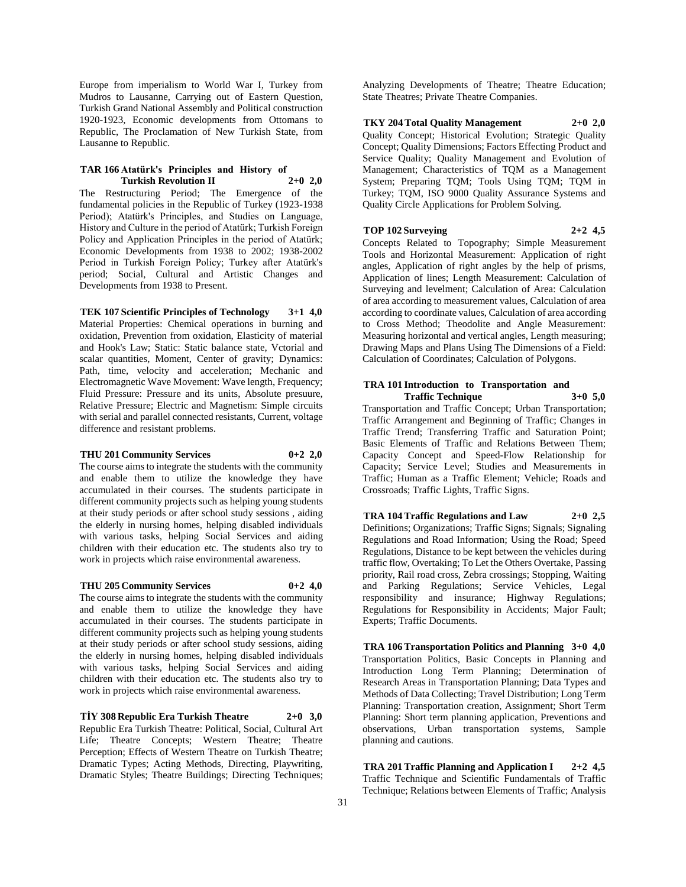Europe from imperialism to World War I, Turkey from Mudros to Lausanne, Carrying out of Eastern Question, Turkish Grand National Assembly and Political construction 1920-1923, Economic developments from Ottomans to Republic, The Proclamation of New Turkish State, from Lausanne to Republic.

#### **TAR 166 Atatürk's Principles and History of Turkish Revolution II 2+0 2,0**

The Restructuring Period; The Emergence of the fundamental policies in the Republic of Turkey (1923-1938 Period); Atatürk's Principles, and Studies on Language, History and Culture in the period of Atatürk; Turkish Foreign Policy and Application Principles in the period of Atatürk; Economic Developments from 1938 to 2002; 1938-2002 Period in Turkish Foreign Policy; Turkey after Atatürk's period; Social, Cultural and Artistic Changes and Developments from 1938 to Present.

# **TEK 107 Scientific Principles of Technology 3+1 4,0**

Material Properties: Chemical operations in burning and oxidation, Prevention from oxidation, Elasticity of material and Hook's Law; Static: Static balance state, Vctorial and scalar quantities, Moment, Center of gravity; Dynamics: Path, time, velocity and acceleration; Mechanic and Electromagnetic Wave Movement: Wave length, Frequency; Fluid Pressure: Pressure and its units, Absolute presuure, Relative Pressure; Electric and Magnetism: Simple circuits with serial and parallel connected resistants, Current, voltage difference and resistant problems.

# **THU 201 Community Services 0+2 2,0**

The course aims to integrate the students with the community and enable them to utilize the knowledge they have accumulated in their courses. The students participate in different community projects such as helping young students at their study periods or after school study sessions , aiding the elderly in nursing homes, helping disabled individuals with various tasks, helping Social Services and aiding children with their education etc. The students also try to work in projects which raise environmental awareness.

## **THU 205 Community Services 0+2 4,0**

The course aims to integrate the students with the community and enable them to utilize the knowledge they have accumulated in their courses. The students participate in different community projects such as helping young students at their study periods or after school study sessions, aiding the elderly in nursing homes, helping disabled individuals with various tasks, helping Social Services and aiding children with their education etc. The students also try to work in projects which raise environmental awareness.

**TİY 308 Republic Era Turkish Theatre 2+0 3,0** Republic Era Turkish Theatre: Political, Social, Cultural Art Life; Theatre Concepts; Western Theatre; Theatre Perception; Effects of Western Theatre on Turkish Theatre; Dramatic Types; Acting Methods, Directing, Playwriting, Dramatic Styles; Theatre Buildings; Directing Techniques;

Analyzing Developments of Theatre; Theatre Education; State Theatres; Private Theatre Companies.

**TKY 204 Total Quality Management 2+0 2,0** Quality Concept; Historical Evolution; Strategic Quality Concept; Quality Dimensions; Factors Effecting Product and Service Quality; Quality Management and Evolution of Management; Characteristics of TQM as a Management System; Preparing TQM; Tools Using TQM; TQM in Turkey; TQM, ISO 9000 Quality Assurance Systems and Quality Circle Applications for Problem Solving.

# **TOP 102 Surveying 2+2 4,5**

Concepts Related to Topography; Simple Measurement Tools and Horizontal Measurement: Application of right angles, Application of right angles by the help of prisms, Application of lines; Length Measurement: Calculation of Surveying and levelment; Calculation of Area: Calculation of area according to measurement values, Calculation of area according to coordinate values, Calculation of area according to Cross Method; Theodolite and Angle Measurement: Measuring horizontal and vertical angles, Length measuring; Drawing Maps and Plans Using The Dimensions of a Field: Calculation of Coordinates; Calculation of Polygons.

# **TRA 101 Introduction to Transportation and Traffic Technique 3+0 5,0**

Transportation and Traffic Concept; Urban Transportation; Traffic Arrangement and Beginning of Traffic; Changes in Traffic Trend; Transferring Traffic and Saturation Point; Basic Elements of Traffic and Relations Between Them; Capacity Concept and Speed-Flow Relationship for Capacity; Service Level; Studies and Measurements in Traffic; Human as a Traffic Element; Vehicle; Roads and Crossroads; Traffic Lights, Traffic Signs.

# **TRA 104 Traffic Regulations and Law 2+0 2,5**

Definitions; Organizations; Traffic Signs; Signals; Signaling Regulations and Road Information; Using the Road; Speed Regulations, Distance to be kept between the vehicles during traffic flow, Overtaking; To Let the Others Overtake, Passing priority, Rail road cross, Zebra crossings; Stopping, Waiting and Parking Regulations; Service Vehicles, Legal responsibility and insurance; Highway Regulations; Regulations for Responsibility in Accidents; Major Fault; Experts; Traffic Documents.

**TRA 106 Transportation Politics and Planning 3+0 4,0** Transportation Politics, Basic Concepts in Planning and Introduction Long Term Planning; Determination of Research Areas in Transportation Planning; Data Types and Methods of Data Collecting; Travel Distribution; Long Term Planning: Transportation creation, Assignment; Short Term Planning: Short term planning application, Preventions and observations, Urban transportation systems, Sample planning and cautions.

**TRA 201 Traffic Planning and Application I 2+2 4,5** Traffic Technique and Scientific Fundamentals of Traffic Technique; Relations between Elements of Traffic; Analysis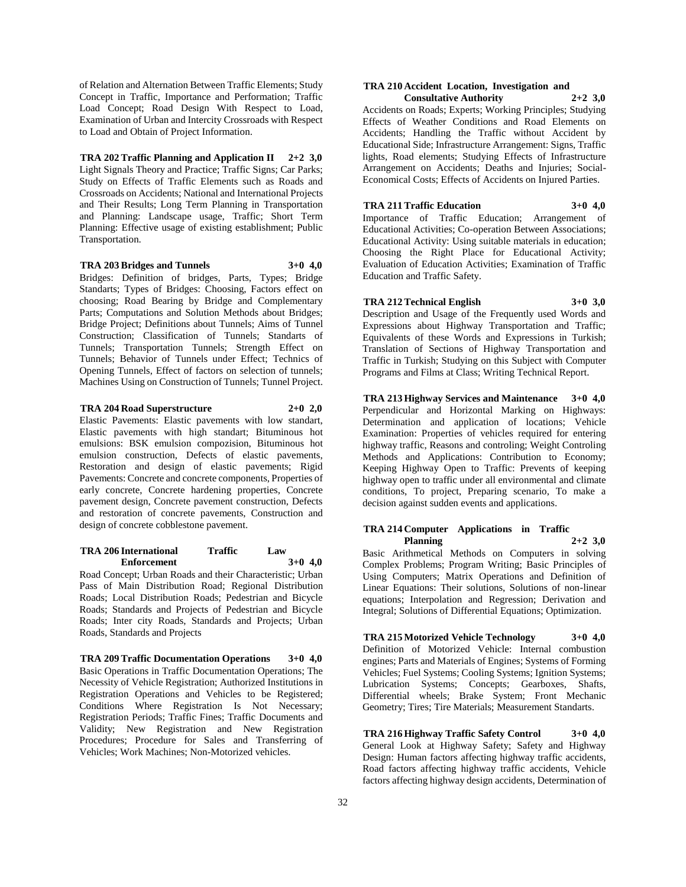of Relation and Alternation Between Traffic Elements; Study Concept in Traffic, Importance and Performation; Traffic Load Concept; Road Design With Respect to Load, Examination of Urban and Intercity Crossroads with Respect to Load and Obtain of Project Information.

**TRA 202 Traffic Planning and Application II 2+2 3,0** Light Signals Theory and Practice; Traffic Signs; Car Parks; Study on Effects of Traffic Elements such as Roads and Crossroads on Accidents; National and International Projects and Their Results; Long Term Planning in Transportation and Planning: Landscape usage, Traffic; Short Term Planning: Effective usage of existing establishment; Public Transportation.

**TRA 203 Bridges and Tunnels 3+0 4,0** Bridges: Definition of bridges, Parts, Types; Bridge Standarts; Types of Bridges: Choosing, Factors effect on choosing; Road Bearing by Bridge and Complementary Parts; Computations and Solution Methods about Bridges; Bridge Project; Definitions about Tunnels; Aims of Tunnel Construction; Classification of Tunnels; Standarts of Tunnels; Transportation Tunnels; Strength Effect on Tunnels; Behavior of Tunnels under Effect; Technics of Opening Tunnels, Effect of factors on selection of tunnels; Machines Using on Construction of Tunnels; Tunnel Project.

**TRA 204 Road Superstructure 2+0 2,0** Elastic Pavements: Elastic pavements with low standart, Elastic pavements with high standart; Bituminous hot emulsions: BSK emulsion compozision, Bituminous hot emulsion construction, Defects of elastic pavements, Restoration and design of elastic pavements; Rigid Pavements: Concrete and concrete components, Properties of early concrete, Concrete hardening properties, Concrete

# and restoration of concrete pavements, Construction and design of concrete cobblestone pavement. **TRA 206 International Traffic Law**

pavement design, Concrete pavement construction, Defects

Road Concept; Urban Roads and their Characteristic; Urban Pass of Main Distribution Road; Regional Distribution Roads; Local Distribution Roads; Pedestrian and Bicycle Roads; Standards and Projects of Pedestrian and Bicycle Roads; Inter city Roads, Standards and Projects; Urban Roads, Standards and Projects

**Enforcement 3+0 4,0**

**TRA 209 Traffic Documentation Operations 3+0 4,0** Basic Operations in Traffic Documentation Operations; The Necessity of Vehicle Registration; Authorized Institutions in Registration Operations and Vehicles to be Registered; Conditions Where Registration Is Not Necessary; Registration Periods; Traffic Fines; Traffic Documents and Validity; New Registration and New Registration Procedures; Procedure for Sales and Transferring of Vehicles; Work Machines; Non-Motorized vehicles.

#### **TRA 210 Accident Location, Investigation and Consultative Authority 2+2 3,0**

Accidents on Roads; Experts; Working Principles; Studying Effects of Weather Conditions and Road Elements on Accidents; Handling the Traffic without Accident by Educational Side; Infrastructure Arrangement: Signs, Traffic lights, Road elements; Studying Effects of Infrastructure Arrangement on Accidents; Deaths and Injuries; Social-Economical Costs; Effects of Accidents on Injured Parties.

# **TRA 211 Traffic Education 3+0 4,0**

Importance of Traffic Education; Arrangement of Educational Activities; Co-operation Between Associations; Educational Activity: Using suitable materials in education; Choosing the Right Place for Educational Activity; Evaluation of Education Activities; Examination of Traffic Education and Traffic Safety.

# **TRA 212 Technical English 3+0 3,0**

Description and Usage of the Frequently used Words and Expressions about Highway Transportation and Traffic; Equivalents of these Words and Expressions in Turkish; Translation of Sections of Highway Transportation and Traffic in Turkish; Studying on this Subject with Computer Programs and Films at Class; Writing Technical Report.

**TRA 213 Highway Services and Maintenance 3+0 4,0** Perpendicular and Horizontal Marking on Highways: Determination and application of locations; Vehicle Examination: Properties of vehicles required for entering highway traffic, Reasons and controling; Weight Controling Methods and Applications: Contribution to Economy; Keeping Highway Open to Traffic: Prevents of keeping highway open to traffic under all environmental and climate conditions, To project, Preparing scenario, To make a decision against sudden events and applications.

#### **TRA 214 Computer Applications in Traffic Planning 2+2 3,0**

Basic Arithmetical Methods on Computers in solving Complex Problems; Program Writing; Basic Principles of Using Computers; Matrix Operations and Definition of Linear Equations: Their solutions, Solutions of non-linear equations; Interpolation and Regression; Derivation and Integral; Solutions of Differential Equations; Optimization.

**TRA 215 Motorized Vehicle Technology 3+0 4,0** Definition of Motorized Vehicle: Internal combustion engines; Parts and Materials of Engines; Systems of Forming Vehicles; Fuel Systems; Cooling Systems; Ignition Systems; Lubrication Systems; Concepts; Gearboxes, Shafts, Differential wheels; Brake System; Front Mechanic Geometry; Tires; Tire Materials; Measurement Standarts.

**TRA 216 Highway Traffic Safety Control 3+0 4,0** General Look at Highway Safety; Safety and Highway Design: Human factors affecting highway traffic accidents, Road factors affecting highway traffic accidents, Vehicle factors affecting highway design accidents, Determination of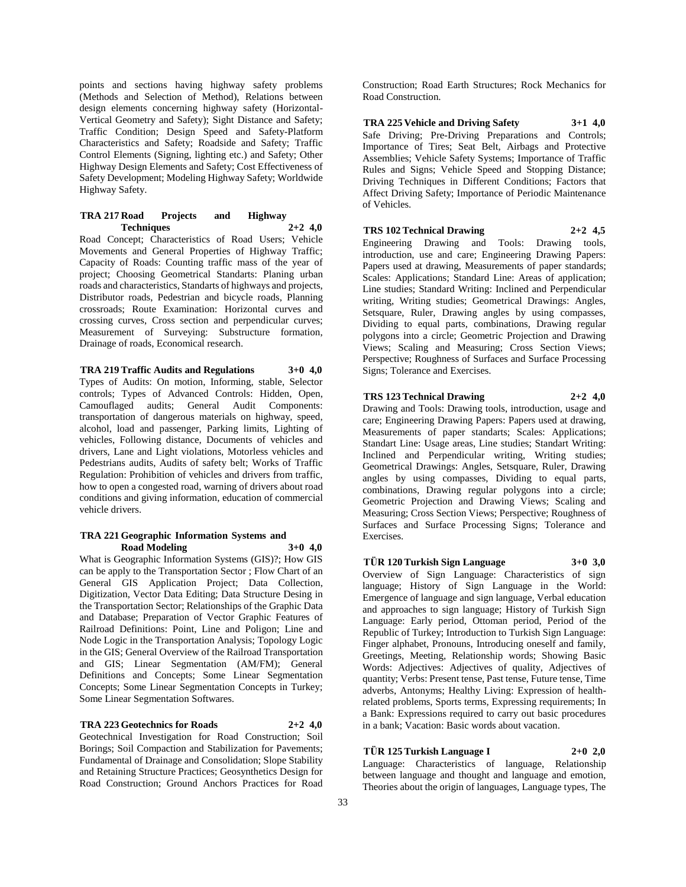points and sections having highway safety problems (Methods and Selection of Method), Relations between design elements concerning highway safety (Horizontal-Vertical Geometry and Safety); Sight Distance and Safety; Traffic Condition; Design Speed and Safety-Platform Characteristics and Safety; Roadside and Safety; Traffic Control Elements (Signing, lighting etc.) and Safety; Other Highway Design Elements and Safety; Cost Effectiveness of Safety Development; Modeling Highway Safety; Worldwide Highway Safety.

#### **TRA 217 Road Projects and Highway Techniques 2+2 4,0**

Road Concept; Characteristics of Road Users; Vehicle Movements and General Properties of Highway Traffic; Capacity of Roads: Counting traffic mass of the year of project; Choosing Geometrical Standarts: Planing urban roads and characteristics, Standarts of highways and projects, Distributor roads, Pedestrian and bicycle roads, Planning crossroads; Route Examination: Horizontal curves and crossing curves, Cross section and perpendicular curves; Measurement of Surveying: Substructure formation, Drainage of roads, Economical research.

**TRA 219 Traffic Audits and Regulations 3+0 4,0** Types of Audits: On motion, Informing, stable, Selector controls; Types of Advanced Controls: Hidden, Open, Camouflaged audits; General Audit Components: transportation of dangerous materials on highway, speed, alcohol, load and passenger, Parking limits, Lighting of vehicles, Following distance, Documents of vehicles and drivers, Lane and Light violations, Motorless vehicles and Pedestrians audits, Audits of safety belt; Works of Traffic Regulation: Prohibition of vehicles and drivers from traffic, how to open a congested road, warning of drivers about road conditions and giving information, education of commercial vehicle drivers.

#### **TRA 221 Geographic Information Systems and Road Modeling 3+0 4,0**

What is Geographic Information Systems (GIS)?; How GIS can be apply to the Transportation Sector ; Flow Chart of an General GIS Application Project; Data Collection, Digitization, Vector Data Editing; Data Structure Desing in the Transportation Sector; Relationships of the Graphic Data and Database; Preparation of Vector Graphic Features of Railroad Definitions: Point, Line and Poligon; Line and Node Logic in the Transportation Analysis; Topology Logic in the GIS; General Overview of the Railroad Transportation and GIS; Linear Segmentation (AM/FM); General Definitions and Concepts; Some Linear Segmentation Concepts; Some Linear Segmentation Concepts in Turkey; Some Linear Segmentation Softwares.

**TRA 223 Geotechnics for Roads 2+2 4,0**

Geotechnical Investigation for Road Construction; Soil Borings; Soil Compaction and Stabilization for Pavements; Fundamental of Drainage and Consolidation; Slope Stability and Retaining Structure Practices; Geosynthetics Design for Road Construction; Ground Anchors Practices for Road

Construction; Road Earth Structures; Rock Mechanics for Road Construction.

**TRA 225 Vehicle and Driving Safety 3+1 4,0** Safe Driving; Pre-Driving Preparations and Controls; Importance of Tires; Seat Belt, Airbags and Protective Assemblies; Vehicle Safety Systems; Importance of Traffic Rules and Signs; Vehicle Speed and Stopping Distance; Driving Techniques in Different Conditions; Factors that Affect Driving Safety; Importance of Periodic Maintenance of Vehicles.

**TRS 102 Technical Drawing 2+2 4,5** Engineering Drawing and Tools: Drawing tools,

introduction, use and care; Engineering Drawing Papers: Papers used at drawing, Measurements of paper standards; Scales: Applications; Standard Line: Areas of application; Line studies; Standard Writing: Inclined and Perpendicular writing, Writing studies; Geometrical Drawings: Angles, Setsquare, Ruler, Drawing angles by using compasses, Dividing to equal parts, combinations, Drawing regular polygons into a circle; Geometric Projection and Drawing Views; Scaling and Measuring; Cross Section Views; Perspective; Roughness of Surfaces and Surface Processing Signs; Tolerance and Exercises.

# **TRS 123 Technical Drawing 2+2 4,0**

Drawing and Tools: Drawing tools, introduction, usage and care; Engineering Drawing Papers: Papers used at drawing, Measurements of paper standarts; Scales: Applications; Standart Line: Usage areas, Line studies; Standart Writing: Inclined and Perpendicular writing, Writing studies; Geometrical Drawings: Angles, Setsquare, Ruler, Drawing angles by using compasses, Dividing to equal parts, combinations, Drawing regular polygons into a circle; Geometric Projection and Drawing Views; Scaling and Measuring; Cross Section Views; Perspective; Roughness of Surfaces and Surface Processing Signs; Tolerance and Exercises.

# **TÜR 120 Turkish Sign Language 3+0 3,0**

Overview of Sign Language: Characteristics of sign language; History of Sign Language in the World: Emergence of language and sign language, Verbal education and approaches to sign language; History of Turkish Sign Language: Early period, Ottoman period, Period of the Republic of Turkey; Introduction to Turkish Sign Language: Finger alphabet, Pronouns, Introducing oneself and family, Greetings, Meeting, Relationship words; Showing Basic Words: Adjectives: Adjectives of quality, Adjectives of quantity; Verbs: Present tense, Past tense, Future tense, Time adverbs, Antonyms; Healthy Living: Expression of healthrelated problems, Sports terms, Expressing requirements; In a Bank: Expressions required to carry out basic procedures in a bank; Vacation: Basic words about vacation.

# **TÜR 125 Turkish Language I 2+0 2,0**

Language: Characteristics of language, Relationship between language and thought and language and emotion, Theories about the origin of languages, Language types, The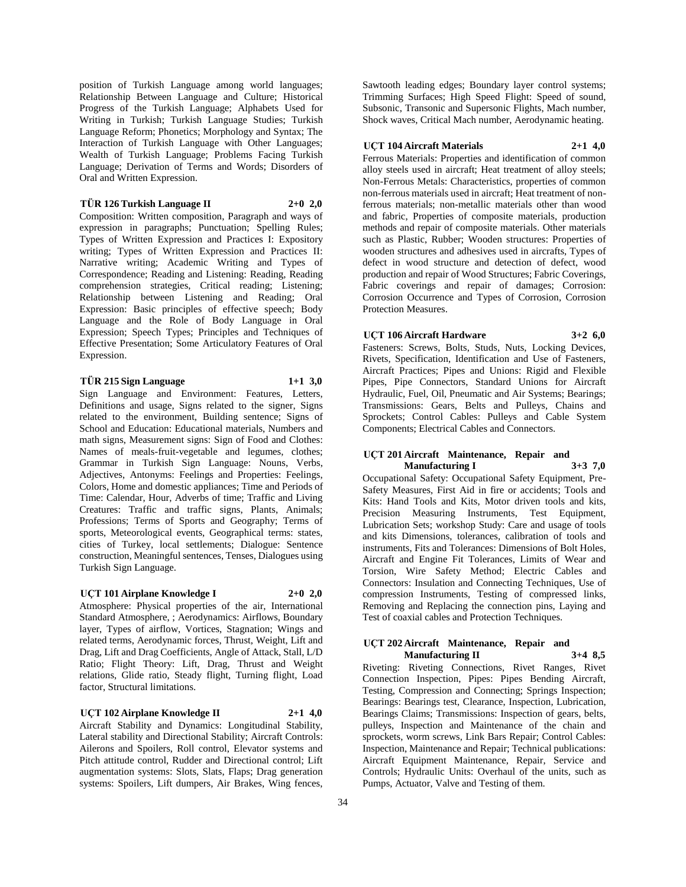position of Turkish Language among world languages; Relationship Between Language and Culture; Historical Progress of the Turkish Language; Alphabets Used for Writing in Turkish; Turkish Language Studies; Turkish Language Reform; Phonetics; Morphology and Syntax; The Interaction of Turkish Language with Other Languages; Wealth of Turkish Language; Problems Facing Turkish Language; Derivation of Terms and Words; Disorders of Oral and Written Expression.

**TÜR 126 Turkish Language II 2+0 2,0**

Composition: Written composition, Paragraph and ways of expression in paragraphs; Punctuation; Spelling Rules; Types of Written Expression and Practices I: Expository writing; Types of Written Expression and Practices II: Narrative writing; Academic Writing and Types of Correspondence; Reading and Listening: Reading, Reading comprehension strategies, Critical reading; Listening; Relationship between Listening and Reading; Oral Expression: Basic principles of effective speech; Body Language and the Role of Body Language in Oral Expression; Speech Types; Principles and Techniques of Effective Presentation; Some Articulatory Features of Oral Expression.

# **TÜR 215 Sign Language 1+1 3,0**

Sign Language and Environment: Features, Letters, Definitions and usage, Signs related to the signer, Signs related to the environment, Building sentence; Signs of School and Education: Educational materials, Numbers and math signs, Measurement signs: Sign of Food and Clothes: Names of meals-fruit-vegetable and legumes, clothes; Grammar in Turkish Sign Language: Nouns, Verbs, Adjectives, Antonyms: Feelings and Properties: Feelings, Colors, Home and domestic appliances; Time and Periods of Time: Calendar, Hour, Adverbs of time; Traffic and Living Creatures: Traffic and traffic signs, Plants, Animals; Professions; Terms of Sports and Geography; Terms of sports, Meteorological events, Geographical terms: states, cities of Turkey, local settlements; Dialogue: Sentence construction, Meaningful sentences, Tenses, Dialogues using Turkish Sign Language.

#### **UÇT 101 Airplane Knowledge I 2+0 2,0**

Atmosphere: Physical properties of the air, International Standard Atmosphere, ; Aerodynamics: Airflows, Boundary layer, Types of airflow, Vortices, Stagnation; Wings and related terms, Aerodynamic forces, Thrust, Weight, Lift and Drag, Lift and Drag Coefficients, Angle of Attack, Stall, L/D Ratio; Flight Theory: Lift, Drag, Thrust and Weight relations, Glide ratio, Steady flight, Turning flight, Load factor, Structural limitations.

**UÇT 102 Airplane Knowledge II 2+1 4,0**

Aircraft Stability and Dynamics: Longitudinal Stability, Lateral stability and Directional Stability; Aircraft Controls: Ailerons and Spoilers, Roll control, Elevator systems and Pitch attitude control, Rudder and Directional control; Lift augmentation systems: Slots, Slats, Flaps; Drag generation systems: Spoilers, Lift dumpers, Air Brakes, Wing fences,

Sawtooth leading edges; Boundary layer control systems; Trimming Surfaces; High Speed Flight: Speed of sound, Subsonic, Transonic and Supersonic Flights, Mach number, Shock waves, Critical Mach number, Aerodynamic heating.

#### **UÇT 104 Aircraft Materials 2+1 4,0**

Ferrous Materials: Properties and identification of common alloy steels used in aircraft; Heat treatment of alloy steels; Non-Ferrous Metals: Characteristics, properties of common non-ferrous materials used in aircraft; Heat treatment of nonferrous materials; non-metallic materials other than wood and fabric, Properties of composite materials, production methods and repair of composite materials. Other materials such as Plastic, Rubber; Wooden structures: Properties of wooden structures and adhesives used in aircrafts, Types of defect in wood structure and detection of defect, wood production and repair of Wood Structures; Fabric Coverings, Fabric coverings and repair of damages; Corrosion: Corrosion Occurrence and Types of Corrosion, Corrosion Protection Measures.

**UÇT 106 Aircraft Hardware 3+2 6,0**

Fasteners: Screws, Bolts, Studs, Nuts, Locking Devices, Rivets, Specification, Identification and Use of Fasteners, Aircraft Practices; Pipes and Unions: Rigid and Flexible Pipes, Pipe Connectors, Standard Unions for Aircraft Hydraulic, Fuel, Oil, Pneumatic and Air Systems; Bearings; Transmissions: Gears, Belts and Pulleys, Chains and Sprockets; Control Cables: Pulleys and Cable System Components; Electrical Cables and Connectors.

# **UÇT 201 Aircraft Maintenance, Repair and Manufacturing I 3+3 7,0**

Occupational Safety: Occupational Safety Equipment, Pre-Safety Measures, First Aid in fire or accidents; Tools and Kits: Hand Tools and Kits, Motor driven tools and kits, Precision Measuring Instruments, Test Equipment, Lubrication Sets; workshop Study: Care and usage of tools and kits Dimensions, tolerances, calibration of tools and instruments, Fits and Tolerances: Dimensions of Bolt Holes, Aircraft and Engine Fit Tolerances, Limits of Wear and Torsion, Wire Safety Method; Electric Cables and Connectors: Insulation and Connecting Techniques, Use of compression Instruments, Testing of compressed links, Removing and Replacing the connection pins, Laying and Test of coaxial cables and Protection Techniques.

#### **UÇT 202 Aircraft Maintenance, Repair and Manufacturing II 3+4 8,5**

Riveting: Riveting Connections, Rivet Ranges, Rivet Connection Inspection, Pipes: Pipes Bending Aircraft, Testing, Compression and Connecting; Springs Inspection; Bearings: Bearings test, Clearance, Inspection, Lubrication, Bearings Claims; Transmissions: Inspection of gears, belts, pulleys, Inspection and Maintenance of the chain and sprockets, worm screws, Link Bars Repair; Control Cables: Inspection, Maintenance and Repair; Technical publications: Aircraft Equipment Maintenance, Repair, Service and Controls; Hydraulic Units: Overhaul of the units, such as Pumps, Actuator, Valve and Testing of them.